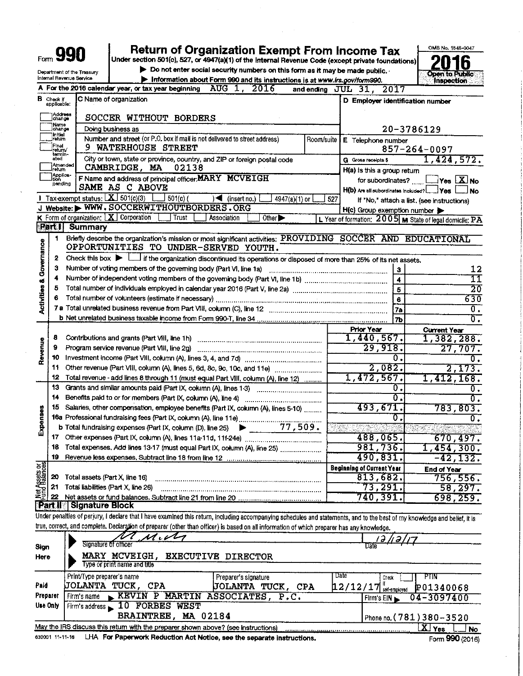|                                    |                             |                                             | Return of Organization Exempt From Income Tax                                                                                                                                                                    |                                                        | OMB No. 1545-0047                                       |
|------------------------------------|-----------------------------|---------------------------------------------|------------------------------------------------------------------------------------------------------------------------------------------------------------------------------------------------------------------|--------------------------------------------------------|---------------------------------------------------------|
|                                    |                             | Form 990                                    | Under section 501(c), 527, or 4947(a)(1) of the Internal Revenue Code (except private foundations)                                                                                                               |                                                        | h                                                       |
|                                    |                             | Department of the Treasury                  | $\blacktriangleright$ Do not enter social security numbers on this form as it may be made public.                                                                                                                |                                                        | <b>Open to Public</b>                                   |
|                                    |                             | Internal Revenue Service                    | Information about Form 990 and its instructions is at www.irs.gov/form990.<br>A For the 2016 calendar year, or tax year beginning AUG 1, 2016                                                                    |                                                        | Inspection                                              |
|                                    | <b>B</b> Check If           |                                             | C Name of organization                                                                                                                                                                                           | and ending JUL 31, 2017                                |                                                         |
|                                    | applicable:                 |                                             |                                                                                                                                                                                                                  | D Employer identification number                       |                                                         |
|                                    | Address<br>lchange          |                                             | SOCCER WITHOUT BORDERS                                                                                                                                                                                           |                                                        |                                                         |
|                                    | ¦Name<br>ichange            |                                             | Doing business as                                                                                                                                                                                                |                                                        | 20-3786129                                              |
|                                    | ]initial<br>[return         |                                             | Number and street (or P.O. box if mail is not delivered to street address)<br>Room/suite                                                                                                                         | E Telephone number                                     |                                                         |
|                                    | Final<br>return/<br>tem in- |                                             | 9 WATERHOUSE STREET                                                                                                                                                                                              |                                                        | $857 - 264 - 0097$                                      |
|                                    | ated                        | Amended<br>Irətum                           | City or town, state or province, country, and ZIP or foreign postal code                                                                                                                                         | G Gross receipts \$                                    | 1,424,572.                                              |
|                                    | Appilca<br> tion            |                                             | CAMBRIDGE, MA<br>02138<br>F Name and address of principal officer: MARY MCVEIGH                                                                                                                                  | H(a) is this a group return                            |                                                         |
|                                    | pending                     |                                             | SAME AS C ABOVE                                                                                                                                                                                                  | for subordinates?                                      | $\Box$ Yes $\Box$ No                                    |
|                                    |                             |                                             | Tax-exempt status; $X$ 501(c)(3)<br>$501(c)$ (<br>$\blacktriangleright$ (insert no.)<br>$4947(a)(1)$ or                                                                                                          | H(b) Are all subordinates included? [ _ _ Yes  <br>527 | No.<br>If "No," attach a list. (see instructions)       |
|                                    |                             |                                             | J Website: WWW.SOCCERWITHOUTBORDERS.ORG                                                                                                                                                                          | $H(c)$ Group exemption number $\blacktriangleright$    |                                                         |
|                                    |                             |                                             | K Form of organization: $X$ Corporation [ Trust<br>Other <sup>&gt;</sup><br>Association                                                                                                                          |                                                        | L Year of formation: 2005 M State of legal domicile: PA |
|                                    | <b>Barth</b>                | Summary                                     |                                                                                                                                                                                                                  |                                                        |                                                         |
|                                    | 1.                          |                                             | Briefly describe the organization's mission or most significant activities: PROVIDING SOCCER AND EDUCATIONAL                                                                                                     |                                                        |                                                         |
| <b>Activities &amp; Governance</b> | 2                           |                                             | OPPORTUNITIES TO UNDER-SERVED YOUTH.                                                                                                                                                                             |                                                        |                                                         |
|                                    | 3                           |                                             | Check this box $\blacktriangleright$ $\Box$ if the organization discontinued its operations or disposed of more than 25% of its net assets.<br>Number of voting members of the governing body (Part VI, line 1a) |                                                        | 12                                                      |
|                                    | 4                           |                                             |                                                                                                                                                                                                                  | 3<br>$\ddot{\phantom{1}}$                              | 11                                                      |
|                                    | 5                           |                                             |                                                                                                                                                                                                                  | $\overline{\mathbf{5}}$                                | $\overline{20}$                                         |
|                                    |                             |                                             |                                                                                                                                                                                                                  | $\pmb{6}$                                              | 630                                                     |
|                                    |                             |                                             |                                                                                                                                                                                                                  | 7a                                                     | $\overline{0}$ .                                        |
|                                    |                             |                                             |                                                                                                                                                                                                                  | <b>7b</b>                                              | δ.                                                      |
|                                    |                             |                                             |                                                                                                                                                                                                                  | <b>Prior Year</b>                                      | <b>Current Year</b>                                     |
| Revenue                            | 8<br>9                      |                                             | Program service revenue (Part VIII, line 2g)                                                                                                                                                                     | 1,440,567.<br>29,918.                                  | 1,382,288.<br>27,707.                                   |
|                                    | 10                          |                                             |                                                                                                                                                                                                                  | 0.                                                     | 0.                                                      |
|                                    | 11                          |                                             | Other revenue (Part Vill, column (A), lines 5, 6d, 8c, 9c, 10c, and 11e)                                                                                                                                         | 2,082.                                                 | 2, 173.                                                 |
|                                    | 12                          |                                             | Total revenue - add lines 8 through 11 (must equal Part VIII, column (A), line 12)                                                                                                                               | 1,472,567.                                             | 1,412,168.                                              |
|                                    | 13                          |                                             | Grants and similar amounts paid (Part IX, column (A), lines 1-3)                                                                                                                                                 | Ο.                                                     | θ.                                                      |
|                                    | 14                          |                                             | Benefits paid to or for members (Part IX, column (A), line 4)                                                                                                                                                    | 0.                                                     | σ.                                                      |
|                                    | 15                          |                                             | Salaries, other compensation, employee benefits (Part IX, column (A), lines 5-10)                                                                                                                                | 493,671.<br>0                                          | 783,803.                                                |
| Expenses                           |                             |                                             | 77,509.<br>b Total fundraising expenses (Part IX, column (D), line 25)                                                                                                                                           |                                                        | Ο.                                                      |
|                                    | 17                          |                                             |                                                                                                                                                                                                                  | 488,065.                                               | 670,497.                                                |
|                                    | 18                          |                                             | Total expenses. Add lines 13-17 (must equal Part IX, column (A), line 25)                                                                                                                                        | 981,736.                                               | 1,454,300.                                              |
|                                    | 19                          |                                             |                                                                                                                                                                                                                  | 490,831.                                               | $-42, 132.$                                             |
|                                    |                             |                                             |                                                                                                                                                                                                                  | <b>Beginning of Current Year</b>                       | <b>End of Year</b>                                      |
| Met Assets or                      | 20                          | Total assets (Part X, line 16)              |                                                                                                                                                                                                                  | 813,682.                                               | 756,556.                                                |
|                                    | 21<br>22                    | Total liabilities (Part X, line 26)         |                                                                                                                                                                                                                  | 73,291.<br>740,391.                                    | 58,297.                                                 |
|                                    |                             | <b>Part II</b> Signature Block              |                                                                                                                                                                                                                  |                                                        | 698, 259.                                               |
|                                    |                             |                                             | Under penalties of perjury, I declare that I have examined this return, including accompanying schedules and statements, and to the best of my knowledge and belief, it is                                       |                                                        |                                                         |
|                                    |                             |                                             | true, correct, and complete. Declargtion of preparer (other than officer) is based on all information of which preparer has any knowledge.                                                                       |                                                        |                                                         |
|                                    |                             |                                             | $\boldsymbol{\mathcal{U}}$ . $\boldsymbol{\mathcal{U}}$                                                                                                                                                          |                                                        |                                                         |
| Sign                               |                             | Signature of officer                        |                                                                                                                                                                                                                  | Date                                                   |                                                         |
| Here                               |                             |                                             | MARY MCVEIGH,<br><b>EXECUTIVE DIRECTOR</b><br>Type or print name and title                                                                                                                                       |                                                        |                                                         |
|                                    |                             |                                             |                                                                                                                                                                                                                  | Date                                                   |                                                         |
| Paid                               |                             | Print/Type preparer's name<br>JOLANTA TUCK, | Preparer's signature<br>CPA<br>JOLANTA TUCK, CPA                                                                                                                                                                 | Check<br>12/12/17                                      | PTIN<br>P01340068                                       |
| Preparer                           |                             | Firm's name                                 | KEVIN P MARTIN ASSOCIATES,<br>$\overline{P}$ . C.                                                                                                                                                                | self-employed<br>Firm's EIN                            | 04-3097400                                              |
| Use Only                           |                             |                                             | Firm's address 10 FORBES WEST                                                                                                                                                                                    |                                                        |                                                         |
|                                    |                             |                                             | BRAINTREE, MA 02184                                                                                                                                                                                              |                                                        | Phone no. (781) 380-3520                                |
|                                    |                             |                                             | May the IRS discuss this return with the preparer shown above? (see instructions)                                                                                                                                |                                                        | $\overline{X}$ Yes<br><b>No</b>                         |
|                                    | 632001 11-11-16             |                                             | LHA For Paperwork Reduction Act Notice, see the separate instructions.                                                                                                                                           |                                                        | Form 990 (2016)                                         |

 $\mathcal{L}^{\text{max}}_{\text{max}}$ 

 $\sim$ 

 $\hat{\mathcal{A}}$ 

 $\hat{\boldsymbol{\beta}}$ 

 $\sim 10^{-1}$ 

 $\sim$ 

 $\sim 10^{-1}$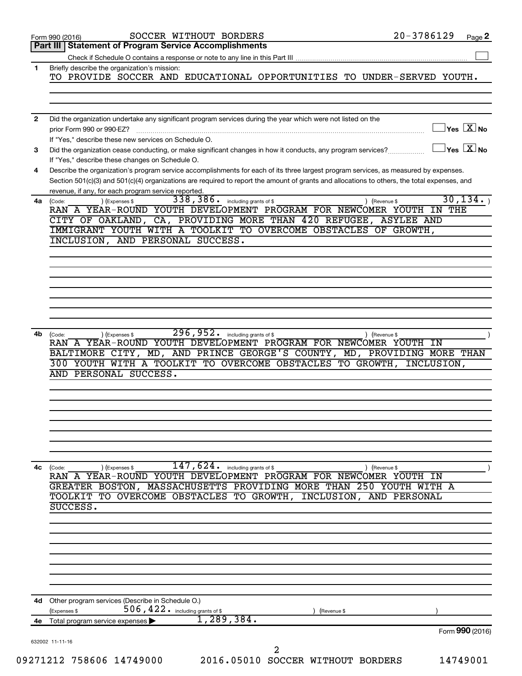|              | SOCCER WITHOUT BORDERS<br>Form 990 (2016)                                                                                                    | $20 - 3786129$                          | Page 2 |
|--------------|----------------------------------------------------------------------------------------------------------------------------------------------|-----------------------------------------|--------|
|              | Part III Statement of Program Service Accomplishments                                                                                        |                                         |        |
|              |                                                                                                                                              |                                         |        |
| 1.           | Briefly describe the organization's mission:                                                                                                 |                                         |        |
|              | TO PROVIDE SOCCER AND EDUCATIONAL OPPORTUNITIES TO UNDER-SERVED YOUTH.                                                                       |                                         |        |
|              |                                                                                                                                              |                                         |        |
|              |                                                                                                                                              |                                         |        |
| $\mathbf{2}$ | Did the organization undertake any significant program services during the year which were not listed on the                                 |                                         |        |
|              | prior Form 990 or 990-EZ?                                                                                                                    | $\Box$ Yes $[\overline{\mathrm{X}}]$ No |        |
|              | If "Yes," describe these new services on Schedule O.                                                                                         |                                         |        |
| 3            | Did the organization cease conducting, or make significant changes in how it conducts, any program services?                                 | $\Box$ Yes $[\overline{\mathrm{X}}]$ No |        |
|              | If "Yes," describe these changes on Schedule O.                                                                                              |                                         |        |
| 4            | Describe the organization's program service accomplishments for each of its three largest program services, as measured by expenses.         |                                         |        |
|              | Section 501(c)(3) and 501(c)(4) organizations are required to report the amount of grants and allocations to others, the total expenses, and |                                         |        |
|              | revenue, if any, for each program service reported.                                                                                          |                                         |        |
| 4a           | 338, 386. including grants of \$<br>) (Expenses \$<br>(Code:                                                                                 | 30, 134.<br>) (Revenue \$               |        |
|              | RAN A YEAR-ROUND YOUTH DEVELOPMENT PROGRAM FOR NEWCOMER YOUTH IN THE                                                                         |                                         |        |
|              | CITY OF OAKLAND, CA, PROVIDING MORE THAN 420 REFUGEE, ASYLEE AND                                                                             |                                         |        |
|              | IMMIGRANT YOUTH WITH A TOOLKIT TO OVERCOME OBSTACLES OF GROWTH,                                                                              |                                         |        |
|              | INCLUSION, AND PERSONAL SUCCESS.                                                                                                             |                                         |        |
|              |                                                                                                                                              |                                         |        |
|              |                                                                                                                                              |                                         |        |
|              |                                                                                                                                              |                                         |        |
|              |                                                                                                                                              |                                         |        |
|              |                                                                                                                                              |                                         |        |
|              |                                                                                                                                              |                                         |        |
|              |                                                                                                                                              |                                         |        |
|              |                                                                                                                                              |                                         |        |
| 4b           | $\overline{296, 952}$ . including grants of \$<br>(Expenses \$<br>(Code:                                                                     | ) (Revenue \$                           |        |
|              | RAN A YEAR-ROUND YOUTH DEVELOPMENT PROGRAM FOR NEWCOMER YOUTH IN                                                                             |                                         |        |
|              | BALTIMORE CITY, MD, AND PRINCE GEORGE'S COUNTY, MD, PROVIDING MORE THAN                                                                      |                                         |        |
|              | 300 YOUTH WITH A TOOLKIT TO OVERCOME OBSTACLES TO GROWTH, INCLUSION,                                                                         |                                         |        |
|              | AND PERSONAL SUCCESS.                                                                                                                        |                                         |        |
|              |                                                                                                                                              |                                         |        |
|              |                                                                                                                                              |                                         |        |
|              |                                                                                                                                              |                                         |        |
|              |                                                                                                                                              |                                         |        |
|              |                                                                                                                                              |                                         |        |
|              |                                                                                                                                              |                                         |        |
|              |                                                                                                                                              |                                         |        |
|              |                                                                                                                                              |                                         |        |
| 4c           | 147,624.<br>including grants of \$<br>) (Expenses \$<br>(Code:                                                                               | ) (Revenue \$                           |        |
|              | YEAR-ROUND YOUTH DEVELOPMENT PROGRAM FOR NEWCOMER YOUTH<br>RAN A                                                                             | ΙN                                      |        |
|              | GREATER BOSTON, MASSACHUSETTS PROVIDING MORE THAN 250 YOUTH WITH A                                                                           |                                         |        |
|              | TOOLKIT TO OVERCOME OBSTACLES TO GROWTH,<br>INCLUSION,                                                                                       | AND<br>PERSONAL                         |        |
|              | SUCCESS.                                                                                                                                     |                                         |        |
|              |                                                                                                                                              |                                         |        |
|              |                                                                                                                                              |                                         |        |
|              |                                                                                                                                              |                                         |        |
|              |                                                                                                                                              |                                         |        |
|              |                                                                                                                                              |                                         |        |
|              |                                                                                                                                              |                                         |        |
|              |                                                                                                                                              |                                         |        |
|              |                                                                                                                                              |                                         |        |
|              | 4d Other program services (Describe in Schedule O.)                                                                                          |                                         |        |
|              | $506$ , $422$ $\cdot$ including grants of \$<br>(Expenses \$<br>(Revenue \$                                                                  |                                         |        |
| 4е           | 1,289,384.<br>Total program service expenses                                                                                                 |                                         |        |
|              |                                                                                                                                              | Form 990 (2016)                         |        |
|              | 632002 11-11-16                                                                                                                              |                                         |        |
|              | 2                                                                                                                                            |                                         |        |
|              | 09271212 758606 14749000<br>2016.05010 SOCCER WITHOUT BORDERS                                                                                | 14749001                                |        |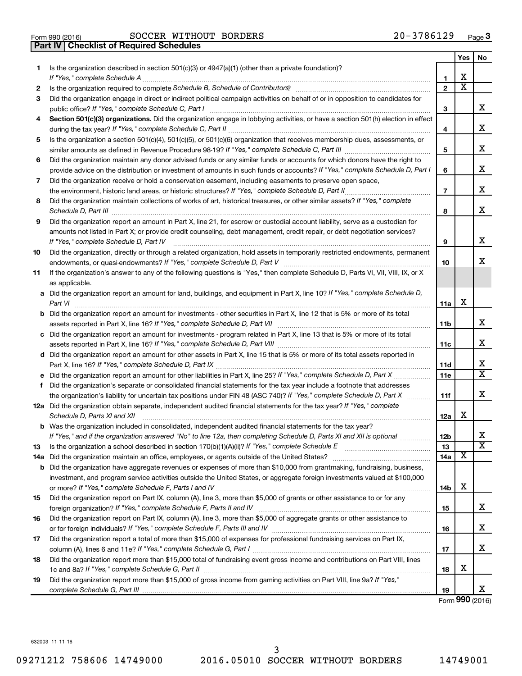| Form 990 (2016) |  |
|-----------------|--|

**Part IV Checklist of Required Schedules**

Form 990 (2016)  $\begin{array}{cccc} \text{SOCCER} & \text{WITHOUT} & \text{BORDERS} \end{array}$   $\begin{array}{cccc} 20-3786129 & \text{Page} \end{array}$ 

|    |                                                                                                                                                                                                                                                   |                | Yes                     | No                           |
|----|---------------------------------------------------------------------------------------------------------------------------------------------------------------------------------------------------------------------------------------------------|----------------|-------------------------|------------------------------|
| 1  | Is the organization described in section 501(c)(3) or 4947(a)(1) (other than a private foundation)?                                                                                                                                               |                |                         |                              |
|    |                                                                                                                                                                                                                                                   | 1              | х                       |                              |
| 2  |                                                                                                                                                                                                                                                   | $\mathbf{2}$   | $\overline{\textbf{x}}$ |                              |
| 3  | Did the organization engage in direct or indirect political campaign activities on behalf of or in opposition to candidates for                                                                                                                   | 3              |                         | x                            |
| 4  | Section 501(c)(3) organizations. Did the organization engage in lobbying activities, or have a section 501(h) election in effect                                                                                                                  | 4              |                         | х                            |
| 5  | Is the organization a section 501(c)(4), 501(c)(5), or 501(c)(6) organization that receives membership dues, assessments, or                                                                                                                      |                |                         |                              |
|    |                                                                                                                                                                                                                                                   | 5              |                         | x                            |
| 6  | Did the organization maintain any donor advised funds or any similar funds or accounts for which donors have the right to                                                                                                                         |                |                         |                              |
|    | provide advice on the distribution or investment of amounts in such funds or accounts? If "Yes," complete Schedule D, Part I                                                                                                                      | 6              |                         | х                            |
| 7  | Did the organization receive or hold a conservation easement, including easements to preserve open space,                                                                                                                                         |                |                         |                              |
|    | the environment, historic land areas, or historic structures? If "Yes," complete Schedule D, Part II                                                                                                                                              | $\overline{7}$ |                         | x                            |
| 8  | Did the organization maintain collections of works of art, historical treasures, or other similar assets? If "Yes," complete                                                                                                                      | 8              |                         | х                            |
| 9  | Did the organization report an amount in Part X, line 21, for escrow or custodial account liability, serve as a custodian for                                                                                                                     |                |                         |                              |
|    | amounts not listed in Part X; or provide credit counseling, debt management, credit repair, or debt negotiation services?<br>If "Yes," complete Schedule D, Part IV                                                                               | 9              |                         | х                            |
| 10 | Did the organization, directly or through a related organization, hold assets in temporarily restricted endowments, permanent                                                                                                                     |                |                         |                              |
|    |                                                                                                                                                                                                                                                   | 10             |                         | x                            |
| 11 | If the organization's answer to any of the following questions is "Yes," then complete Schedule D, Parts VI, VII, VIII, IX, or X                                                                                                                  |                |                         |                              |
|    | as applicable.                                                                                                                                                                                                                                    |                |                         |                              |
|    | a Did the organization report an amount for land, buildings, and equipment in Part X, line 10? If "Yes," complete Schedule D,<br>Part VI                                                                                                          | 11a            | х                       |                              |
|    | <b>b</b> Did the organization report an amount for investments - other securities in Part X, line 12 that is 5% or more of its total                                                                                                              | <b>11b</b>     |                         | x                            |
|    | c Did the organization report an amount for investments - program related in Part X, line 13 that is 5% or more of its total                                                                                                                      |                |                         |                              |
|    |                                                                                                                                                                                                                                                   | 11c            |                         | x                            |
|    | d Did the organization report an amount for other assets in Part X, line 15 that is 5% or more of its total assets reported in                                                                                                                    |                |                         |                              |
|    |                                                                                                                                                                                                                                                   | 11d            |                         | х<br>$\overline{\textbf{X}}$ |
|    | e Did the organization report an amount for other liabilities in Part X, line 25? If "Yes," complete Schedule D, Part X                                                                                                                           | 11e            |                         |                              |
| f  | Did the organization's separate or consolidated financial statements for the tax year include a footnote that addresses                                                                                                                           |                |                         | x                            |
|    | the organization's liability for uncertain tax positions under FIN 48 (ASC 740)? If "Yes," complete Schedule D, Part X<br>12a Did the organization obtain separate, independent audited financial statements for the tax year? If "Yes," complete | 11f            |                         |                              |
|    | Schedule D, Parts XI and XII                                                                                                                                                                                                                      | 12a            | х                       |                              |
|    | <b>b</b> Was the organization included in consolidated, independent audited financial statements for the tax year?                                                                                                                                |                |                         |                              |
|    | If "Yes," and if the organization answered "No" to line 12a, then completing Schedule D, Parts XI and XII is optional                                                                                                                             | 12b            |                         | Χ<br>X                       |
| 13 |                                                                                                                                                                                                                                                   | 13             | x                       |                              |
|    | 14a Did the organization maintain an office, employees, or agents outside of the United States?<br><b>b</b> Did the organization have aggregate revenues or expenses of more than \$10,000 from grantmaking, fundraising, business,               | 14a            |                         |                              |
|    | investment, and program service activities outside the United States, or aggregate foreign investments valued at \$100,000                                                                                                                        |                |                         |                              |
|    |                                                                                                                                                                                                                                                   | 14b            | х                       |                              |
| 15 | Did the organization report on Part IX, column (A), line 3, more than \$5,000 of grants or other assistance to or for any                                                                                                                         |                |                         |                              |
|    |                                                                                                                                                                                                                                                   | 15             |                         | х                            |
| 16 | Did the organization report on Part IX, column (A), line 3, more than \$5,000 of aggregate grants or other assistance to                                                                                                                          |                |                         |                              |
|    |                                                                                                                                                                                                                                                   | 16             |                         | х                            |
| 17 | Did the organization report a total of more than \$15,000 of expenses for professional fundraising services on Part IX,                                                                                                                           |                |                         |                              |
|    |                                                                                                                                                                                                                                                   | 17             |                         | х                            |
| 18 | Did the organization report more than \$15,000 total of fundraising event gross income and contributions on Part VIII, lines                                                                                                                      | 18             | х                       |                              |
| 19 | Did the organization report more than \$15,000 of gross income from gaming activities on Part VIII, line 9a? If "Yes,"                                                                                                                            |                |                         |                              |
|    |                                                                                                                                                                                                                                                   | 19             |                         | x                            |

Form (2016) **990**

632003 11-11-16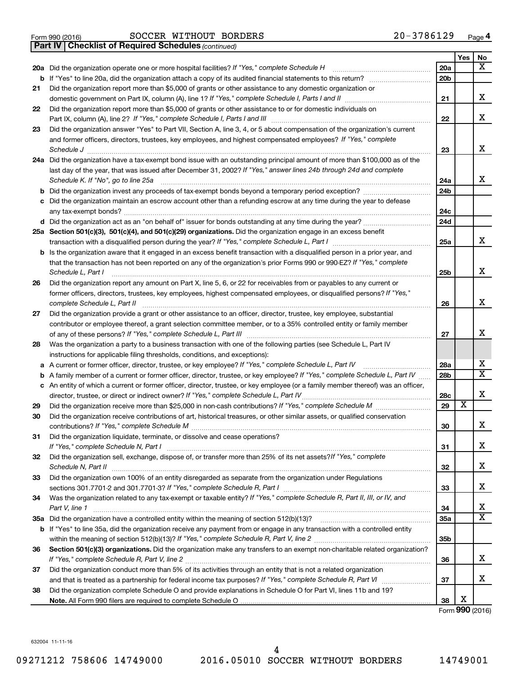|  | Form 990 (2016) |
|--|-----------------|

Form 990 (2016)  $\begin{array}{cccc} \text{SOCCER} & \text{WITHOUT} & \text{BORDERS} \end{array}$   $\begin{array}{cccc} 20-3786129 & \text{Page} \end{array}$ 

*(continued)* **Part IV Checklist of Required Schedules**

|          |                                                                                                                                                                                                                           |                 | Yes                     | No                           |
|----------|---------------------------------------------------------------------------------------------------------------------------------------------------------------------------------------------------------------------------|-----------------|-------------------------|------------------------------|
|          | 20a Did the organization operate one or more hospital facilities? If "Yes," complete Schedule H                                                                                                                           | 20a             |                         | $\overline{\text{X}}$        |
|          | <b>b</b> If "Yes" to line 20a, did the organization attach a copy of its audited financial statements to this return?                                                                                                     | 20 <sub>b</sub> |                         |                              |
| 21       | Did the organization report more than \$5,000 of grants or other assistance to any domestic organization or                                                                                                               |                 |                         |                              |
|          |                                                                                                                                                                                                                           | 21              |                         | x                            |
| 22       | Did the organization report more than \$5,000 of grants or other assistance to or for domestic individuals on                                                                                                             |                 |                         |                              |
|          | Part IX, column (A), line 2? If "Yes," complete Schedule I, Parts I and III                                                                                                                                               | 22              |                         | x                            |
| 23       | Did the organization answer "Yes" to Part VII, Section A, line 3, 4, or 5 about compensation of the organization's current                                                                                                |                 |                         |                              |
|          | and former officers, directors, trustees, key employees, and highest compensated employees? If "Yes," complete                                                                                                            |                 |                         |                              |
|          |                                                                                                                                                                                                                           | 23              |                         | x                            |
|          | 24a Did the organization have a tax-exempt bond issue with an outstanding principal amount of more than \$100,000 as of the                                                                                               |                 |                         |                              |
|          | last day of the year, that was issued after December 31, 2002? If "Yes," answer lines 24b through 24d and complete                                                                                                        |                 |                         | x                            |
|          | Schedule K. If "No", go to line 25a                                                                                                                                                                                       | 24a<br>24b      |                         |                              |
| b        | Did the organization invest any proceeds of tax-exempt bonds beyond a temporary period exception?<br>Did the organization maintain an escrow account other than a refunding escrow at any time during the year to defease |                 |                         |                              |
| с        |                                                                                                                                                                                                                           | 24c             |                         |                              |
|          | d Did the organization act as an "on behalf of" issuer for bonds outstanding at any time during the year?                                                                                                                 | 24d             |                         |                              |
|          | 25a Section 501(c)(3), 501(c)(4), and 501(c)(29) organizations. Did the organization engage in an excess benefit                                                                                                          |                 |                         |                              |
|          |                                                                                                                                                                                                                           | 25a             |                         | x                            |
|          | <b>b</b> Is the organization aware that it engaged in an excess benefit transaction with a disqualified person in a prior year, and                                                                                       |                 |                         |                              |
|          | that the transaction has not been reported on any of the organization's prior Forms 990 or 990-EZ? If "Yes," complete                                                                                                     |                 |                         |                              |
|          | Schedule L, Part I                                                                                                                                                                                                        | 25 <sub>b</sub> |                         | x                            |
| 26       | Did the organization report any amount on Part X, line 5, 6, or 22 for receivables from or payables to any current or                                                                                                     |                 |                         |                              |
|          | former officers, directors, trustees, key employees, highest compensated employees, or disqualified persons? If "Yes,"                                                                                                    |                 |                         |                              |
|          | complete Schedule L, Part II                                                                                                                                                                                              | 26              |                         | x                            |
| 27       | Did the organization provide a grant or other assistance to an officer, director, trustee, key employee, substantial                                                                                                      |                 |                         |                              |
|          | contributor or employee thereof, a grant selection committee member, or to a 35% controlled entity or family member                                                                                                       |                 |                         |                              |
|          |                                                                                                                                                                                                                           | 27              |                         | X                            |
| 28       | Was the organization a party to a business transaction with one of the following parties (see Schedule L, Part IV                                                                                                         |                 |                         |                              |
|          | instructions for applicable filing thresholds, conditions, and exceptions):                                                                                                                                               |                 |                         |                              |
| а        | A current or former officer, director, trustee, or key employee? If "Yes," complete Schedule L, Part IV                                                                                                                   | 28a             |                         | х<br>$\overline{\mathtt{x}}$ |
| b        | A family member of a current or former officer, director, trustee, or key employee? If "Yes," complete Schedule L, Part IV                                                                                                | 28b             |                         |                              |
|          | c An entity of which a current or former officer, director, trustee, or key employee (or a family member thereof) was an officer,                                                                                         |                 |                         | X                            |
|          | director, trustee, or direct or indirect owner? If "Yes," complete Schedule L, Part IV.                                                                                                                                   | 28c<br>29       | $\overline{\textbf{x}}$ |                              |
| 29<br>30 | Did the organization receive contributions of art, historical treasures, or other similar assets, or qualified conservation                                                                                               |                 |                         |                              |
|          |                                                                                                                                                                                                                           | 30              |                         | X                            |
| 31       | Did the organization liquidate, terminate, or dissolve and cease operations?                                                                                                                                              |                 |                         |                              |
|          | If "Yes," complete Schedule N, Part I                                                                                                                                                                                     | 31              |                         | x                            |
| 32       | Did the organization sell, exchange, dispose of, or transfer more than 25% of its net assets?/f "Yes," complete                                                                                                           |                 |                         |                              |
|          |                                                                                                                                                                                                                           | 32              |                         | x                            |
| 33       | Did the organization own 100% of an entity disregarded as separate from the organization under Regulations                                                                                                                |                 |                         |                              |
|          |                                                                                                                                                                                                                           | 33              |                         | x                            |
| 34       | Was the organization related to any tax-exempt or taxable entity? If "Yes," complete Schedule R, Part II, III, or IV, and                                                                                                 |                 |                         |                              |
|          | Part V, line 1                                                                                                                                                                                                            | 34              |                         | x                            |
|          |                                                                                                                                                                                                                           | 35a             |                         | $\overline{\texttt{x}}$      |
|          | b If "Yes" to line 35a, did the organization receive any payment from or engage in any transaction with a controlled entity                                                                                               |                 |                         |                              |
|          |                                                                                                                                                                                                                           | 35 <sub>b</sub> |                         |                              |
| 36       | Section 501(c)(3) organizations. Did the organization make any transfers to an exempt non-charitable related organization?                                                                                                |                 |                         |                              |
|          |                                                                                                                                                                                                                           | 36              |                         | x                            |
| 37       | Did the organization conduct more than 5% of its activities through an entity that is not a related organization                                                                                                          |                 |                         |                              |
|          |                                                                                                                                                                                                                           | 37              |                         | x                            |
| 38       | Did the organization complete Schedule O and provide explanations in Schedule O for Part VI, lines 11b and 19?                                                                                                            |                 | х                       |                              |
|          |                                                                                                                                                                                                                           | 38              |                         |                              |

Form (2016) **990**

632004 11-11-16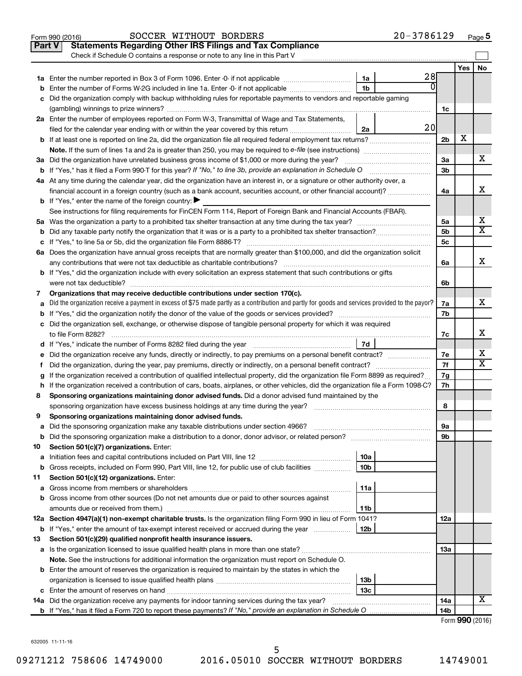| <b>Statements Regarding Other IRS Filings and Tax Compliance</b><br><b>Part V</b><br>Check if Schedule O contains a response or note to any line in this Part V<br>No<br>Yes<br>28<br>1a<br>$\Omega$<br>1 <sub>b</sub><br><b>b</b> Enter the number of Forms W-2G included in line 1a. Enter -0- if not applicable<br>c Did the organization comply with backup withholding rules for reportable payments to vendors and reportable gaming<br>1c<br>2a Enter the number of employees reported on Form W-3, Transmittal of Wage and Tax Statements,<br>20<br>filed for the calendar year ending with or within the year covered by this return<br>2a<br>х<br>2 <sub>b</sub><br><b>Note.</b> If the sum of lines 1a and 2a is greater than 250, you may be required to e-file (see instructions)<br>х<br>3a<br>3a Did the organization have unrelated business gross income of \$1,000 or more during the year?<br>3 <sub>b</sub><br>4a At any time during the calendar year, did the organization have an interest in, or a signature or other authority over, a<br>х<br>financial account in a foreign country (such as a bank account, securities account, or other financial account)?<br>4a<br><b>b</b> If "Yes," enter the name of the foreign country: $\blacktriangleright$<br>See instructions for filing requirements for FinCEN Form 114, Report of Foreign Bank and Financial Accounts (FBAR).<br>х<br>5a<br>$\overline{\textbf{X}}$<br>5 <sub>b</sub><br>5 <sub>c</sub><br>6a Does the organization have annual gross receipts that are normally greater than \$100,000, and did the organization solicit<br>x<br>any contributions that were not tax deductible as charitable contributions?<br>6a<br><b>b</b> If "Yes," did the organization include with every solicitation an express statement that such contributions or gifts<br>were not tax deductible?<br>6b<br>Organizations that may receive deductible contributions under section 170(c).<br>7<br>х<br>a Did the organization receive a payment in excess of \$75 made partly as a contribution and partly for goods and services provided to the payor?<br>7a<br>7b<br>c Did the organization sell, exchange, or otherwise dispose of tangible personal property for which it was required<br>x<br>to file Form 8282?<br>7c<br>7d<br>d If "Yes," indicate the number of Forms 8282 filed during the year manufactured in the set of the number of Forms 8282 filed during the year<br>х<br>e Did the organization receive any funds, directly or indirectly, to pay premiums on a personal benefit contract?<br>7e<br>х<br>7f<br>Did the organization, during the year, pay premiums, directly or indirectly, on a personal benefit contract?<br>f.<br>g If the organization received a contribution of qualified intellectual property, did the organization file Form 8899 as required?<br>7g<br>h If the organization received a contribution of cars, boats, airplanes, or other vehicles, did the organization file a Form 1098-C?<br>7h<br>Sponsoring organizations maintaining donor advised funds. Did a donor advised fund maintained by the<br>8<br>sponsoring organization have excess business holdings at any time during the year?<br>8<br>Sponsoring organizations maintaining donor advised funds.<br>9<br>Did the sponsoring organization make any taxable distributions under section 4966?<br>9а<br>а<br>9b<br>b<br>Section 501(c)(7) organizations. Enter:<br>10<br>10a<br>а<br>Gross receipts, included on Form 990, Part VIII, line 12, for public use of club facilities<br>10 <sub>b</sub><br>b<br>Section 501(c)(12) organizations. Enter:<br>11<br>11a<br>а<br><b>b</b> Gross income from other sources (Do not net amounts due or paid to other sources against<br>amounts due or received from them.)<br>11b<br>12a Section 4947(a)(1) non-exempt charitable trusts. Is the organization filing Form 990 in lieu of Form 1041?<br>12a<br><b>b</b> If "Yes," enter the amount of tax-exempt interest received or accrued during the year<br>12b<br>Section 501(c)(29) qualified nonprofit health insurance issuers.<br>13<br>a Is the organization licensed to issue qualified health plans in more than one state?<br>13a<br><b>Note.</b> See the instructions for additional information the organization must report on Schedule O.<br><b>b</b> Enter the amount of reserves the organization is required to maintain by the states in which the<br>13b<br>13c<br>х<br>14a<br><b>14a</b> Did the organization receive any payments for indoor tanning services during the tax year?<br>14b<br>Form 990 (2016) | $20 - 3786129$<br>SOCCER WITHOUT BORDERS<br>Form 990 (2016) |  | Page 5 |
|-----------------------------------------------------------------------------------------------------------------------------------------------------------------------------------------------------------------------------------------------------------------------------------------------------------------------------------------------------------------------------------------------------------------------------------------------------------------------------------------------------------------------------------------------------------------------------------------------------------------------------------------------------------------------------------------------------------------------------------------------------------------------------------------------------------------------------------------------------------------------------------------------------------------------------------------------------------------------------------------------------------------------------------------------------------------------------------------------------------------------------------------------------------------------------------------------------------------------------------------------------------------------------------------------------------------------------------------------------------------------------------------------------------------------------------------------------------------------------------------------------------------------------------------------------------------------------------------------------------------------------------------------------------------------------------------------------------------------------------------------------------------------------------------------------------------------------------------------------------------------------------------------------------------------------------------------------------------------------------------------------------------------------------------------------------------------------------------------------------------------------------------------------------------------------------------------------------------------------------------------------------------------------------------------------------------------------------------------------------------------------------------------------------------------------------------------------------------------------------------------------------------------------------------------------------------------------------------------------------------------------------------------------------------------------------------------------------------------------------------------------------------------------------------------------------------------------------------------------------------------------------------------------------------------------------------------------------------------------------------------------------------------------------------------------------------------------------------------------------------------------------------------------------------------------------------------------------------------------------------------------------------------------------------------------------------------------------------------------------------------------------------------------------------------------------------------------------------------------------------------------------------------------------------------------------------------------------------------------------------------------------------------------------------------------------------------------------------------------------------------------------------------------------------------------------------------------------------------------------------------------------------------------------------------------------------------------------------------------------------------------------------------------------------------------------------------------------------------------------------------------------------------------------------------------------------------------------------------------------------------------------------------------------------------------------------------------------------------------------------------------------------------------------------------------------------------------------------------------------------------------------------------------------------------------------------------------------------------------------------------|-------------------------------------------------------------|--|--------|
|                                                                                                                                                                                                                                                                                                                                                                                                                                                                                                                                                                                                                                                                                                                                                                                                                                                                                                                                                                                                                                                                                                                                                                                                                                                                                                                                                                                                                                                                                                                                                                                                                                                                                                                                                                                                                                                                                                                                                                                                                                                                                                                                                                                                                                                                                                                                                                                                                                                                                                                                                                                                                                                                                                                                                                                                                                                                                                                                                                                                                                                                                                                                                                                                                                                                                                                                                                                                                                                                                                                                                                                                                                                                                                                                                                                                                                                                                                                                                                                                                                                                                                                                                                                                                                                                                                                                                                                                                                                                                                                                                                                                                       |                                                             |  |        |
|                                                                                                                                                                                                                                                                                                                                                                                                                                                                                                                                                                                                                                                                                                                                                                                                                                                                                                                                                                                                                                                                                                                                                                                                                                                                                                                                                                                                                                                                                                                                                                                                                                                                                                                                                                                                                                                                                                                                                                                                                                                                                                                                                                                                                                                                                                                                                                                                                                                                                                                                                                                                                                                                                                                                                                                                                                                                                                                                                                                                                                                                                                                                                                                                                                                                                                                                                                                                                                                                                                                                                                                                                                                                                                                                                                                                                                                                                                                                                                                                                                                                                                                                                                                                                                                                                                                                                                                                                                                                                                                                                                                                                       |                                                             |  |        |
|                                                                                                                                                                                                                                                                                                                                                                                                                                                                                                                                                                                                                                                                                                                                                                                                                                                                                                                                                                                                                                                                                                                                                                                                                                                                                                                                                                                                                                                                                                                                                                                                                                                                                                                                                                                                                                                                                                                                                                                                                                                                                                                                                                                                                                                                                                                                                                                                                                                                                                                                                                                                                                                                                                                                                                                                                                                                                                                                                                                                                                                                                                                                                                                                                                                                                                                                                                                                                                                                                                                                                                                                                                                                                                                                                                                                                                                                                                                                                                                                                                                                                                                                                                                                                                                                                                                                                                                                                                                                                                                                                                                                                       |                                                             |  |        |
|                                                                                                                                                                                                                                                                                                                                                                                                                                                                                                                                                                                                                                                                                                                                                                                                                                                                                                                                                                                                                                                                                                                                                                                                                                                                                                                                                                                                                                                                                                                                                                                                                                                                                                                                                                                                                                                                                                                                                                                                                                                                                                                                                                                                                                                                                                                                                                                                                                                                                                                                                                                                                                                                                                                                                                                                                                                                                                                                                                                                                                                                                                                                                                                                                                                                                                                                                                                                                                                                                                                                                                                                                                                                                                                                                                                                                                                                                                                                                                                                                                                                                                                                                                                                                                                                                                                                                                                                                                                                                                                                                                                                                       |                                                             |  |        |
|                                                                                                                                                                                                                                                                                                                                                                                                                                                                                                                                                                                                                                                                                                                                                                                                                                                                                                                                                                                                                                                                                                                                                                                                                                                                                                                                                                                                                                                                                                                                                                                                                                                                                                                                                                                                                                                                                                                                                                                                                                                                                                                                                                                                                                                                                                                                                                                                                                                                                                                                                                                                                                                                                                                                                                                                                                                                                                                                                                                                                                                                                                                                                                                                                                                                                                                                                                                                                                                                                                                                                                                                                                                                                                                                                                                                                                                                                                                                                                                                                                                                                                                                                                                                                                                                                                                                                                                                                                                                                                                                                                                                                       |                                                             |  |        |
|                                                                                                                                                                                                                                                                                                                                                                                                                                                                                                                                                                                                                                                                                                                                                                                                                                                                                                                                                                                                                                                                                                                                                                                                                                                                                                                                                                                                                                                                                                                                                                                                                                                                                                                                                                                                                                                                                                                                                                                                                                                                                                                                                                                                                                                                                                                                                                                                                                                                                                                                                                                                                                                                                                                                                                                                                                                                                                                                                                                                                                                                                                                                                                                                                                                                                                                                                                                                                                                                                                                                                                                                                                                                                                                                                                                                                                                                                                                                                                                                                                                                                                                                                                                                                                                                                                                                                                                                                                                                                                                                                                                                                       |                                                             |  |        |
|                                                                                                                                                                                                                                                                                                                                                                                                                                                                                                                                                                                                                                                                                                                                                                                                                                                                                                                                                                                                                                                                                                                                                                                                                                                                                                                                                                                                                                                                                                                                                                                                                                                                                                                                                                                                                                                                                                                                                                                                                                                                                                                                                                                                                                                                                                                                                                                                                                                                                                                                                                                                                                                                                                                                                                                                                                                                                                                                                                                                                                                                                                                                                                                                                                                                                                                                                                                                                                                                                                                                                                                                                                                                                                                                                                                                                                                                                                                                                                                                                                                                                                                                                                                                                                                                                                                                                                                                                                                                                                                                                                                                                       |                                                             |  |        |
|                                                                                                                                                                                                                                                                                                                                                                                                                                                                                                                                                                                                                                                                                                                                                                                                                                                                                                                                                                                                                                                                                                                                                                                                                                                                                                                                                                                                                                                                                                                                                                                                                                                                                                                                                                                                                                                                                                                                                                                                                                                                                                                                                                                                                                                                                                                                                                                                                                                                                                                                                                                                                                                                                                                                                                                                                                                                                                                                                                                                                                                                                                                                                                                                                                                                                                                                                                                                                                                                                                                                                                                                                                                                                                                                                                                                                                                                                                                                                                                                                                                                                                                                                                                                                                                                                                                                                                                                                                                                                                                                                                                                                       |                                                             |  |        |
|                                                                                                                                                                                                                                                                                                                                                                                                                                                                                                                                                                                                                                                                                                                                                                                                                                                                                                                                                                                                                                                                                                                                                                                                                                                                                                                                                                                                                                                                                                                                                                                                                                                                                                                                                                                                                                                                                                                                                                                                                                                                                                                                                                                                                                                                                                                                                                                                                                                                                                                                                                                                                                                                                                                                                                                                                                                                                                                                                                                                                                                                                                                                                                                                                                                                                                                                                                                                                                                                                                                                                                                                                                                                                                                                                                                                                                                                                                                                                                                                                                                                                                                                                                                                                                                                                                                                                                                                                                                                                                                                                                                                                       |                                                             |  |        |
|                                                                                                                                                                                                                                                                                                                                                                                                                                                                                                                                                                                                                                                                                                                                                                                                                                                                                                                                                                                                                                                                                                                                                                                                                                                                                                                                                                                                                                                                                                                                                                                                                                                                                                                                                                                                                                                                                                                                                                                                                                                                                                                                                                                                                                                                                                                                                                                                                                                                                                                                                                                                                                                                                                                                                                                                                                                                                                                                                                                                                                                                                                                                                                                                                                                                                                                                                                                                                                                                                                                                                                                                                                                                                                                                                                                                                                                                                                                                                                                                                                                                                                                                                                                                                                                                                                                                                                                                                                                                                                                                                                                                                       |                                                             |  |        |
|                                                                                                                                                                                                                                                                                                                                                                                                                                                                                                                                                                                                                                                                                                                                                                                                                                                                                                                                                                                                                                                                                                                                                                                                                                                                                                                                                                                                                                                                                                                                                                                                                                                                                                                                                                                                                                                                                                                                                                                                                                                                                                                                                                                                                                                                                                                                                                                                                                                                                                                                                                                                                                                                                                                                                                                                                                                                                                                                                                                                                                                                                                                                                                                                                                                                                                                                                                                                                                                                                                                                                                                                                                                                                                                                                                                                                                                                                                                                                                                                                                                                                                                                                                                                                                                                                                                                                                                                                                                                                                                                                                                                                       |                                                             |  |        |
|                                                                                                                                                                                                                                                                                                                                                                                                                                                                                                                                                                                                                                                                                                                                                                                                                                                                                                                                                                                                                                                                                                                                                                                                                                                                                                                                                                                                                                                                                                                                                                                                                                                                                                                                                                                                                                                                                                                                                                                                                                                                                                                                                                                                                                                                                                                                                                                                                                                                                                                                                                                                                                                                                                                                                                                                                                                                                                                                                                                                                                                                                                                                                                                                                                                                                                                                                                                                                                                                                                                                                                                                                                                                                                                                                                                                                                                                                                                                                                                                                                                                                                                                                                                                                                                                                                                                                                                                                                                                                                                                                                                                                       |                                                             |  |        |
|                                                                                                                                                                                                                                                                                                                                                                                                                                                                                                                                                                                                                                                                                                                                                                                                                                                                                                                                                                                                                                                                                                                                                                                                                                                                                                                                                                                                                                                                                                                                                                                                                                                                                                                                                                                                                                                                                                                                                                                                                                                                                                                                                                                                                                                                                                                                                                                                                                                                                                                                                                                                                                                                                                                                                                                                                                                                                                                                                                                                                                                                                                                                                                                                                                                                                                                                                                                                                                                                                                                                                                                                                                                                                                                                                                                                                                                                                                                                                                                                                                                                                                                                                                                                                                                                                                                                                                                                                                                                                                                                                                                                                       |                                                             |  |        |
|                                                                                                                                                                                                                                                                                                                                                                                                                                                                                                                                                                                                                                                                                                                                                                                                                                                                                                                                                                                                                                                                                                                                                                                                                                                                                                                                                                                                                                                                                                                                                                                                                                                                                                                                                                                                                                                                                                                                                                                                                                                                                                                                                                                                                                                                                                                                                                                                                                                                                                                                                                                                                                                                                                                                                                                                                                                                                                                                                                                                                                                                                                                                                                                                                                                                                                                                                                                                                                                                                                                                                                                                                                                                                                                                                                                                                                                                                                                                                                                                                                                                                                                                                                                                                                                                                                                                                                                                                                                                                                                                                                                                                       |                                                             |  |        |
|                                                                                                                                                                                                                                                                                                                                                                                                                                                                                                                                                                                                                                                                                                                                                                                                                                                                                                                                                                                                                                                                                                                                                                                                                                                                                                                                                                                                                                                                                                                                                                                                                                                                                                                                                                                                                                                                                                                                                                                                                                                                                                                                                                                                                                                                                                                                                                                                                                                                                                                                                                                                                                                                                                                                                                                                                                                                                                                                                                                                                                                                                                                                                                                                                                                                                                                                                                                                                                                                                                                                                                                                                                                                                                                                                                                                                                                                                                                                                                                                                                                                                                                                                                                                                                                                                                                                                                                                                                                                                                                                                                                                                       |                                                             |  |        |
|                                                                                                                                                                                                                                                                                                                                                                                                                                                                                                                                                                                                                                                                                                                                                                                                                                                                                                                                                                                                                                                                                                                                                                                                                                                                                                                                                                                                                                                                                                                                                                                                                                                                                                                                                                                                                                                                                                                                                                                                                                                                                                                                                                                                                                                                                                                                                                                                                                                                                                                                                                                                                                                                                                                                                                                                                                                                                                                                                                                                                                                                                                                                                                                                                                                                                                                                                                                                                                                                                                                                                                                                                                                                                                                                                                                                                                                                                                                                                                                                                                                                                                                                                                                                                                                                                                                                                                                                                                                                                                                                                                                                                       |                                                             |  |        |
|                                                                                                                                                                                                                                                                                                                                                                                                                                                                                                                                                                                                                                                                                                                                                                                                                                                                                                                                                                                                                                                                                                                                                                                                                                                                                                                                                                                                                                                                                                                                                                                                                                                                                                                                                                                                                                                                                                                                                                                                                                                                                                                                                                                                                                                                                                                                                                                                                                                                                                                                                                                                                                                                                                                                                                                                                                                                                                                                                                                                                                                                                                                                                                                                                                                                                                                                                                                                                                                                                                                                                                                                                                                                                                                                                                                                                                                                                                                                                                                                                                                                                                                                                                                                                                                                                                                                                                                                                                                                                                                                                                                                                       |                                                             |  |        |
|                                                                                                                                                                                                                                                                                                                                                                                                                                                                                                                                                                                                                                                                                                                                                                                                                                                                                                                                                                                                                                                                                                                                                                                                                                                                                                                                                                                                                                                                                                                                                                                                                                                                                                                                                                                                                                                                                                                                                                                                                                                                                                                                                                                                                                                                                                                                                                                                                                                                                                                                                                                                                                                                                                                                                                                                                                                                                                                                                                                                                                                                                                                                                                                                                                                                                                                                                                                                                                                                                                                                                                                                                                                                                                                                                                                                                                                                                                                                                                                                                                                                                                                                                                                                                                                                                                                                                                                                                                                                                                                                                                                                                       |                                                             |  |        |
|                                                                                                                                                                                                                                                                                                                                                                                                                                                                                                                                                                                                                                                                                                                                                                                                                                                                                                                                                                                                                                                                                                                                                                                                                                                                                                                                                                                                                                                                                                                                                                                                                                                                                                                                                                                                                                                                                                                                                                                                                                                                                                                                                                                                                                                                                                                                                                                                                                                                                                                                                                                                                                                                                                                                                                                                                                                                                                                                                                                                                                                                                                                                                                                                                                                                                                                                                                                                                                                                                                                                                                                                                                                                                                                                                                                                                                                                                                                                                                                                                                                                                                                                                                                                                                                                                                                                                                                                                                                                                                                                                                                                                       |                                                             |  |        |
|                                                                                                                                                                                                                                                                                                                                                                                                                                                                                                                                                                                                                                                                                                                                                                                                                                                                                                                                                                                                                                                                                                                                                                                                                                                                                                                                                                                                                                                                                                                                                                                                                                                                                                                                                                                                                                                                                                                                                                                                                                                                                                                                                                                                                                                                                                                                                                                                                                                                                                                                                                                                                                                                                                                                                                                                                                                                                                                                                                                                                                                                                                                                                                                                                                                                                                                                                                                                                                                                                                                                                                                                                                                                                                                                                                                                                                                                                                                                                                                                                                                                                                                                                                                                                                                                                                                                                                                                                                                                                                                                                                                                                       |                                                             |  |        |
|                                                                                                                                                                                                                                                                                                                                                                                                                                                                                                                                                                                                                                                                                                                                                                                                                                                                                                                                                                                                                                                                                                                                                                                                                                                                                                                                                                                                                                                                                                                                                                                                                                                                                                                                                                                                                                                                                                                                                                                                                                                                                                                                                                                                                                                                                                                                                                                                                                                                                                                                                                                                                                                                                                                                                                                                                                                                                                                                                                                                                                                                                                                                                                                                                                                                                                                                                                                                                                                                                                                                                                                                                                                                                                                                                                                                                                                                                                                                                                                                                                                                                                                                                                                                                                                                                                                                                                                                                                                                                                                                                                                                                       |                                                             |  |        |
|                                                                                                                                                                                                                                                                                                                                                                                                                                                                                                                                                                                                                                                                                                                                                                                                                                                                                                                                                                                                                                                                                                                                                                                                                                                                                                                                                                                                                                                                                                                                                                                                                                                                                                                                                                                                                                                                                                                                                                                                                                                                                                                                                                                                                                                                                                                                                                                                                                                                                                                                                                                                                                                                                                                                                                                                                                                                                                                                                                                                                                                                                                                                                                                                                                                                                                                                                                                                                                                                                                                                                                                                                                                                                                                                                                                                                                                                                                                                                                                                                                                                                                                                                                                                                                                                                                                                                                                                                                                                                                                                                                                                                       |                                                             |  |        |
|                                                                                                                                                                                                                                                                                                                                                                                                                                                                                                                                                                                                                                                                                                                                                                                                                                                                                                                                                                                                                                                                                                                                                                                                                                                                                                                                                                                                                                                                                                                                                                                                                                                                                                                                                                                                                                                                                                                                                                                                                                                                                                                                                                                                                                                                                                                                                                                                                                                                                                                                                                                                                                                                                                                                                                                                                                                                                                                                                                                                                                                                                                                                                                                                                                                                                                                                                                                                                                                                                                                                                                                                                                                                                                                                                                                                                                                                                                                                                                                                                                                                                                                                                                                                                                                                                                                                                                                                                                                                                                                                                                                                                       |                                                             |  |        |
|                                                                                                                                                                                                                                                                                                                                                                                                                                                                                                                                                                                                                                                                                                                                                                                                                                                                                                                                                                                                                                                                                                                                                                                                                                                                                                                                                                                                                                                                                                                                                                                                                                                                                                                                                                                                                                                                                                                                                                                                                                                                                                                                                                                                                                                                                                                                                                                                                                                                                                                                                                                                                                                                                                                                                                                                                                                                                                                                                                                                                                                                                                                                                                                                                                                                                                                                                                                                                                                                                                                                                                                                                                                                                                                                                                                                                                                                                                                                                                                                                                                                                                                                                                                                                                                                                                                                                                                                                                                                                                                                                                                                                       |                                                             |  |        |
|                                                                                                                                                                                                                                                                                                                                                                                                                                                                                                                                                                                                                                                                                                                                                                                                                                                                                                                                                                                                                                                                                                                                                                                                                                                                                                                                                                                                                                                                                                                                                                                                                                                                                                                                                                                                                                                                                                                                                                                                                                                                                                                                                                                                                                                                                                                                                                                                                                                                                                                                                                                                                                                                                                                                                                                                                                                                                                                                                                                                                                                                                                                                                                                                                                                                                                                                                                                                                                                                                                                                                                                                                                                                                                                                                                                                                                                                                                                                                                                                                                                                                                                                                                                                                                                                                                                                                                                                                                                                                                                                                                                                                       |                                                             |  |        |
|                                                                                                                                                                                                                                                                                                                                                                                                                                                                                                                                                                                                                                                                                                                                                                                                                                                                                                                                                                                                                                                                                                                                                                                                                                                                                                                                                                                                                                                                                                                                                                                                                                                                                                                                                                                                                                                                                                                                                                                                                                                                                                                                                                                                                                                                                                                                                                                                                                                                                                                                                                                                                                                                                                                                                                                                                                                                                                                                                                                                                                                                                                                                                                                                                                                                                                                                                                                                                                                                                                                                                                                                                                                                                                                                                                                                                                                                                                                                                                                                                                                                                                                                                                                                                                                                                                                                                                                                                                                                                                                                                                                                                       |                                                             |  |        |
|                                                                                                                                                                                                                                                                                                                                                                                                                                                                                                                                                                                                                                                                                                                                                                                                                                                                                                                                                                                                                                                                                                                                                                                                                                                                                                                                                                                                                                                                                                                                                                                                                                                                                                                                                                                                                                                                                                                                                                                                                                                                                                                                                                                                                                                                                                                                                                                                                                                                                                                                                                                                                                                                                                                                                                                                                                                                                                                                                                                                                                                                                                                                                                                                                                                                                                                                                                                                                                                                                                                                                                                                                                                                                                                                                                                                                                                                                                                                                                                                                                                                                                                                                                                                                                                                                                                                                                                                                                                                                                                                                                                                                       |                                                             |  |        |
|                                                                                                                                                                                                                                                                                                                                                                                                                                                                                                                                                                                                                                                                                                                                                                                                                                                                                                                                                                                                                                                                                                                                                                                                                                                                                                                                                                                                                                                                                                                                                                                                                                                                                                                                                                                                                                                                                                                                                                                                                                                                                                                                                                                                                                                                                                                                                                                                                                                                                                                                                                                                                                                                                                                                                                                                                                                                                                                                                                                                                                                                                                                                                                                                                                                                                                                                                                                                                                                                                                                                                                                                                                                                                                                                                                                                                                                                                                                                                                                                                                                                                                                                                                                                                                                                                                                                                                                                                                                                                                                                                                                                                       |                                                             |  |        |
|                                                                                                                                                                                                                                                                                                                                                                                                                                                                                                                                                                                                                                                                                                                                                                                                                                                                                                                                                                                                                                                                                                                                                                                                                                                                                                                                                                                                                                                                                                                                                                                                                                                                                                                                                                                                                                                                                                                                                                                                                                                                                                                                                                                                                                                                                                                                                                                                                                                                                                                                                                                                                                                                                                                                                                                                                                                                                                                                                                                                                                                                                                                                                                                                                                                                                                                                                                                                                                                                                                                                                                                                                                                                                                                                                                                                                                                                                                                                                                                                                                                                                                                                                                                                                                                                                                                                                                                                                                                                                                                                                                                                                       |                                                             |  |        |
|                                                                                                                                                                                                                                                                                                                                                                                                                                                                                                                                                                                                                                                                                                                                                                                                                                                                                                                                                                                                                                                                                                                                                                                                                                                                                                                                                                                                                                                                                                                                                                                                                                                                                                                                                                                                                                                                                                                                                                                                                                                                                                                                                                                                                                                                                                                                                                                                                                                                                                                                                                                                                                                                                                                                                                                                                                                                                                                                                                                                                                                                                                                                                                                                                                                                                                                                                                                                                                                                                                                                                                                                                                                                                                                                                                                                                                                                                                                                                                                                                                                                                                                                                                                                                                                                                                                                                                                                                                                                                                                                                                                                                       |                                                             |  |        |
|                                                                                                                                                                                                                                                                                                                                                                                                                                                                                                                                                                                                                                                                                                                                                                                                                                                                                                                                                                                                                                                                                                                                                                                                                                                                                                                                                                                                                                                                                                                                                                                                                                                                                                                                                                                                                                                                                                                                                                                                                                                                                                                                                                                                                                                                                                                                                                                                                                                                                                                                                                                                                                                                                                                                                                                                                                                                                                                                                                                                                                                                                                                                                                                                                                                                                                                                                                                                                                                                                                                                                                                                                                                                                                                                                                                                                                                                                                                                                                                                                                                                                                                                                                                                                                                                                                                                                                                                                                                                                                                                                                                                                       |                                                             |  |        |
|                                                                                                                                                                                                                                                                                                                                                                                                                                                                                                                                                                                                                                                                                                                                                                                                                                                                                                                                                                                                                                                                                                                                                                                                                                                                                                                                                                                                                                                                                                                                                                                                                                                                                                                                                                                                                                                                                                                                                                                                                                                                                                                                                                                                                                                                                                                                                                                                                                                                                                                                                                                                                                                                                                                                                                                                                                                                                                                                                                                                                                                                                                                                                                                                                                                                                                                                                                                                                                                                                                                                                                                                                                                                                                                                                                                                                                                                                                                                                                                                                                                                                                                                                                                                                                                                                                                                                                                                                                                                                                                                                                                                                       |                                                             |  |        |
|                                                                                                                                                                                                                                                                                                                                                                                                                                                                                                                                                                                                                                                                                                                                                                                                                                                                                                                                                                                                                                                                                                                                                                                                                                                                                                                                                                                                                                                                                                                                                                                                                                                                                                                                                                                                                                                                                                                                                                                                                                                                                                                                                                                                                                                                                                                                                                                                                                                                                                                                                                                                                                                                                                                                                                                                                                                                                                                                                                                                                                                                                                                                                                                                                                                                                                                                                                                                                                                                                                                                                                                                                                                                                                                                                                                                                                                                                                                                                                                                                                                                                                                                                                                                                                                                                                                                                                                                                                                                                                                                                                                                                       |                                                             |  |        |
|                                                                                                                                                                                                                                                                                                                                                                                                                                                                                                                                                                                                                                                                                                                                                                                                                                                                                                                                                                                                                                                                                                                                                                                                                                                                                                                                                                                                                                                                                                                                                                                                                                                                                                                                                                                                                                                                                                                                                                                                                                                                                                                                                                                                                                                                                                                                                                                                                                                                                                                                                                                                                                                                                                                                                                                                                                                                                                                                                                                                                                                                                                                                                                                                                                                                                                                                                                                                                                                                                                                                                                                                                                                                                                                                                                                                                                                                                                                                                                                                                                                                                                                                                                                                                                                                                                                                                                                                                                                                                                                                                                                                                       |                                                             |  |        |
|                                                                                                                                                                                                                                                                                                                                                                                                                                                                                                                                                                                                                                                                                                                                                                                                                                                                                                                                                                                                                                                                                                                                                                                                                                                                                                                                                                                                                                                                                                                                                                                                                                                                                                                                                                                                                                                                                                                                                                                                                                                                                                                                                                                                                                                                                                                                                                                                                                                                                                                                                                                                                                                                                                                                                                                                                                                                                                                                                                                                                                                                                                                                                                                                                                                                                                                                                                                                                                                                                                                                                                                                                                                                                                                                                                                                                                                                                                                                                                                                                                                                                                                                                                                                                                                                                                                                                                                                                                                                                                                                                                                                                       |                                                             |  |        |
|                                                                                                                                                                                                                                                                                                                                                                                                                                                                                                                                                                                                                                                                                                                                                                                                                                                                                                                                                                                                                                                                                                                                                                                                                                                                                                                                                                                                                                                                                                                                                                                                                                                                                                                                                                                                                                                                                                                                                                                                                                                                                                                                                                                                                                                                                                                                                                                                                                                                                                                                                                                                                                                                                                                                                                                                                                                                                                                                                                                                                                                                                                                                                                                                                                                                                                                                                                                                                                                                                                                                                                                                                                                                                                                                                                                                                                                                                                                                                                                                                                                                                                                                                                                                                                                                                                                                                                                                                                                                                                                                                                                                                       |                                                             |  |        |
|                                                                                                                                                                                                                                                                                                                                                                                                                                                                                                                                                                                                                                                                                                                                                                                                                                                                                                                                                                                                                                                                                                                                                                                                                                                                                                                                                                                                                                                                                                                                                                                                                                                                                                                                                                                                                                                                                                                                                                                                                                                                                                                                                                                                                                                                                                                                                                                                                                                                                                                                                                                                                                                                                                                                                                                                                                                                                                                                                                                                                                                                                                                                                                                                                                                                                                                                                                                                                                                                                                                                                                                                                                                                                                                                                                                                                                                                                                                                                                                                                                                                                                                                                                                                                                                                                                                                                                                                                                                                                                                                                                                                                       |                                                             |  |        |
|                                                                                                                                                                                                                                                                                                                                                                                                                                                                                                                                                                                                                                                                                                                                                                                                                                                                                                                                                                                                                                                                                                                                                                                                                                                                                                                                                                                                                                                                                                                                                                                                                                                                                                                                                                                                                                                                                                                                                                                                                                                                                                                                                                                                                                                                                                                                                                                                                                                                                                                                                                                                                                                                                                                                                                                                                                                                                                                                                                                                                                                                                                                                                                                                                                                                                                                                                                                                                                                                                                                                                                                                                                                                                                                                                                                                                                                                                                                                                                                                                                                                                                                                                                                                                                                                                                                                                                                                                                                                                                                                                                                                                       |                                                             |  |        |
|                                                                                                                                                                                                                                                                                                                                                                                                                                                                                                                                                                                                                                                                                                                                                                                                                                                                                                                                                                                                                                                                                                                                                                                                                                                                                                                                                                                                                                                                                                                                                                                                                                                                                                                                                                                                                                                                                                                                                                                                                                                                                                                                                                                                                                                                                                                                                                                                                                                                                                                                                                                                                                                                                                                                                                                                                                                                                                                                                                                                                                                                                                                                                                                                                                                                                                                                                                                                                                                                                                                                                                                                                                                                                                                                                                                                                                                                                                                                                                                                                                                                                                                                                                                                                                                                                                                                                                                                                                                                                                                                                                                                                       |                                                             |  |        |
|                                                                                                                                                                                                                                                                                                                                                                                                                                                                                                                                                                                                                                                                                                                                                                                                                                                                                                                                                                                                                                                                                                                                                                                                                                                                                                                                                                                                                                                                                                                                                                                                                                                                                                                                                                                                                                                                                                                                                                                                                                                                                                                                                                                                                                                                                                                                                                                                                                                                                                                                                                                                                                                                                                                                                                                                                                                                                                                                                                                                                                                                                                                                                                                                                                                                                                                                                                                                                                                                                                                                                                                                                                                                                                                                                                                                                                                                                                                                                                                                                                                                                                                                                                                                                                                                                                                                                                                                                                                                                                                                                                                                                       |                                                             |  |        |
|                                                                                                                                                                                                                                                                                                                                                                                                                                                                                                                                                                                                                                                                                                                                                                                                                                                                                                                                                                                                                                                                                                                                                                                                                                                                                                                                                                                                                                                                                                                                                                                                                                                                                                                                                                                                                                                                                                                                                                                                                                                                                                                                                                                                                                                                                                                                                                                                                                                                                                                                                                                                                                                                                                                                                                                                                                                                                                                                                                                                                                                                                                                                                                                                                                                                                                                                                                                                                                                                                                                                                                                                                                                                                                                                                                                                                                                                                                                                                                                                                                                                                                                                                                                                                                                                                                                                                                                                                                                                                                                                                                                                                       |                                                             |  |        |
|                                                                                                                                                                                                                                                                                                                                                                                                                                                                                                                                                                                                                                                                                                                                                                                                                                                                                                                                                                                                                                                                                                                                                                                                                                                                                                                                                                                                                                                                                                                                                                                                                                                                                                                                                                                                                                                                                                                                                                                                                                                                                                                                                                                                                                                                                                                                                                                                                                                                                                                                                                                                                                                                                                                                                                                                                                                                                                                                                                                                                                                                                                                                                                                                                                                                                                                                                                                                                                                                                                                                                                                                                                                                                                                                                                                                                                                                                                                                                                                                                                                                                                                                                                                                                                                                                                                                                                                                                                                                                                                                                                                                                       |                                                             |  |        |
|                                                                                                                                                                                                                                                                                                                                                                                                                                                                                                                                                                                                                                                                                                                                                                                                                                                                                                                                                                                                                                                                                                                                                                                                                                                                                                                                                                                                                                                                                                                                                                                                                                                                                                                                                                                                                                                                                                                                                                                                                                                                                                                                                                                                                                                                                                                                                                                                                                                                                                                                                                                                                                                                                                                                                                                                                                                                                                                                                                                                                                                                                                                                                                                                                                                                                                                                                                                                                                                                                                                                                                                                                                                                                                                                                                                                                                                                                                                                                                                                                                                                                                                                                                                                                                                                                                                                                                                                                                                                                                                                                                                                                       |                                                             |  |        |
|                                                                                                                                                                                                                                                                                                                                                                                                                                                                                                                                                                                                                                                                                                                                                                                                                                                                                                                                                                                                                                                                                                                                                                                                                                                                                                                                                                                                                                                                                                                                                                                                                                                                                                                                                                                                                                                                                                                                                                                                                                                                                                                                                                                                                                                                                                                                                                                                                                                                                                                                                                                                                                                                                                                                                                                                                                                                                                                                                                                                                                                                                                                                                                                                                                                                                                                                                                                                                                                                                                                                                                                                                                                                                                                                                                                                                                                                                                                                                                                                                                                                                                                                                                                                                                                                                                                                                                                                                                                                                                                                                                                                                       |                                                             |  |        |
|                                                                                                                                                                                                                                                                                                                                                                                                                                                                                                                                                                                                                                                                                                                                                                                                                                                                                                                                                                                                                                                                                                                                                                                                                                                                                                                                                                                                                                                                                                                                                                                                                                                                                                                                                                                                                                                                                                                                                                                                                                                                                                                                                                                                                                                                                                                                                                                                                                                                                                                                                                                                                                                                                                                                                                                                                                                                                                                                                                                                                                                                                                                                                                                                                                                                                                                                                                                                                                                                                                                                                                                                                                                                                                                                                                                                                                                                                                                                                                                                                                                                                                                                                                                                                                                                                                                                                                                                                                                                                                                                                                                                                       |                                                             |  |        |
|                                                                                                                                                                                                                                                                                                                                                                                                                                                                                                                                                                                                                                                                                                                                                                                                                                                                                                                                                                                                                                                                                                                                                                                                                                                                                                                                                                                                                                                                                                                                                                                                                                                                                                                                                                                                                                                                                                                                                                                                                                                                                                                                                                                                                                                                                                                                                                                                                                                                                                                                                                                                                                                                                                                                                                                                                                                                                                                                                                                                                                                                                                                                                                                                                                                                                                                                                                                                                                                                                                                                                                                                                                                                                                                                                                                                                                                                                                                                                                                                                                                                                                                                                                                                                                                                                                                                                                                                                                                                                                                                                                                                                       |                                                             |  |        |
|                                                                                                                                                                                                                                                                                                                                                                                                                                                                                                                                                                                                                                                                                                                                                                                                                                                                                                                                                                                                                                                                                                                                                                                                                                                                                                                                                                                                                                                                                                                                                                                                                                                                                                                                                                                                                                                                                                                                                                                                                                                                                                                                                                                                                                                                                                                                                                                                                                                                                                                                                                                                                                                                                                                                                                                                                                                                                                                                                                                                                                                                                                                                                                                                                                                                                                                                                                                                                                                                                                                                                                                                                                                                                                                                                                                                                                                                                                                                                                                                                                                                                                                                                                                                                                                                                                                                                                                                                                                                                                                                                                                                                       |                                                             |  |        |
|                                                                                                                                                                                                                                                                                                                                                                                                                                                                                                                                                                                                                                                                                                                                                                                                                                                                                                                                                                                                                                                                                                                                                                                                                                                                                                                                                                                                                                                                                                                                                                                                                                                                                                                                                                                                                                                                                                                                                                                                                                                                                                                                                                                                                                                                                                                                                                                                                                                                                                                                                                                                                                                                                                                                                                                                                                                                                                                                                                                                                                                                                                                                                                                                                                                                                                                                                                                                                                                                                                                                                                                                                                                                                                                                                                                                                                                                                                                                                                                                                                                                                                                                                                                                                                                                                                                                                                                                                                                                                                                                                                                                                       |                                                             |  |        |
|                                                                                                                                                                                                                                                                                                                                                                                                                                                                                                                                                                                                                                                                                                                                                                                                                                                                                                                                                                                                                                                                                                                                                                                                                                                                                                                                                                                                                                                                                                                                                                                                                                                                                                                                                                                                                                                                                                                                                                                                                                                                                                                                                                                                                                                                                                                                                                                                                                                                                                                                                                                                                                                                                                                                                                                                                                                                                                                                                                                                                                                                                                                                                                                                                                                                                                                                                                                                                                                                                                                                                                                                                                                                                                                                                                                                                                                                                                                                                                                                                                                                                                                                                                                                                                                                                                                                                                                                                                                                                                                                                                                                                       |                                                             |  |        |
|                                                                                                                                                                                                                                                                                                                                                                                                                                                                                                                                                                                                                                                                                                                                                                                                                                                                                                                                                                                                                                                                                                                                                                                                                                                                                                                                                                                                                                                                                                                                                                                                                                                                                                                                                                                                                                                                                                                                                                                                                                                                                                                                                                                                                                                                                                                                                                                                                                                                                                                                                                                                                                                                                                                                                                                                                                                                                                                                                                                                                                                                                                                                                                                                                                                                                                                                                                                                                                                                                                                                                                                                                                                                                                                                                                                                                                                                                                                                                                                                                                                                                                                                                                                                                                                                                                                                                                                                                                                                                                                                                                                                                       |                                                             |  |        |
|                                                                                                                                                                                                                                                                                                                                                                                                                                                                                                                                                                                                                                                                                                                                                                                                                                                                                                                                                                                                                                                                                                                                                                                                                                                                                                                                                                                                                                                                                                                                                                                                                                                                                                                                                                                                                                                                                                                                                                                                                                                                                                                                                                                                                                                                                                                                                                                                                                                                                                                                                                                                                                                                                                                                                                                                                                                                                                                                                                                                                                                                                                                                                                                                                                                                                                                                                                                                                                                                                                                                                                                                                                                                                                                                                                                                                                                                                                                                                                                                                                                                                                                                                                                                                                                                                                                                                                                                                                                                                                                                                                                                                       |                                                             |  |        |
|                                                                                                                                                                                                                                                                                                                                                                                                                                                                                                                                                                                                                                                                                                                                                                                                                                                                                                                                                                                                                                                                                                                                                                                                                                                                                                                                                                                                                                                                                                                                                                                                                                                                                                                                                                                                                                                                                                                                                                                                                                                                                                                                                                                                                                                                                                                                                                                                                                                                                                                                                                                                                                                                                                                                                                                                                                                                                                                                                                                                                                                                                                                                                                                                                                                                                                                                                                                                                                                                                                                                                                                                                                                                                                                                                                                                                                                                                                                                                                                                                                                                                                                                                                                                                                                                                                                                                                                                                                                                                                                                                                                                                       |                                                             |  |        |
|                                                                                                                                                                                                                                                                                                                                                                                                                                                                                                                                                                                                                                                                                                                                                                                                                                                                                                                                                                                                                                                                                                                                                                                                                                                                                                                                                                                                                                                                                                                                                                                                                                                                                                                                                                                                                                                                                                                                                                                                                                                                                                                                                                                                                                                                                                                                                                                                                                                                                                                                                                                                                                                                                                                                                                                                                                                                                                                                                                                                                                                                                                                                                                                                                                                                                                                                                                                                                                                                                                                                                                                                                                                                                                                                                                                                                                                                                                                                                                                                                                                                                                                                                                                                                                                                                                                                                                                                                                                                                                                                                                                                                       |                                                             |  |        |
|                                                                                                                                                                                                                                                                                                                                                                                                                                                                                                                                                                                                                                                                                                                                                                                                                                                                                                                                                                                                                                                                                                                                                                                                                                                                                                                                                                                                                                                                                                                                                                                                                                                                                                                                                                                                                                                                                                                                                                                                                                                                                                                                                                                                                                                                                                                                                                                                                                                                                                                                                                                                                                                                                                                                                                                                                                                                                                                                                                                                                                                                                                                                                                                                                                                                                                                                                                                                                                                                                                                                                                                                                                                                                                                                                                                                                                                                                                                                                                                                                                                                                                                                                                                                                                                                                                                                                                                                                                                                                                                                                                                                                       |                                                             |  |        |
|                                                                                                                                                                                                                                                                                                                                                                                                                                                                                                                                                                                                                                                                                                                                                                                                                                                                                                                                                                                                                                                                                                                                                                                                                                                                                                                                                                                                                                                                                                                                                                                                                                                                                                                                                                                                                                                                                                                                                                                                                                                                                                                                                                                                                                                                                                                                                                                                                                                                                                                                                                                                                                                                                                                                                                                                                                                                                                                                                                                                                                                                                                                                                                                                                                                                                                                                                                                                                                                                                                                                                                                                                                                                                                                                                                                                                                                                                                                                                                                                                                                                                                                                                                                                                                                                                                                                                                                                                                                                                                                                                                                                                       |                                                             |  |        |
|                                                                                                                                                                                                                                                                                                                                                                                                                                                                                                                                                                                                                                                                                                                                                                                                                                                                                                                                                                                                                                                                                                                                                                                                                                                                                                                                                                                                                                                                                                                                                                                                                                                                                                                                                                                                                                                                                                                                                                                                                                                                                                                                                                                                                                                                                                                                                                                                                                                                                                                                                                                                                                                                                                                                                                                                                                                                                                                                                                                                                                                                                                                                                                                                                                                                                                                                                                                                                                                                                                                                                                                                                                                                                                                                                                                                                                                                                                                                                                                                                                                                                                                                                                                                                                                                                                                                                                                                                                                                                                                                                                                                                       |                                                             |  |        |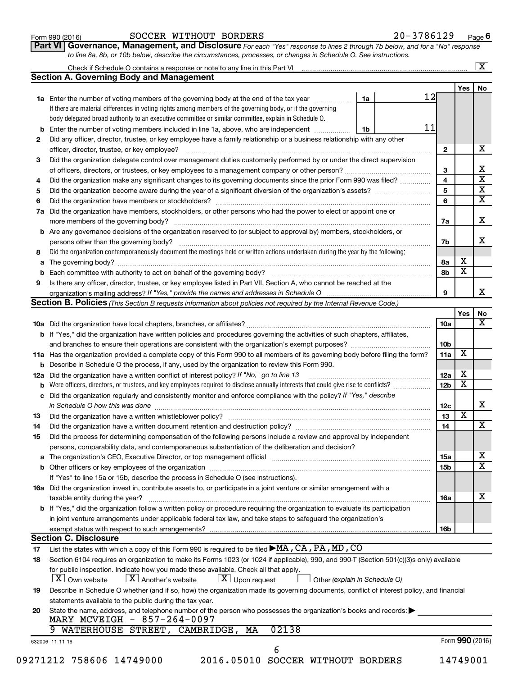| Form 990 (2016) |
|-----------------|
|-----------------|

# Form 990 (2016)  $\begin{array}{cccc} \text{SOCCER} & \text{WITHOUT} & \text{BORDERS} \end{array}$   $\begin{array}{cccc} 20-3786129 & \text{Page} \end{array}$

**Part VI** Governance, Management, and Disclosure For each "Yes" response to lines 2 through 7b below, and for a "No" response *to line 8a, 8b, or 10b below, describe the circumstances, processes, or changes in Schedule O. See instructions.*

|     | Check if Schedule O contains a response or note to any line in this Part VI [11] [12] Check if Schedule O contains a response or note to any line in this Part VI                              |                               |                 |                         | $\overline{\mathbf{X}}$      |  |  |  |  |  |  |  |
|-----|------------------------------------------------------------------------------------------------------------------------------------------------------------------------------------------------|-------------------------------|-----------------|-------------------------|------------------------------|--|--|--|--|--|--|--|
|     | <b>Section A. Governing Body and Management</b>                                                                                                                                                |                               |                 |                         |                              |  |  |  |  |  |  |  |
|     |                                                                                                                                                                                                |                               |                 | <b>Yes</b>              | No                           |  |  |  |  |  |  |  |
|     | 1a Enter the number of voting members of the governing body at the end of the tax year                                                                                                         | 1a                            | 12              |                         |                              |  |  |  |  |  |  |  |
|     | If there are material differences in voting rights among members of the governing body, or if the governing                                                                                    |                               |                 |                         |                              |  |  |  |  |  |  |  |
|     | body delegated broad authority to an executive committee or similar committee, explain in Schedule O.                                                                                          |                               |                 |                         |                              |  |  |  |  |  |  |  |
| b   | Enter the number of voting members included in line 1a, above, who are independent <i>manamer</i>                                                                                              | 1b                            | 11              |                         |                              |  |  |  |  |  |  |  |
| 2   | Did any officer, director, trustee, or key employee have a family relationship or a business relationship with any other                                                                       |                               |                 |                         |                              |  |  |  |  |  |  |  |
|     | officer, director, trustee, or key employee?                                                                                                                                                   |                               | $\mathbf{2}$    |                         | x                            |  |  |  |  |  |  |  |
| 3   | Did the organization delegate control over management duties customarily performed by or under the direct supervision                                                                          |                               | 3               |                         | х                            |  |  |  |  |  |  |  |
|     |                                                                                                                                                                                                |                               |                 |                         |                              |  |  |  |  |  |  |  |
| 4   | Did the organization make any significant changes to its governing documents since the prior Form 990 was filed?                                                                               |                               |                 |                         |                              |  |  |  |  |  |  |  |
| 5   |                                                                                                                                                                                                |                               |                 |                         |                              |  |  |  |  |  |  |  |
| 6   |                                                                                                                                                                                                |                               |                 |                         |                              |  |  |  |  |  |  |  |
| 7a  | Did the organization have members, stockholders, or other persons who had the power to elect or appoint one or                                                                                 |                               |                 |                         |                              |  |  |  |  |  |  |  |
|     |                                                                                                                                                                                                |                               | 7a              |                         | x                            |  |  |  |  |  |  |  |
|     | <b>b</b> Are any governance decisions of the organization reserved to (or subject to approval by) members, stockholders, or                                                                    |                               |                 |                         |                              |  |  |  |  |  |  |  |
|     | persons other than the governing body?                                                                                                                                                         |                               | 7b              |                         | x                            |  |  |  |  |  |  |  |
| 8   | Did the organization contemporaneously document the meetings held or written actions undertaken during the year by the following:                                                              |                               |                 |                         |                              |  |  |  |  |  |  |  |
|     |                                                                                                                                                                                                |                               | 8а              | х                       |                              |  |  |  |  |  |  |  |
|     |                                                                                                                                                                                                |                               | 8b              | $\overline{\mathbf{x}}$ |                              |  |  |  |  |  |  |  |
| 9   | Is there any officer, director, trustee, or key employee listed in Part VII, Section A, who cannot be reached at the                                                                           |                               |                 |                         |                              |  |  |  |  |  |  |  |
|     | organization's mailing address? If "Yes," provide the names and addresses in Schedule O manuminum manuminum man                                                                                |                               | 9               |                         | x                            |  |  |  |  |  |  |  |
|     | Section B. Policies (This Section B requests information about policies not required by the Internal Revenue Code.)                                                                            |                               |                 |                         |                              |  |  |  |  |  |  |  |
|     |                                                                                                                                                                                                |                               |                 | Yes                     | No.<br>$\overline{\text{X}}$ |  |  |  |  |  |  |  |
|     |                                                                                                                                                                                                |                               | 10a             |                         |                              |  |  |  |  |  |  |  |
|     | b If "Yes," did the organization have written policies and procedures governing the activities of such chapters, affiliates,                                                                   |                               |                 |                         |                              |  |  |  |  |  |  |  |
|     | and branches to ensure their operations are consistent with the organization's exempt purposes? <i>managereconominion</i>                                                                      |                               | 10 <sub>b</sub> |                         |                              |  |  |  |  |  |  |  |
|     | 11a Has the organization provided a complete copy of this Form 990 to all members of its governing body before filing the form?                                                                |                               | 11a             | $\overline{\mathbf{X}}$ |                              |  |  |  |  |  |  |  |
|     | <b>b</b> Describe in Schedule O the process, if any, used by the organization to review this Form 990.                                                                                         |                               |                 |                         |                              |  |  |  |  |  |  |  |
| 12a | Did the organization have a written conflict of interest policy? If "No," go to line 13                                                                                                        |                               | 12a             | х                       |                              |  |  |  |  |  |  |  |
| b   | Were officers, directors, or trustees, and key employees required to disclose annually interests that could give rise to conflicts?                                                            |                               | 12 <sub>b</sub> | $\overline{\text{x}}$   |                              |  |  |  |  |  |  |  |
|     | c Did the organization regularly and consistently monitor and enforce compliance with the policy? If "Yes," describe                                                                           |                               |                 |                         |                              |  |  |  |  |  |  |  |
|     | in Schedule O how this was done manufactured and continuum and contact the way to the set of the set of the schedule O how this was done                                                       |                               | 12 <sub>c</sub> |                         | х                            |  |  |  |  |  |  |  |
| 13  |                                                                                                                                                                                                |                               | 13              | $\overline{\textbf{x}}$ |                              |  |  |  |  |  |  |  |
| 14  | Did the organization have a written document retention and destruction policy? [11] manufaction manufaction in                                                                                 |                               | 14              |                         | $\overline{\text{X}}$        |  |  |  |  |  |  |  |
| 15  | Did the process for determining compensation of the following persons include a review and approval by independent                                                                             |                               |                 |                         |                              |  |  |  |  |  |  |  |
|     | persons, comparability data, and contemporaneous substantiation of the deliberation and decision?                                                                                              |                               |                 |                         |                              |  |  |  |  |  |  |  |
|     |                                                                                                                                                                                                |                               | 15a             |                         | х                            |  |  |  |  |  |  |  |
|     |                                                                                                                                                                                                |                               | 15b             |                         | $\overline{\text{x}}$        |  |  |  |  |  |  |  |
|     | If "Yes" to line 15a or 15b, describe the process in Schedule O (see instructions).                                                                                                            |                               |                 |                         |                              |  |  |  |  |  |  |  |
|     | 16a Did the organization invest in, contribute assets to, or participate in a joint venture or similar arrangement with a                                                                      |                               |                 |                         |                              |  |  |  |  |  |  |  |
|     | taxable entity during the year?                                                                                                                                                                |                               | 16a             |                         | Χ                            |  |  |  |  |  |  |  |
|     | b If "Yes," did the organization follow a written policy or procedure requiring the organization to evaluate its participation                                                                 |                               |                 |                         |                              |  |  |  |  |  |  |  |
|     | in joint venture arrangements under applicable federal tax law, and take steps to safeguard the organization's                                                                                 |                               |                 |                         |                              |  |  |  |  |  |  |  |
|     | exempt status with respect to such arrangements?                                                                                                                                               |                               | 16b             |                         |                              |  |  |  |  |  |  |  |
|     | <b>Section C. Disclosure</b>                                                                                                                                                                   |                               |                 |                         |                              |  |  |  |  |  |  |  |
| 17  | List the states with which a copy of this Form 990 is required to be filed ▶MA, CA, PA, MD, CO                                                                                                 |                               |                 |                         |                              |  |  |  |  |  |  |  |
| 18  | Section 6104 requires an organization to make its Forms 1023 (or 1024 if applicable), 990, and 990-T (Section 501(c)(3)s only) available                                                       |                               |                 |                         |                              |  |  |  |  |  |  |  |
|     | for public inspection. Indicate how you made these available. Check all that apply.<br>$\lfloor x \rfloor$ Another's website<br>$\lfloor x \rfloor$ Upon request<br>$ \mathbf{X} $ Own website | Other (explain in Schedule O) |                 |                         |                              |  |  |  |  |  |  |  |
| 19  | Describe in Schedule O whether (and if so, how) the organization made its governing documents, conflict of interest policy, and financial                                                      |                               |                 |                         |                              |  |  |  |  |  |  |  |
|     | statements available to the public during the tax year.                                                                                                                                        |                               |                 |                         |                              |  |  |  |  |  |  |  |
| 20  | State the name, address, and telephone number of the person who possesses the organization's books and records:                                                                                |                               |                 |                         |                              |  |  |  |  |  |  |  |
|     | MARY MCVEIGH - 857-264-0097                                                                                                                                                                    |                               |                 |                         |                              |  |  |  |  |  |  |  |
|     | WATERHOUSE STREET, CAMBRIDGE, MA<br>02138<br>632006 11-11-16                                                                                                                                   |                               |                 | Form 990 (2016)         |                              |  |  |  |  |  |  |  |
|     | 6                                                                                                                                                                                              |                               |                 |                         |                              |  |  |  |  |  |  |  |
|     | 09271212 758606 14749000<br>2016.05010 SOCCER WITHOUT BORDERS                                                                                                                                  |                               |                 | 14749001                |                              |  |  |  |  |  |  |  |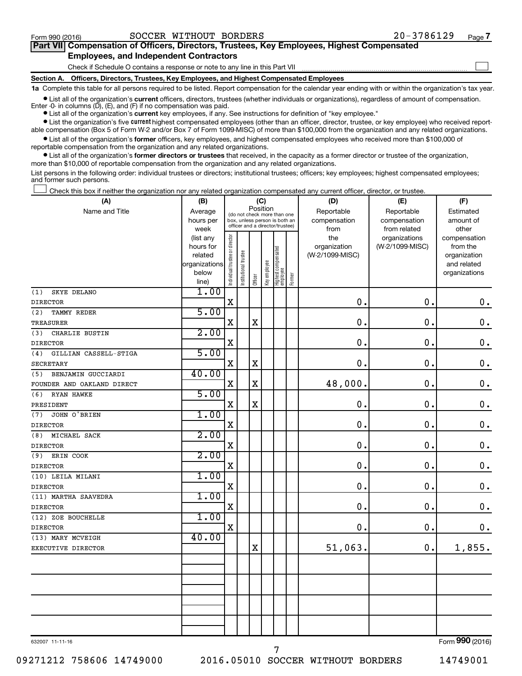$\Box$ 

| Part VII Compensation of Officers, Directors, Trustees, Key Employees, Highest Compensated |  |  |  |  |
|--------------------------------------------------------------------------------------------|--|--|--|--|
| <b>Employees, and Independent Contractors</b>                                              |  |  |  |  |

Check if Schedule O contains a response or note to any line in this Part VII

**Section A. Officers, Directors, Trustees, Key Employees, and Highest Compensated Employees**

**1a**  Complete this table for all persons required to be listed. Report compensation for the calendar year ending with or within the organization's tax year.

**•** List all of the organization's current officers, directors, trustees (whether individuals or organizations), regardless of amount of compensation. Enter -0- in columns  $(D)$ ,  $(E)$ , and  $(F)$  if no compensation was paid.

**•** List all of the organization's **current** key employees, if any. See instructions for definition of "key employee."

**•** List the organization's five current highest compensated employees (other than an officer, director, trustee, or key employee) who received reportable compensation (Box 5 of Form W-2 and/or Box 7 of Form 1099-MISC) of more than \$100,000 from the organization and any related organizations.

**•** List all of the organization's former officers, key employees, and highest compensated employees who received more than \$100,000 of reportable compensation from the organization and any related organizations.

**•** List all of the organization's former directors or trustees that received, in the capacity as a former director or trustee of the organization, more than \$10,000 of reportable compensation from the organization and any related organizations.

List persons in the following order: individual trustees or directors; institutional trustees; officers; key employees; highest compensated employees; and former such persons.

Check this box if neither the organization nor any related organization compensated any current officer, director, or trustee.  $\Box$ 

| (A)                          | (B)                    | (C)                                     |                                                                  |             |              |                                 |        | (D)             | (E)                              | (F)                      |  |  |
|------------------------------|------------------------|-----------------------------------------|------------------------------------------------------------------|-------------|--------------|---------------------------------|--------|-----------------|----------------------------------|--------------------------|--|--|
| Name and Title               | Average                | Position<br>(do not check more than one |                                                                  |             |              |                                 |        | Reportable      | Reportable                       | Estimated                |  |  |
|                              | hours per              |                                         | box, unless person is both an<br>officer and a director/trustee) |             |              |                                 |        | compensation    | compensation                     | amount of                |  |  |
|                              | week                   |                                         |                                                                  |             |              |                                 |        | from<br>the     | from related                     | other                    |  |  |
|                              | (list any<br>hours for |                                         |                                                                  |             |              |                                 |        | organization    | organizations<br>(W-2/1099-MISC) | compensation<br>from the |  |  |
|                              | related                |                                         |                                                                  |             |              |                                 |        | (W-2/1099-MISC) |                                  | organization             |  |  |
|                              | organizations          |                                         |                                                                  |             |              |                                 |        |                 |                                  | and related              |  |  |
|                              | below                  | Individual trustee or director          | Institutional trustee                                            |             | Key employee | Highest compensated<br>employee |        |                 |                                  | organizations            |  |  |
|                              | line)                  |                                         |                                                                  | Officer     |              |                                 | Former |                 |                                  |                          |  |  |
| SKYE DELANO<br>(1)           | 1.00                   |                                         |                                                                  |             |              |                                 |        |                 |                                  |                          |  |  |
| <b>DIRECTOR</b>              |                        | $\mathbf X$                             |                                                                  |             |              |                                 |        | $\mathbf 0$ .   | 0.                               | $\mathbf 0$ .            |  |  |
| (2)<br><b>TAMMY REDER</b>    | 5.00                   |                                         |                                                                  |             |              |                                 |        |                 |                                  |                          |  |  |
| TREASURER                    |                        | X                                       |                                                                  | $\mathbf X$ |              |                                 |        | 0               | $\mathbf 0$ .                    | $\mathbf 0$ .            |  |  |
| CHARLIE BUSTIN<br>(3)        | 2.00                   |                                         |                                                                  |             |              |                                 |        |                 |                                  |                          |  |  |
| <b>DIRECTOR</b>              |                        | X                                       |                                                                  |             |              |                                 |        | $\mathbf 0$     | 0.                               | $\mathbf 0$ .            |  |  |
| (4)<br>GILLIAN CASSELL-STIGA | 5.00                   |                                         |                                                                  |             |              |                                 |        |                 |                                  |                          |  |  |
| SECRETARY                    |                        | $\mathbf X$                             |                                                                  | $\mathbf X$ |              |                                 |        | 0.              | $\mathbf 0$ .                    | $\mathbf 0$ .            |  |  |
| BENJAMIN GUCCIARDI<br>(5)    | 40.00                  |                                         |                                                                  |             |              |                                 |        |                 |                                  |                          |  |  |
| FOUNDER AND OAKLAND DIRECT   |                        | $\mathbf X$                             |                                                                  | $\mathbf X$ |              |                                 |        | 48,000.         | $\mathbf 0$ .                    | $\mathbf 0$ .            |  |  |
| RYAN HAWKE<br>(6)            | 5.00                   |                                         |                                                                  |             |              |                                 |        |                 |                                  |                          |  |  |
| PRESIDENT                    |                        | $\mathbf X$                             |                                                                  | $\mathbf X$ |              |                                 |        | $\mathbf 0$     | $\mathbf 0$ .                    | $\mathbf 0$ .            |  |  |
| JOHN O'BRIEN<br>(7)          | 1.00                   |                                         |                                                                  |             |              |                                 |        |                 |                                  |                          |  |  |
| <b>DIRECTOR</b>              |                        | $\mathbf X$                             |                                                                  |             |              |                                 |        | $\mathbf 0$     | $\mathbf 0$ .                    | $\mathbf 0$ .            |  |  |
| MICHAEL SACK<br>(8)          | 2.00                   |                                         |                                                                  |             |              |                                 |        |                 |                                  |                          |  |  |
| <b>DIRECTOR</b>              |                        | $\mathbf X$                             |                                                                  |             |              |                                 |        | 0.              | $\mathbf 0$ .                    | $\mathbf 0$ .            |  |  |
| ERIN COOK<br>(9)             | 2.00                   |                                         |                                                                  |             |              |                                 |        |                 |                                  |                          |  |  |
| <b>DIRECTOR</b>              |                        | $\mathbf X$                             |                                                                  |             |              |                                 |        | 0.              | $\mathbf 0$ .                    | $\mathbf 0$ .            |  |  |
| (10) LEILA MILANI            | 1.00                   |                                         |                                                                  |             |              |                                 |        |                 |                                  |                          |  |  |
| <b>DIRECTOR</b>              |                        | $\mathbf X$                             |                                                                  |             |              |                                 |        | $\mathbf 0$     | $\mathbf 0$ .                    | $\mathbf 0$ .            |  |  |
| (11) MARTHA SAAVEDRA         | 1.00                   |                                         |                                                                  |             |              |                                 |        |                 |                                  |                          |  |  |
| <b>DIRECTOR</b>              |                        | $\mathbf X$                             |                                                                  |             |              |                                 |        | $\mathbf 0$ .   | $\mathbf 0$ .                    | $\mathbf 0$ .            |  |  |
| (12) ZOE BOUCHELLE           | 1.00                   |                                         |                                                                  |             |              |                                 |        |                 |                                  |                          |  |  |
| <b>DIRECTOR</b>              |                        | $\mathbf X$                             |                                                                  |             |              |                                 |        | $\mathbf 0$ .   | $\mathbf 0$ .                    | $\mathbf 0$ .            |  |  |
| (13) MARY MCVEIGH            | 40.00                  |                                         |                                                                  |             |              |                                 |        |                 |                                  |                          |  |  |
| EXECUTIVE DIRECTOR           |                        |                                         |                                                                  | $\mathbf X$ |              |                                 |        | 51,063.         | $\mathbf 0$ .                    | 1,855.                   |  |  |
|                              |                        |                                         |                                                                  |             |              |                                 |        |                 |                                  |                          |  |  |
|                              |                        |                                         |                                                                  |             |              |                                 |        |                 |                                  |                          |  |  |
|                              |                        |                                         |                                                                  |             |              |                                 |        |                 |                                  |                          |  |  |
|                              |                        |                                         |                                                                  |             |              |                                 |        |                 |                                  |                          |  |  |
|                              |                        |                                         |                                                                  |             |              |                                 |        |                 |                                  |                          |  |  |
|                              |                        |                                         |                                                                  |             |              |                                 |        |                 |                                  |                          |  |  |
|                              |                        |                                         |                                                                  |             |              |                                 |        |                 |                                  |                          |  |  |
|                              |                        |                                         |                                                                  |             |              |                                 |        |                 |                                  |                          |  |  |

632007 11-11-16

09271212 758606 14749000 2016.05010 SOCCER WITHOUT BORDERS 14749001

7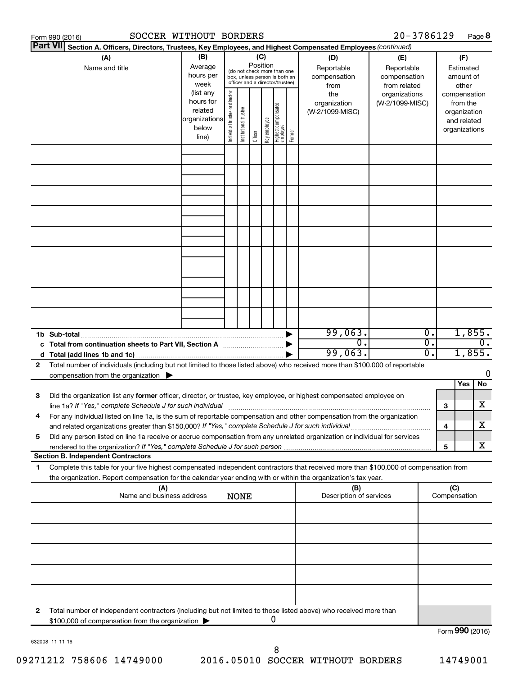|    | SOCCER WITHOUT BORDERS<br>Form 990 (2016)                                                                                                                                                                                                              |                                                                                                                                                           |                                |                       |         |              |                                   |        |                                           | 20-3786129                                        |          |                     |                                                                          | Page 8           |
|----|--------------------------------------------------------------------------------------------------------------------------------------------------------------------------------------------------------------------------------------------------------|-----------------------------------------------------------------------------------------------------------------------------------------------------------|--------------------------------|-----------------------|---------|--------------|-----------------------------------|--------|-------------------------------------------|---------------------------------------------------|----------|---------------------|--------------------------------------------------------------------------|------------------|
|    | <b>Part VII</b><br>Section A. Officers, Directors, Trustees, Key Employees, and Highest Compensated Employees (continued)                                                                                                                              |                                                                                                                                                           |                                |                       |         |              |                                   |        |                                           |                                                   |          |                     |                                                                          |                  |
|    | (A)<br>Name and title                                                                                                                                                                                                                                  | (B)<br>(C)<br>Position<br>Average<br>(do not check more than one<br>hours per<br>box, unless person is both an<br>officer and a director/trustee)<br>week |                                |                       |         |              |                                   |        | (D)<br>Reportable<br>compensation<br>from | (E)<br>Reportable<br>compensation<br>from related |          |                     | (F)<br>Estimated<br>amount of<br>other                                   |                  |
|    |                                                                                                                                                                                                                                                        | (list any<br>hours for<br>related<br>organizations<br>below<br>line)                                                                                      | Individual trustee or director | Institutional trustee | Officer | Key employee | Highest compensated<br>  employee | Former | the<br>organization<br>(W-2/1099-MISC)    | organizations<br>(W-2/1099-MISC)                  |          |                     | compensation<br>from the<br>organization<br>and related<br>organizations |                  |
|    |                                                                                                                                                                                                                                                        |                                                                                                                                                           |                                |                       |         |              |                                   |        |                                           |                                                   |          |                     |                                                                          |                  |
|    |                                                                                                                                                                                                                                                        |                                                                                                                                                           |                                |                       |         |              |                                   |        |                                           |                                                   |          |                     |                                                                          |                  |
|    |                                                                                                                                                                                                                                                        |                                                                                                                                                           |                                |                       |         |              |                                   |        |                                           |                                                   |          |                     |                                                                          |                  |
|    |                                                                                                                                                                                                                                                        |                                                                                                                                                           |                                |                       |         |              |                                   |        |                                           |                                                   |          |                     |                                                                          |                  |
|    |                                                                                                                                                                                                                                                        |                                                                                                                                                           |                                |                       |         |              |                                   |        |                                           |                                                   |          |                     |                                                                          |                  |
|    |                                                                                                                                                                                                                                                        |                                                                                                                                                           |                                |                       |         |              |                                   |        |                                           |                                                   |          |                     |                                                                          |                  |
|    |                                                                                                                                                                                                                                                        |                                                                                                                                                           |                                |                       |         |              |                                   |        |                                           |                                                   |          |                     |                                                                          |                  |
|    | 1b Sub-total                                                                                                                                                                                                                                           |                                                                                                                                                           |                                |                       |         |              |                                   |        | 99,063.                                   |                                                   | 0.       |                     | 1,855.                                                                   |                  |
|    | c Total from continuation sheets to Part VII, Section A manufactured by                                                                                                                                                                                |                                                                                                                                                           |                                |                       |         |              |                                   |        | $\overline{0}$ .<br>99,063.               |                                                   | σ.<br>Ο. |                     | 1,855.                                                                   | $\overline{0}$ . |
| 2  | Total number of individuals (including but not limited to those listed above) who received more than \$100,000 of reportable<br>compensation from the organization $\blacktriangleright$                                                               |                                                                                                                                                           |                                |                       |         |              |                                   |        |                                           |                                                   |          |                     | Yes                                                                      | 0<br>No          |
| 3  | Did the organization list any former officer, director, or trustee, key employee, or highest compensated employee on<br>line 1a? If "Yes," complete Schedule J for such individual manufactured content to the set of the set of the s                 |                                                                                                                                                           |                                |                       |         |              |                                   |        |                                           |                                                   |          | 3                   |                                                                          | х                |
|    | For any individual listed on line 1a, is the sum of reportable compensation and other compensation from the organization<br>and related organizations greater than \$150,000? If "Yes," complete Schedule J for such individual                        |                                                                                                                                                           |                                |                       |         |              |                                   |        |                                           |                                                   |          | 4                   |                                                                          | х                |
| 5  | Did any person listed on line 1a receive or accrue compensation from any unrelated organization or individual for services<br><b>Section B. Independent Contractors</b>                                                                                |                                                                                                                                                           |                                |                       |         |              |                                   |        |                                           |                                                   |          | 5                   |                                                                          | х                |
| 1. | Complete this table for your five highest compensated independent contractors that received more than \$100,000 of compensation from<br>the organization. Report compensation for the calendar year ending with or within the organization's tax year. |                                                                                                                                                           |                                |                       |         |              |                                   |        |                                           |                                                   |          |                     |                                                                          |                  |
|    | (A)<br>Name and business address                                                                                                                                                                                                                       |                                                                                                                                                           |                                | <b>NONE</b>           |         |              |                                   |        | (B)<br>Description of services            |                                                   |          | (C)<br>Compensation |                                                                          |                  |
|    |                                                                                                                                                                                                                                                        |                                                                                                                                                           |                                |                       |         |              |                                   |        |                                           |                                                   |          |                     |                                                                          |                  |
|    |                                                                                                                                                                                                                                                        |                                                                                                                                                           |                                |                       |         |              |                                   |        |                                           |                                                   |          |                     |                                                                          |                  |
|    |                                                                                                                                                                                                                                                        |                                                                                                                                                           |                                |                       |         |              |                                   |        |                                           |                                                   |          |                     |                                                                          |                  |
|    |                                                                                                                                                                                                                                                        |                                                                                                                                                           |                                |                       |         |              |                                   |        |                                           |                                                   |          |                     |                                                                          |                  |
| 2  | Total number of independent contractors (including but not limited to those listed above) who received more than<br>\$100,000 of compensation from the organization                                                                                    |                                                                                                                                                           |                                |                       |         |              | 0                                 |        |                                           |                                                   |          |                     |                                                                          |                  |
|    |                                                                                                                                                                                                                                                        |                                                                                                                                                           |                                |                       |         |              |                                   |        |                                           |                                                   |          | $Form$ 990 (2016)   |                                                                          |                  |

632008 11-11-16

Form (2016) **990**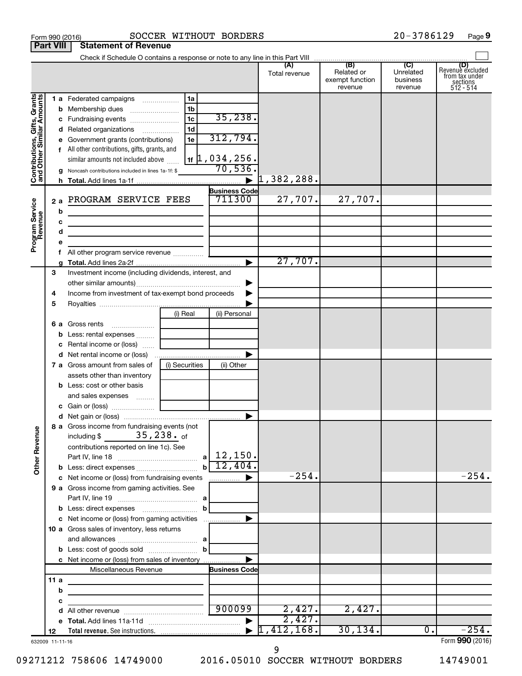|                                                           | Part VIII       | Statement of Revenue                                        |                |                            |                      |                                                 |                                         |                                                                    |
|-----------------------------------------------------------|-----------------|-------------------------------------------------------------|----------------|----------------------------|----------------------|-------------------------------------------------|-----------------------------------------|--------------------------------------------------------------------|
|                                                           |                 |                                                             |                |                            | (A)<br>Total revenue | (B)<br>Related or<br>exempt function<br>revenue | (C)<br>Unrelated<br>business<br>revenue | (D)<br>Revenue excluded<br>from tax under<br>sections<br>512 - 514 |
| Contributions, Gifts, Grants<br>and Other Similar Amounts |                 | 1 a Federated campaigns                                     | 1a             |                            |                      |                                                 |                                         |                                                                    |
|                                                           |                 |                                                             | 1b             |                            |                      |                                                 |                                         |                                                                    |
|                                                           |                 | c Fundraising events                                        | 1 <sub>c</sub> | 35, 238.                   |                      |                                                 |                                         |                                                                    |
|                                                           |                 | d Related organizations                                     | 1 <sub>d</sub> |                            |                      |                                                 |                                         |                                                                    |
|                                                           |                 | e Government grants (contributions)                         | 1e             | 312,794.                   |                      |                                                 |                                         |                                                                    |
|                                                           |                 | f All other contributions, gifts, grants, and               |                |                            |                      |                                                 |                                         |                                                                    |
|                                                           |                 | similar amounts not included above                          |                | $1$ f $\vert$ 1, 034, 256. |                      |                                                 |                                         |                                                                    |
|                                                           |                 | <b>g</b> Noncash contributions included in lines 1a-1f: \$  |                | 70,536.                    |                      |                                                 |                                         |                                                                    |
|                                                           |                 |                                                             |                | $\blacktriangleright$      | 1,382,288.           |                                                 |                                         |                                                                    |
|                                                           |                 |                                                             |                | <b>Business Code</b>       |                      |                                                 |                                         |                                                                    |
|                                                           | 2a              | PROGRAM SERVICE FEES                                        |                | 711300                     | 27,707.              | 27,707.                                         |                                         |                                                                    |
|                                                           | b               | the control of the control of the control of the control of |                |                            |                      |                                                 |                                         |                                                                    |
|                                                           | c               |                                                             |                |                            |                      |                                                 |                                         |                                                                    |
|                                                           | d               |                                                             |                |                            |                      |                                                 |                                         |                                                                    |
| Program Service<br>Revenue                                | е               |                                                             |                |                            |                      |                                                 |                                         |                                                                    |
|                                                           | f               |                                                             |                |                            |                      |                                                 |                                         |                                                                    |
|                                                           |                 |                                                             |                |                            | 27,707.              |                                                 |                                         |                                                                    |
|                                                           | З               | Investment income (including dividends, interest, and       |                |                            |                      |                                                 |                                         |                                                                    |
|                                                           |                 |                                                             |                | ▶                          |                      |                                                 |                                         |                                                                    |
|                                                           | 4               | Income from investment of tax-exempt bond proceeds          |                |                            |                      |                                                 |                                         |                                                                    |
|                                                           | 5               |                                                             |                |                            |                      |                                                 |                                         |                                                                    |
|                                                           |                 |                                                             | (i) Real       | (ii) Personal              |                      |                                                 |                                         |                                                                    |
|                                                           |                 | <b>6 a</b> Gross rents                                      |                |                            |                      |                                                 |                                         |                                                                    |
|                                                           |                 | <b>b</b> Less: rental expenses                              |                |                            |                      |                                                 |                                         |                                                                    |
|                                                           |                 | <b>c</b> Rental income or (loss) $\ldots$                   |                |                            |                      |                                                 |                                         |                                                                    |
|                                                           |                 |                                                             |                |                            |                      |                                                 |                                         |                                                                    |
|                                                           |                 | <b>7 a</b> Gross amount from sales of                       | (i) Securities | (ii) Other                 |                      |                                                 |                                         |                                                                    |
|                                                           |                 | assets other than inventory                                 |                |                            |                      |                                                 |                                         |                                                                    |
|                                                           |                 | <b>b</b> Less: cost or other basis                          |                |                            |                      |                                                 |                                         |                                                                    |
|                                                           |                 | and sales expenses                                          |                |                            |                      |                                                 |                                         |                                                                    |
|                                                           |                 |                                                             |                |                            |                      |                                                 |                                         |                                                                    |
|                                                           |                 |                                                             |                |                            |                      |                                                 |                                         |                                                                    |
|                                                           |                 | 8 a Gross income from fundraising events (not               |                |                            |                      |                                                 |                                         |                                                                    |
| Other Revenue                                             |                 | $35,238.$ of<br>including \$                                |                |                            |                      |                                                 |                                         |                                                                    |
|                                                           |                 | contributions reported on line 1c). See                     |                |                            |                      |                                                 |                                         |                                                                    |
|                                                           |                 |                                                             | al             | 12,150.                    |                      |                                                 |                                         |                                                                    |
|                                                           |                 |                                                             | $\mathbf b$    | 12,404.                    |                      |                                                 |                                         |                                                                    |
|                                                           |                 | c Net income or (loss) from fundraising events              |                | .                          | $-254.$              |                                                 |                                         | $-254.$                                                            |
|                                                           |                 | 9 a Gross income from gaming activities. See                |                |                            |                      |                                                 |                                         |                                                                    |
|                                                           |                 |                                                             |                |                            |                      |                                                 |                                         |                                                                    |
|                                                           |                 |                                                             | b              |                            |                      |                                                 |                                         |                                                                    |
|                                                           |                 | c Net income or (loss) from gaming activities               |                |                            |                      |                                                 |                                         |                                                                    |
|                                                           |                 | 10 a Gross sales of inventory, less returns                 |                |                            |                      |                                                 |                                         |                                                                    |
|                                                           |                 |                                                             |                |                            |                      |                                                 |                                         |                                                                    |
|                                                           |                 | <b>b</b> Less: cost of goods sold                           | b              |                            |                      |                                                 |                                         |                                                                    |
|                                                           |                 | c Net income or (loss) from sales of inventory              |                |                            |                      |                                                 |                                         |                                                                    |
|                                                           |                 | Miscellaneous Revenue                                       |                | <b>Business Code</b>       |                      |                                                 |                                         |                                                                    |
|                                                           | 11 a            |                                                             |                |                            |                      |                                                 |                                         |                                                                    |
|                                                           | b               |                                                             |                |                            |                      |                                                 |                                         |                                                                    |
|                                                           | с               |                                                             |                |                            |                      |                                                 |                                         |                                                                    |
|                                                           | d               |                                                             |                | 900099                     | 2,427.               | 2,427.                                          |                                         |                                                                    |
|                                                           |                 |                                                             |                |                            | 2,427.               |                                                 |                                         |                                                                    |
|                                                           | 12              |                                                             |                |                            | ,412,168.            | 30, 134.                                        | 0.                                      | $-254.$                                                            |
|                                                           | 632009 11-11-16 |                                                             |                |                            |                      |                                                 |                                         | Form 990 (2016)                                                    |

9

09271212 758606 14749000 2016.05010 SOCCER WITHOUT BORDERS 14749001

Form 990 (2016) Page SOCCER WITHOUT BORDERS 20-3786129 **9**

**Part VIII Statement Statement**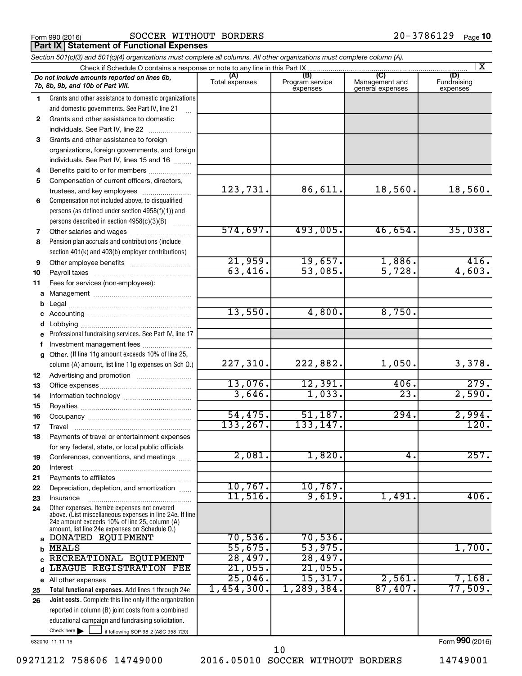**Part IX Statement of Functional Expenses**

## Form 990 (2016)  $\begin{array}{cccc} \text{SOCCER} & \text{WITHOUT} & \text{BORDERS} \end{array}$  20 – 378 6 1 29  $\begin{array}{cccc} \text{Page} & \text{Page} \end{array}$

| Section 501(c)(3) and 501(c)(4) organizations must complete all columns. All other organizations must complete column (A). |                                                                                                                                                             |                       |                                    |                                           |                                |  |  |  |
|----------------------------------------------------------------------------------------------------------------------------|-------------------------------------------------------------------------------------------------------------------------------------------------------------|-----------------------|------------------------------------|-------------------------------------------|--------------------------------|--|--|--|
| $\vert X \vert$<br>Check if Schedule O contains a response or note to any line in this Part IX                             |                                                                                                                                                             |                       |                                    |                                           |                                |  |  |  |
|                                                                                                                            | Do not include amounts reported on lines 6b,<br>7b, 8b, 9b, and 10b of Part VIII.                                                                           | (A)<br>Total expenses | (B)<br>Program service<br>expenses | (C)<br>Management and<br>general expenses | (D)<br>Fundraising<br>expenses |  |  |  |
| 1.                                                                                                                         | Grants and other assistance to domestic organizations                                                                                                       |                       |                                    |                                           |                                |  |  |  |
|                                                                                                                            | and domestic governments. See Part IV, line 21                                                                                                              |                       |                                    |                                           |                                |  |  |  |
| 2                                                                                                                          | Grants and other assistance to domestic                                                                                                                     |                       |                                    |                                           |                                |  |  |  |
|                                                                                                                            | individuals. See Part IV, line 22                                                                                                                           |                       |                                    |                                           |                                |  |  |  |
| 3                                                                                                                          | Grants and other assistance to foreign                                                                                                                      |                       |                                    |                                           |                                |  |  |  |
|                                                                                                                            | organizations, foreign governments, and foreign                                                                                                             |                       |                                    |                                           |                                |  |  |  |
|                                                                                                                            | individuals. See Part IV, lines 15 and 16                                                                                                                   |                       |                                    |                                           |                                |  |  |  |
| 4                                                                                                                          | Benefits paid to or for members                                                                                                                             |                       |                                    |                                           |                                |  |  |  |
| 5                                                                                                                          | Compensation of current officers, directors,                                                                                                                |                       |                                    |                                           |                                |  |  |  |
|                                                                                                                            | trustees, and key employees                                                                                                                                 | 123,731.              | 86,611.                            | 18,560.                                   | 18,560.                        |  |  |  |
| 6                                                                                                                          | Compensation not included above, to disqualified                                                                                                            |                       |                                    |                                           |                                |  |  |  |
|                                                                                                                            | persons (as defined under section 4958(f)(1)) and                                                                                                           |                       |                                    |                                           |                                |  |  |  |
|                                                                                                                            | persons described in section 4958(c)(3)(B)                                                                                                                  |                       |                                    |                                           |                                |  |  |  |
| 7                                                                                                                          | Other salaries and wages                                                                                                                                    | 574,697.              | 493,005.                           | 46,654.                                   | 35,038.                        |  |  |  |
| 8                                                                                                                          | Pension plan accruals and contributions (include                                                                                                            |                       |                                    |                                           |                                |  |  |  |
|                                                                                                                            | section 401(k) and 403(b) employer contributions)                                                                                                           |                       |                                    |                                           |                                |  |  |  |
| 9                                                                                                                          |                                                                                                                                                             | 21,959.               | 19,657.                            | 1,886.                                    | 416.                           |  |  |  |
| 10                                                                                                                         |                                                                                                                                                             | 63,416.               | 53,085.                            | 5,728.                                    | 4,603.                         |  |  |  |
| 11                                                                                                                         | Fees for services (non-employees):                                                                                                                          |                       |                                    |                                           |                                |  |  |  |
| a                                                                                                                          |                                                                                                                                                             |                       |                                    |                                           |                                |  |  |  |
| b                                                                                                                          |                                                                                                                                                             |                       |                                    |                                           |                                |  |  |  |
| c                                                                                                                          |                                                                                                                                                             | 13,550.               | 4,800.                             | 8,750.                                    |                                |  |  |  |
| d                                                                                                                          |                                                                                                                                                             |                       |                                    |                                           |                                |  |  |  |
| е                                                                                                                          | Professional fundraising services. See Part IV, line 17                                                                                                     |                       |                                    |                                           |                                |  |  |  |
| f                                                                                                                          | Investment management fees                                                                                                                                  |                       |                                    |                                           |                                |  |  |  |
| $\mathbf{q}$                                                                                                               | Other. (If line 11g amount exceeds 10% of line 25,                                                                                                          |                       |                                    |                                           |                                |  |  |  |
|                                                                                                                            | column (A) amount, list line 11g expenses on Sch O.)                                                                                                        | 227, 310.             | 222,882.                           | 1,050.                                    | 3,378.                         |  |  |  |
| 12                                                                                                                         |                                                                                                                                                             |                       |                                    |                                           |                                |  |  |  |
| 13                                                                                                                         |                                                                                                                                                             | 13,076.               | 12,391.                            | 406.                                      | 279.                           |  |  |  |
| 14                                                                                                                         |                                                                                                                                                             | 3,646.                | 1,033.                             | $\overline{23}$                           | 2,590.                         |  |  |  |
| 15                                                                                                                         |                                                                                                                                                             |                       |                                    |                                           |                                |  |  |  |
| 16                                                                                                                         |                                                                                                                                                             | 54,475.<br>133,267.   | 51,187.<br>133,147.                | 294.                                      | 2,994.<br>120.                 |  |  |  |
| 17                                                                                                                         |                                                                                                                                                             |                       |                                    |                                           |                                |  |  |  |
| 18                                                                                                                         | Payments of travel or entertainment expenses                                                                                                                |                       |                                    |                                           |                                |  |  |  |
|                                                                                                                            | for any federal, state, or local public officials                                                                                                           | 2,081.                | 1,820.                             | 4.                                        | 257.                           |  |  |  |
| 19                                                                                                                         | Conferences, conventions, and meetings                                                                                                                      |                       |                                    |                                           |                                |  |  |  |
| 20                                                                                                                         | Interest                                                                                                                                                    |                       |                                    |                                           |                                |  |  |  |
| 21                                                                                                                         |                                                                                                                                                             | 10,767.               | 10,767.                            |                                           |                                |  |  |  |
| 22                                                                                                                         | Depreciation, depletion, and amortization                                                                                                                   | $11,516$ .            | 9,619.                             | 1,491                                     | 406.                           |  |  |  |
| 23                                                                                                                         | Insurance<br>Other expenses. Itemize expenses not covered                                                                                                   |                       |                                    |                                           |                                |  |  |  |
| 24                                                                                                                         | above. (List miscellaneous expenses in line 24e. If line<br>24e amount exceeds 10% of line 25, column (A)<br>amount, list line 24e expenses on Schedule O.) |                       |                                    |                                           |                                |  |  |  |
| a                                                                                                                          | DONATED EQUIPMENT                                                                                                                                           | 70,536.               | 70,536.                            |                                           |                                |  |  |  |
| b                                                                                                                          | <b>MEALS</b>                                                                                                                                                | 55,675.               | 53,975.                            |                                           | 1,700.                         |  |  |  |
| C.                                                                                                                         | RECREATIONAL EQUIPMENT                                                                                                                                      | 28,497.               | 28,497.                            |                                           |                                |  |  |  |
| d                                                                                                                          | LEAGUE REGISTRATION FEE                                                                                                                                     | $21,055$ .            | 21,055.                            |                                           |                                |  |  |  |
|                                                                                                                            | e All other expenses                                                                                                                                        | 25,046.               | 15,317.                            | 2,561                                     | 7,168.                         |  |  |  |
| 25                                                                                                                         | Total functional expenses. Add lines 1 through 24e                                                                                                          | 1,454,300.            | 1,289,384.                         | 87,407.                                   | 77,509.                        |  |  |  |
| 26                                                                                                                         | Joint costs. Complete this line only if the organization                                                                                                    |                       |                                    |                                           |                                |  |  |  |
|                                                                                                                            | reported in column (B) joint costs from a combined                                                                                                          |                       |                                    |                                           |                                |  |  |  |
|                                                                                                                            | educational campaign and fundraising solicitation.                                                                                                          |                       |                                    |                                           |                                |  |  |  |
|                                                                                                                            | Check here $\blacktriangleright$<br>if following SOP 98-2 (ASC 958-720)                                                                                     |                       |                                    |                                           |                                |  |  |  |

632010 11-11-16

09271212 758606 14749000 2016.05010 SOCCER WITHOUT BORDERS 14749001 10

Form (2016) **990**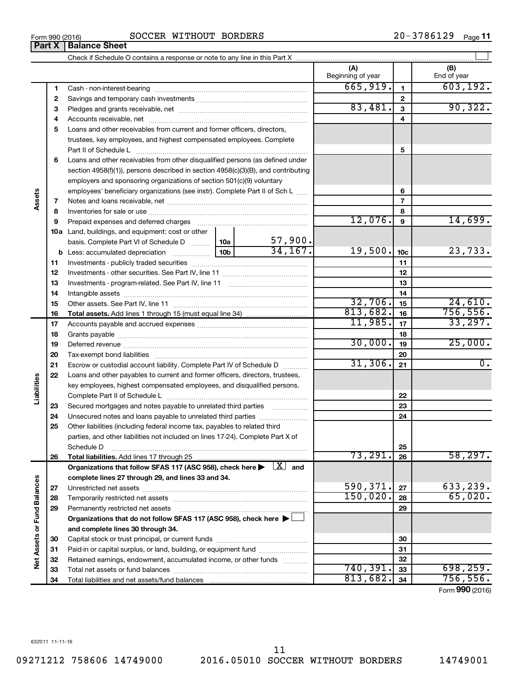**34**

Total liabilities and net assets/fund balances

**Net Assets or Fund Balances**

Net Assets or Fund Balances

| 7  |                                                                                                                            |                 | $\overline{7}$          |           |                 |                  |
|----|----------------------------------------------------------------------------------------------------------------------------|-----------------|-------------------------|-----------|-----------------|------------------|
| 8  |                                                                                                                            |                 | 8                       |           |                 |                  |
| 9  | Prepaid expenses and deferred charges                                                                                      | 12,076.         | $\mathbf{9}$            | 14,699.   |                 |                  |
|    | <b>10a</b> Land, buildings, and equipment: cost or other                                                                   |                 |                         |           |                 |                  |
|    | basis. Complete Part VI of Schedule D  10a                                                                                 |                 | $\frac{57,900}{34,167}$ |           |                 |                  |
| b  | Less: accumulated depreciation                                                                                             | 10 <sub>b</sub> |                         | 19,500.   | 10 <sub>c</sub> | 23,733.          |
| 11 |                                                                                                                            |                 |                         |           | 11              |                  |
| 12 |                                                                                                                            |                 |                         |           | 12              |                  |
| 13 |                                                                                                                            |                 |                         |           | 13              |                  |
| 14 |                                                                                                                            |                 |                         |           | 14              |                  |
| 15 |                                                                                                                            |                 |                         | 32,706.   | 15              | 24,610.          |
| 16 |                                                                                                                            |                 |                         | 813,682.  | 16              | 756, 556.        |
| 17 |                                                                                                                            |                 |                         | 11,985.   | 17              | 33,297.          |
| 18 |                                                                                                                            |                 |                         |           | 18              |                  |
| 19 |                                                                                                                            |                 |                         | 30,000.   | 19              | 25,000.          |
| 20 |                                                                                                                            |                 |                         |           | 20              |                  |
| 21 | Escrow or custodial account liability. Complete Part IV of Schedule D                                                      |                 |                         | 31,306.   | 21              | $\overline{0}$ . |
| 22 | Loans and other payables to current and former officers, directors, trustees,                                              |                 |                         |           |                 |                  |
|    | key employees, highest compensated employees, and disqualified persons.                                                    |                 |                         |           |                 |                  |
|    |                                                                                                                            |                 |                         |           | 22              |                  |
| 23 |                                                                                                                            |                 |                         |           | 23              |                  |
| 24 |                                                                                                                            |                 |                         |           | 24              |                  |
| 25 | Other liabilities (including federal income tax, payables to related third                                                 |                 |                         |           |                 |                  |
|    | parties, and other liabilities not included on lines 17-24). Complete Part X of                                            |                 |                         |           |                 |                  |
|    | Schedule D                                                                                                                 |                 |                         |           | 25              |                  |
| 26 |                                                                                                                            |                 |                         | 73,291.   | 26              | 58, 297.         |
|    | Organizations that follow SFAS 117 (ASC 958), check here $\blacktriangleright \begin{array}{c} \perp X \\ \end{array}$ and |                 |                         |           |                 |                  |
|    | complete lines 27 through 29, and lines 33 and 34.                                                                         |                 |                         |           |                 |                  |
| 27 |                                                                                                                            |                 |                         | 590,371.  | 27              | 633,239.         |
| 28 |                                                                                                                            |                 |                         | 150,020.  | 28              | 65,020.          |
| 29 | Permanently restricted net assets                                                                                          |                 |                         |           | 29              |                  |
|    | Organizations that do not follow SFAS 117 (ASC 958), check here ▶ □                                                        |                 |                         |           |                 |                  |
|    | and complete lines 30 through 34.                                                                                          |                 |                         |           |                 |                  |
| 30 |                                                                                                                            |                 |                         |           | 30              |                  |
| 31 | Paid-in or capital surplus, or land, building, or equipment fund                                                           |                 |                         |           | 31              |                  |
| 32 | Retained earnings, endowment, accumulated income, or other funds                                                           |                 |                         |           | 32              |                  |
| 33 | Total net assets or fund balances                                                                                          | 740, 391.       | 33                      | 698, 259. |                 |                  |

### Form 990 (2016)  $\begin{array}{cccc} \text{SOCCER} & \text{WITHOUT} & \text{BORDERS} \end{array}$  20 – 378 6 1 29  $\begin{array}{cccc} \text{Page} & \text{Page} \end{array}$ **Part X** | **Balance Sheet**

Check if Schedule O contains a response or note to any line in this Part X

**3** Pledges and grants receivable, net ~~~~~~~~~~~~~~~~~~~~~ **4** Accounts receivable, net ~~~~~~~~~~~~~~~~~~~~~~~~~~ **5** Loans and other receivables from current and former officers, directors,

**6** Loans and other receivables from other disqualified persons (as defined under

employers and sponsoring organizations of section 501(c)(9) voluntary

section 4958(f)(1)), persons described in section 4958(c)(3)(B), and contributing

employees' beneficiary organizations (see instr). Complete Part II of Sch L ......

trustees, key employees, and highest compensated employees. Complete Part II of Schedule L ~~~~~~~~~~~~~~~~~~~~~~~~~~~~ 20-3786129 <sub>Page</sub> 11

 $\perp$ 

**(A) (B)**

Beginning of year  $\parallel$  | End of year

 $665,919.$  | 1 | 603,192.

 $83,481. | 3 | 90,322.$ 

**5**

**6 7**

**34**

 $813,682.$  34 756,556.

Form (2016) **990**

**1 2** Cash - non-interest-bearing ~~~~~~~~~~~~~~~~~~~~~~~~~ Savings and temporary cash investments ~~~~~~~~~~~~~~~~~~

**Assets**

**Liabilities**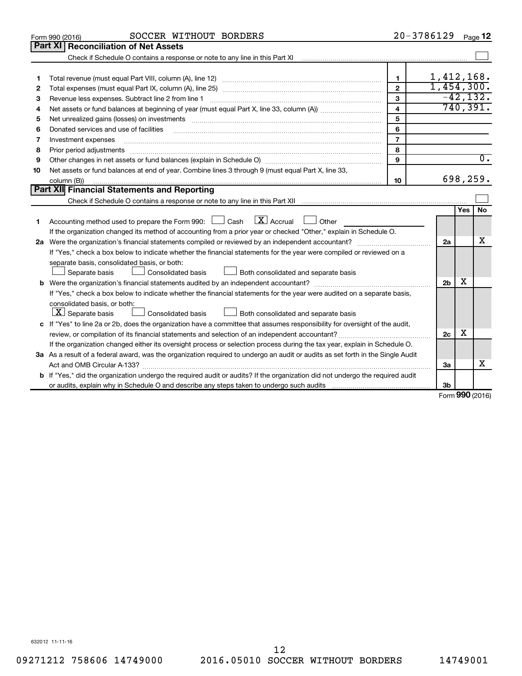|    | SOCCER WITHOUT BORDERS<br>Form 990 (2016)                                                                                            |                | 20-3786129     |        | Page 12          |
|----|--------------------------------------------------------------------------------------------------------------------------------------|----------------|----------------|--------|------------------|
|    | Part XI<br><b>Reconciliation of Net Assets</b>                                                                                       |                |                |        |                  |
|    |                                                                                                                                      |                |                |        |                  |
|    |                                                                                                                                      |                |                |        |                  |
| 1  |                                                                                                                                      | 1              | 1,412,168.     |        |                  |
| 2  |                                                                                                                                      | $\overline{2}$ | 1,454,300.     |        |                  |
| 3  | Revenue less expenses. Subtract line 2 from line 1                                                                                   | 3              |                |        | $-42, 132.$      |
| 4  |                                                                                                                                      | 4              |                |        | 740, 391.        |
| 5  | Net unrealized gains (losses) on investments [11] Martin Martin Martin Martin Martin Martin Martin Martin Marti                      | 5              |                |        |                  |
| 6  | Donated services and use of facilities                                                                                               | 6              |                |        |                  |
| 7  | Investment expenses                                                                                                                  | $\overline{7}$ |                |        |                  |
| 8  | Prior period adjustments                                                                                                             | 8              |                |        |                  |
| 9  |                                                                                                                                      | 9              |                |        | $\overline{0}$ . |
| 10 | Net assets or fund balances at end of year. Combine lines 3 through 9 (must equal Part X, line 33,                                   |                |                |        |                  |
|    | column (B))                                                                                                                          | 10             |                |        | 698,259.         |
|    | Part XII Financial Statements and Reporting                                                                                          |                |                |        |                  |
|    |                                                                                                                                      |                |                |        |                  |
|    |                                                                                                                                      |                |                | Yes    | No               |
| 1  | $\lfloor \mathbf{X} \rfloor$ Accrual<br>Accounting method used to prepare the Form 990: [130] Cash<br>$\Box$ Other                   |                |                |        |                  |
|    | If the organization changed its method of accounting from a prior year or checked "Other," explain in Schedule O.                    |                |                |        |                  |
|    |                                                                                                                                      |                | 2a             |        | x                |
|    | If "Yes," check a box below to indicate whether the financial statements for the year were compiled or reviewed on a                 |                |                |        |                  |
|    | separate basis, consolidated basis, or both:                                                                                         |                |                |        |                  |
|    | Both consolidated and separate basis<br>Separate basis<br>Consolidated basis                                                         |                |                |        |                  |
|    |                                                                                                                                      |                | 2 <sub>b</sub> | х      |                  |
|    | If "Yes," check a box below to indicate whether the financial statements for the year were audited on a separate basis,              |                |                |        |                  |
|    | consolidated basis, or both:                                                                                                         |                |                |        |                  |
|    | $ \mathbf{X} $ Separate basis<br>Consolidated basis<br>Both consolidated and separate basis                                          |                |                |        |                  |
|    | c If "Yes" to line 2a or 2b, does the organization have a committee that assumes responsibility for oversight of the audit,          |                |                |        |                  |
|    |                                                                                                                                      |                | 2c             | х      |                  |
|    | If the organization changed either its oversight process or selection process during the tax year, explain in Schedule O.            |                |                |        |                  |
|    | 3a As a result of a federal award, was the organization required to undergo an audit or audits as set forth in the Single Audit      |                |                |        |                  |
|    |                                                                                                                                      |                | За             |        | x                |
|    | <b>b</b> If "Yes," did the organization undergo the required audit or audits? If the organization did not undergo the required audit |                |                |        |                  |
|    |                                                                                                                                      |                | 3b             | $\sim$ |                  |

Form (2016) **990**

632012 11-11-16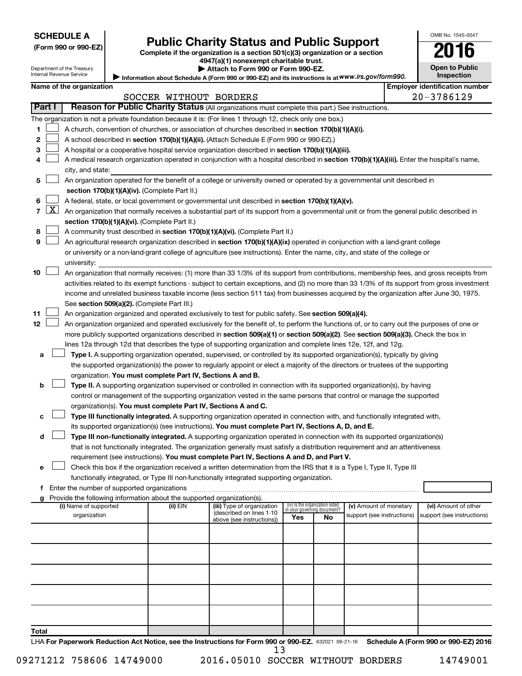| <b>SCHEDULE A</b> |  |
|-------------------|--|
|-------------------|--|

# Form 990 or 990-EZ)<br>
Complete if the organization is a section 501(c)(3) organization or a section<br> **2016**

**4947(a)(1) nonexempt charitable trust. | Attach to Form 990 or Form 990-EZ.** 

|  | <b>Open to Public</b> |
|--|-----------------------|
|  | <b>Inspection</b>     |

OMB No. 1545-0047

Department of the Treasury Internal Revenue Service

| Information about Schedule A (Form 990 or 990-EZ) and its instructions is at WWW.irs.gov/form990. |  |
|---------------------------------------------------------------------------------------------------|--|
|                                                                                                   |  |

|        | <b>Employer identification number</b><br>Name of the organization                                                         |                                                                                                                                               |                        |                                                        |     |                                                                |                                                      |  |                                                    |  |
|--------|---------------------------------------------------------------------------------------------------------------------------|-----------------------------------------------------------------------------------------------------------------------------------------------|------------------------|--------------------------------------------------------|-----|----------------------------------------------------------------|------------------------------------------------------|--|----------------------------------------------------|--|
|        |                                                                                                                           |                                                                                                                                               | SOCCER WITHOUT BORDERS |                                                        |     |                                                                |                                                      |  | 20-3786129                                         |  |
| Part I |                                                                                                                           | Reason for Public Charity Status (All organizations must complete this part.) See instructions.                                               |                        |                                                        |     |                                                                |                                                      |  |                                                    |  |
|        |                                                                                                                           | The organization is not a private foundation because it is: (For lines 1 through 12, check only one box.)                                     |                        |                                                        |     |                                                                |                                                      |  |                                                    |  |
| 1      |                                                                                                                           | A church, convention of churches, or association of churches described in section 170(b)(1)(A)(i).                                            |                        |                                                        |     |                                                                |                                                      |  |                                                    |  |
| 2      |                                                                                                                           | A school described in section 170(b)(1)(A)(ii). (Attach Schedule E (Form 990 or 990-EZ).)                                                     |                        |                                                        |     |                                                                |                                                      |  |                                                    |  |
| 3      |                                                                                                                           | A hospital or a cooperative hospital service organization described in section 170(b)(1)(A)(iii).                                             |                        |                                                        |     |                                                                |                                                      |  |                                                    |  |
| 4      |                                                                                                                           | A medical research organization operated in conjunction with a hospital described in section 170(b)(1)(A)(iii). Enter the hospital's name,    |                        |                                                        |     |                                                                |                                                      |  |                                                    |  |
|        | city, and state:                                                                                                          |                                                                                                                                               |                        |                                                        |     |                                                                |                                                      |  |                                                    |  |
| 5      | An organization operated for the benefit of a college or university owned or operated by a governmental unit described in |                                                                                                                                               |                        |                                                        |     |                                                                |                                                      |  |                                                    |  |
|        |                                                                                                                           | section $170(b)(1)(A)(iv)$ . (Complete Part II.)                                                                                              |                        |                                                        |     |                                                                |                                                      |  |                                                    |  |
| 6      |                                                                                                                           | A federal, state, or local government or governmental unit described in section 170(b)(1)(A)(v).                                              |                        |                                                        |     |                                                                |                                                      |  |                                                    |  |
| 7      | $\lfloor x \rfloor$                                                                                                       | An organization that normally receives a substantial part of its support from a governmental unit or from the general public described in     |                        |                                                        |     |                                                                |                                                      |  |                                                    |  |
|        |                                                                                                                           | section 170(b)(1)(A)(vi). (Complete Part II.)                                                                                                 |                        |                                                        |     |                                                                |                                                      |  |                                                    |  |
| 8      |                                                                                                                           | A community trust described in section 170(b)(1)(A)(vi). (Complete Part II.)                                                                  |                        |                                                        |     |                                                                |                                                      |  |                                                    |  |
| 9      |                                                                                                                           | An agricultural research organization described in section 170(b)(1)(A)(ix) operated in conjunction with a land-grant college                 |                        |                                                        |     |                                                                |                                                      |  |                                                    |  |
|        |                                                                                                                           | or university or a non-land-grant college of agriculture (see instructions). Enter the name, city, and state of the college or                |                        |                                                        |     |                                                                |                                                      |  |                                                    |  |
|        |                                                                                                                           | university:                                                                                                                                   |                        |                                                        |     |                                                                |                                                      |  |                                                    |  |
| 10     |                                                                                                                           | An organization that normally receives: (1) more than 33 1/3% of its support from contributions, membership fees, and gross receipts from     |                        |                                                        |     |                                                                |                                                      |  |                                                    |  |
|        |                                                                                                                           | activities related to its exempt functions - subject to certain exceptions, and (2) no more than 33 1/3% of its support from gross investment |                        |                                                        |     |                                                                |                                                      |  |                                                    |  |
|        |                                                                                                                           | income and unrelated business taxable income (less section 511 tax) from businesses acquired by the organization after June 30, 1975.         |                        |                                                        |     |                                                                |                                                      |  |                                                    |  |
|        |                                                                                                                           | See section 509(a)(2). (Complete Part III.)                                                                                                   |                        |                                                        |     |                                                                |                                                      |  |                                                    |  |
| 11     |                                                                                                                           | An organization organized and operated exclusively to test for public safety. See section 509(a)(4).                                          |                        |                                                        |     |                                                                |                                                      |  |                                                    |  |
| 12     |                                                                                                                           | An organization organized and operated exclusively for the benefit of, to perform the functions of, or to carry out the purposes of one or    |                        |                                                        |     |                                                                |                                                      |  |                                                    |  |
|        |                                                                                                                           | more publicly supported organizations described in section 509(a)(1) or section 509(a)(2). See section 509(a)(3). Check the box in            |                        |                                                        |     |                                                                |                                                      |  |                                                    |  |
|        |                                                                                                                           | lines 12a through 12d that describes the type of supporting organization and complete lines 12e, 12f, and 12g.                                |                        |                                                        |     |                                                                |                                                      |  |                                                    |  |
| а      |                                                                                                                           | Type I. A supporting organization operated, supervised, or controlled by its supported organization(s), typically by giving                   |                        |                                                        |     |                                                                |                                                      |  |                                                    |  |
|        |                                                                                                                           | the supported organization(s) the power to regularly appoint or elect a majority of the directors or trustees of the supporting               |                        |                                                        |     |                                                                |                                                      |  |                                                    |  |
|        |                                                                                                                           | organization. You must complete Part IV, Sections A and B.                                                                                    |                        |                                                        |     |                                                                |                                                      |  |                                                    |  |
| b      |                                                                                                                           | Type II. A supporting organization supervised or controlled in connection with its supported organization(s), by having                       |                        |                                                        |     |                                                                |                                                      |  |                                                    |  |
|        |                                                                                                                           | control or management of the supporting organization vested in the same persons that control or manage the supported                          |                        |                                                        |     |                                                                |                                                      |  |                                                    |  |
|        |                                                                                                                           | organization(s). You must complete Part IV, Sections A and C.                                                                                 |                        |                                                        |     |                                                                |                                                      |  |                                                    |  |
| с      |                                                                                                                           | Type III functionally integrated. A supporting organization operated in connection with, and functionally integrated with,                    |                        |                                                        |     |                                                                |                                                      |  |                                                    |  |
|        |                                                                                                                           | its supported organization(s) (see instructions). You must complete Part IV, Sections A, D, and E.                                            |                        |                                                        |     |                                                                |                                                      |  |                                                    |  |
| d      |                                                                                                                           | Type III non-functionally integrated. A supporting organization operated in connection with its supported organization(s)                     |                        |                                                        |     |                                                                |                                                      |  |                                                    |  |
|        |                                                                                                                           | that is not functionally integrated. The organization generally must satisfy a distribution requirement and an attentiveness                  |                        |                                                        |     |                                                                |                                                      |  |                                                    |  |
|        |                                                                                                                           | requirement (see instructions). You must complete Part IV, Sections A and D, and Part V.                                                      |                        |                                                        |     |                                                                |                                                      |  |                                                    |  |
| е      |                                                                                                                           | Check this box if the organization received a written determination from the IRS that it is a Type I, Type II, Type III                       |                        |                                                        |     |                                                                |                                                      |  |                                                    |  |
|        |                                                                                                                           | functionally integrated, or Type III non-functionally integrated supporting organization.                                                     |                        |                                                        |     |                                                                |                                                      |  |                                                    |  |
|        |                                                                                                                           | f Enter the number of supported organizations                                                                                                 |                        |                                                        |     |                                                                |                                                      |  |                                                    |  |
|        |                                                                                                                           | g Provide the following information about the supported organization(s).                                                                      |                        |                                                        |     |                                                                |                                                      |  |                                                    |  |
|        |                                                                                                                           | (i) Name of supported<br>organization                                                                                                         | (ii) EIN               | (iii) Type of organization<br>(described on lines 1-10 |     | (iv) Is the organization listed<br>in your governing document? | (v) Amount of monetary<br>support (see instructions) |  | (vi) Amount of other<br>support (see instructions) |  |
|        |                                                                                                                           |                                                                                                                                               |                        | above (see instructions))                              | Yes | No.                                                            |                                                      |  |                                                    |  |
|        |                                                                                                                           |                                                                                                                                               |                        |                                                        |     |                                                                |                                                      |  |                                                    |  |
|        |                                                                                                                           |                                                                                                                                               |                        |                                                        |     |                                                                |                                                      |  |                                                    |  |
|        |                                                                                                                           |                                                                                                                                               |                        |                                                        |     |                                                                |                                                      |  |                                                    |  |
|        |                                                                                                                           |                                                                                                                                               |                        |                                                        |     |                                                                |                                                      |  |                                                    |  |
|        |                                                                                                                           |                                                                                                                                               |                        |                                                        |     |                                                                |                                                      |  |                                                    |  |
|        |                                                                                                                           |                                                                                                                                               |                        |                                                        |     |                                                                |                                                      |  |                                                    |  |
|        |                                                                                                                           |                                                                                                                                               |                        |                                                        |     |                                                                |                                                      |  |                                                    |  |
|        |                                                                                                                           |                                                                                                                                               |                        |                                                        |     |                                                                |                                                      |  |                                                    |  |
|        |                                                                                                                           |                                                                                                                                               |                        |                                                        |     |                                                                |                                                      |  |                                                    |  |
|        |                                                                                                                           |                                                                                                                                               |                        |                                                        |     |                                                                |                                                      |  |                                                    |  |

LHA For Paperwork Reduction Act Notice, see the Instructions for Form 990 or 990-EZ. 632021 09-21-16 Schedule A (Form 990 or 990-EZ) 2016 13

**Total**

09271212 758606 14749000 2016.05010 SOCCER WITHOUT BORDERS 14749001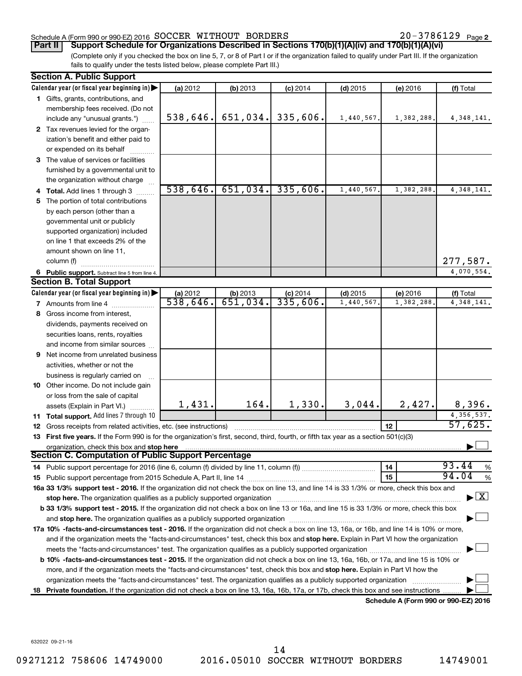# Schedule A (Form 990 or 990-EZ) 2016 SOCCER WITHOUT BORDERS  $20-3786129$  Page

20-3786129 Page 2

(Complete only if you checked the box on line 5, 7, or 8 of Part I or if the organization failed to qualify under Part III. If the organization **Part II Support Schedule for Organizations Described in Sections 170(b)(1)(A)(iv) and 170(b)(1)(A)(vi)**

fails to qualify under the tests listed below, please complete Part III.)

|     | <b>Section A. Public Support</b>                                                                                                                                                                                               |          |                         |            |            |                                      |               |
|-----|--------------------------------------------------------------------------------------------------------------------------------------------------------------------------------------------------------------------------------|----------|-------------------------|------------|------------|--------------------------------------|---------------|
|     | Calendar year (or fiscal year beginning in)                                                                                                                                                                                    | (a) 2012 | (b) 2013                | $(c)$ 2014 | $(d)$ 2015 | (e) 2016                             | (f) Total     |
|     | 1 Gifts, grants, contributions, and                                                                                                                                                                                            |          |                         |            |            |                                      |               |
|     | membership fees received. (Do not                                                                                                                                                                                              |          |                         |            |            |                                      |               |
|     | include any "unusual grants.")                                                                                                                                                                                                 | 538,646. | 651,034.                | 335,606.   | 1,440,567. | 1,382,288.                           | 4, 348, 141.  |
|     | 2 Tax revenues levied for the organ-                                                                                                                                                                                           |          |                         |            |            |                                      |               |
|     | ization's benefit and either paid to                                                                                                                                                                                           |          |                         |            |            |                                      |               |
|     | or expended on its behalf                                                                                                                                                                                                      |          |                         |            |            |                                      |               |
|     | 3 The value of services or facilities                                                                                                                                                                                          |          |                         |            |            |                                      |               |
|     | furnished by a governmental unit to                                                                                                                                                                                            |          |                         |            |            |                                      |               |
|     | the organization without charge                                                                                                                                                                                                |          |                         |            |            |                                      |               |
|     | 4 Total. Add lines 1 through 3                                                                                                                                                                                                 | 538,646. | 651,034.                | 335,606.   | 1,440,567  | 1,382,288.                           | 4, 348, 141.  |
| 5.  | The portion of total contributions                                                                                                                                                                                             |          |                         |            |            |                                      |               |
|     | by each person (other than a                                                                                                                                                                                                   |          |                         |            |            |                                      |               |
|     | governmental unit or publicly                                                                                                                                                                                                  |          |                         |            |            |                                      |               |
|     | supported organization) included                                                                                                                                                                                               |          |                         |            |            |                                      |               |
|     | on line 1 that exceeds 2% of the                                                                                                                                                                                               |          |                         |            |            |                                      |               |
|     | amount shown on line 11,                                                                                                                                                                                                       |          |                         |            |            |                                      |               |
|     | column (f)                                                                                                                                                                                                                     |          |                         |            |            |                                      | 277,587.      |
|     | 6 Public support. Subtract line 5 from line 4.                                                                                                                                                                                 |          |                         |            |            |                                      | 4,070,554.    |
|     | <b>Section B. Total Support</b>                                                                                                                                                                                                |          |                         |            |            |                                      |               |
|     | Calendar year (or fiscal year beginning in)                                                                                                                                                                                    | (a) 2012 | $(b)$ 2013<br>651, 034. | $(c)$ 2014 | $(d)$ 2015 | (e) 2016                             | (f) Total     |
|     | 7 Amounts from line 4                                                                                                                                                                                                          | 538,646. |                         | 335,606.   | 1,440,567  | 1,382,288.                           | 4, 348, 141.  |
| 8   | Gross income from interest,                                                                                                                                                                                                    |          |                         |            |            |                                      |               |
|     | dividends, payments received on                                                                                                                                                                                                |          |                         |            |            |                                      |               |
|     | securities loans, rents, royalties                                                                                                                                                                                             |          |                         |            |            |                                      |               |
|     | and income from similar sources                                                                                                                                                                                                |          |                         |            |            |                                      |               |
|     | <b>9</b> Net income from unrelated business                                                                                                                                                                                    |          |                         |            |            |                                      |               |
|     | activities, whether or not the                                                                                                                                                                                                 |          |                         |            |            |                                      |               |
|     | business is regularly carried on                                                                                                                                                                                               |          |                         |            |            |                                      |               |
|     | 10 Other income. Do not include gain                                                                                                                                                                                           |          |                         |            |            |                                      |               |
|     | or loss from the sale of capital                                                                                                                                                                                               |          |                         |            |            |                                      |               |
|     | assets (Explain in Part VI.)                                                                                                                                                                                                   | 1,431.   | 164.                    | 1,330.     | 3,044.     | 2,427.                               | 8,396.        |
|     | 11 Total support. Add lines 7 through 10                                                                                                                                                                                       |          |                         |            |            |                                      | 4,356,537.    |
|     | 12 Gross receipts from related activities, etc. (see instructions)                                                                                                                                                             |          |                         |            |            | 12                                   | 57,625.       |
|     | 13 First five years. If the Form 990 is for the organization's first, second, third, fourth, or fifth tax year as a section 501(c)(3)                                                                                          |          |                         |            |            |                                      |               |
|     | organization, check this box and stop here                                                                                                                                                                                     |          |                         |            |            |                                      |               |
|     | Section C. Computation of Public Support Percentage                                                                                                                                                                            |          |                         |            |            |                                      |               |
|     | 14 Public support percentage for 2016 (line 6, column (f) divided by line 11, column (f) <i>mummumumum</i>                                                                                                                     |          |                         |            |            | 14                                   | 93.44<br>%    |
|     |                                                                                                                                                                                                                                |          |                         |            |            | 15                                   | 94.04<br>$\%$ |
|     | 16a 33 1/3% support test - 2016. If the organization did not check the box on line 13, and line 14 is 33 1/3% or more, check this box and                                                                                      |          |                         |            |            |                                      |               |
|     | stop here. The organization qualifies as a publicly supported organization manufaction manufacture or the organization manufacture or the organization manufacture or the organization of the state of the state of the state  |          |                         |            |            |                                      | $\mathbf{X}$  |
|     | b 33 1/3% support test - 2015. If the organization did not check a box on line 13 or 16a, and line 15 is 33 1/3% or more, check this box                                                                                       |          |                         |            |            |                                      |               |
|     | and stop here. The organization qualifies as a publicly supported organization [11] manuscription manuscription manuscription manuscription manuscription manuscription and starting and an analyze of the organization manusc |          |                         |            |            |                                      |               |
|     | 17a 10% -facts-and-circumstances test - 2016. If the organization did not check a box on line 13, 16a, or 16b, and line 14 is 10% or more,                                                                                     |          |                         |            |            |                                      |               |
|     | and if the organization meets the "facts-and-circumstances" test, check this box and stop here. Explain in Part VI how the organization                                                                                        |          |                         |            |            |                                      |               |
|     | meets the "facts-and-circumstances" test. The organization qualifies as a publicly supported organization <i>manumumumum</i>                                                                                                   |          |                         |            |            |                                      |               |
|     | b 10% -facts-and-circumstances test - 2015. If the organization did not check a box on line 13, 16a, 16b, or 17a, and line 15 is 10% or                                                                                        |          |                         |            |            |                                      |               |
|     | more, and if the organization meets the "facts-and-circumstances" test, check this box and stop here. Explain in Part VI how the                                                                                               |          |                         |            |            |                                      |               |
|     | organization meets the "facts-and-circumstances" test. The organization qualifies as a publicly supported organization                                                                                                         |          |                         |            |            |                                      |               |
| 18. | Private foundation. If the organization did not check a box on line 13, 16a, 16b, 17a, or 17b, check this box and see instructions                                                                                             |          |                         |            |            |                                      |               |
|     |                                                                                                                                                                                                                                |          |                         |            |            | Schedule A (Form 990 or 990-EZ) 2016 |               |

**Schedule A (Form 990 or 990-EZ) 2016**

632022 09-21-16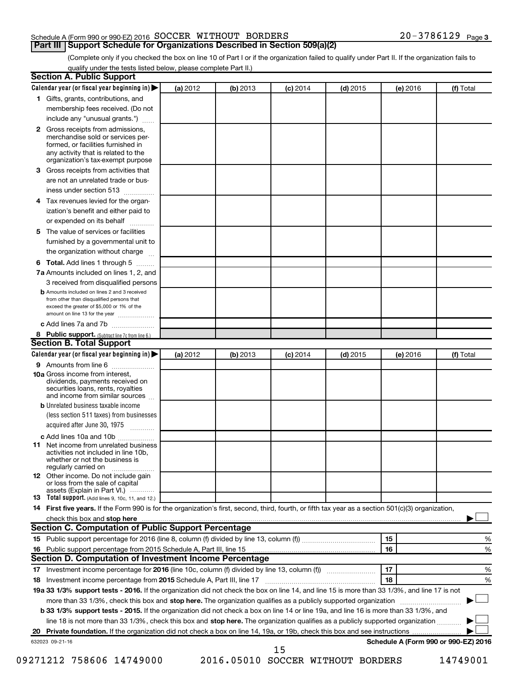# Schedule A (Form 990 or 990-EZ) 2016 SOCCER WITHOUT BORDERS  $20-3786129$  Page

**Part III | Support Schedule for Organizations Described in Section 509(a)(2)** 

(Complete only if you checked the box on line 10 of Part I or if the organization failed to qualify under Part II. If the organization fails to qualify under the tests listed below, please complete Part II.)

|    | <b>Section A. Public Support</b>                                                                                                                                                         |          |          |            |            |          |                                      |
|----|------------------------------------------------------------------------------------------------------------------------------------------------------------------------------------------|----------|----------|------------|------------|----------|--------------------------------------|
|    | Calendar year (or fiscal year beginning in)                                                                                                                                              | (a) 2012 | (b) 2013 | $(c)$ 2014 | $(d)$ 2015 | (e) 2016 | (f) Total                            |
|    | 1 Gifts, grants, contributions, and                                                                                                                                                      |          |          |            |            |          |                                      |
|    | membership fees received. (Do not                                                                                                                                                        |          |          |            |            |          |                                      |
|    | include any "unusual grants.")                                                                                                                                                           |          |          |            |            |          |                                      |
|    | 2 Gross receipts from admissions,<br>merchandise sold or services per-<br>formed, or facilities furnished in<br>any activity that is related to the<br>organization's tax-exempt purpose |          |          |            |            |          |                                      |
|    | 3 Gross receipts from activities that                                                                                                                                                    |          |          |            |            |          |                                      |
|    | are not an unrelated trade or bus-                                                                                                                                                       |          |          |            |            |          |                                      |
|    | iness under section 513                                                                                                                                                                  |          |          |            |            |          |                                      |
|    | 4 Tax revenues levied for the organ-                                                                                                                                                     |          |          |            |            |          |                                      |
|    | ization's benefit and either paid to                                                                                                                                                     |          |          |            |            |          |                                      |
|    | or expended on its behalf                                                                                                                                                                |          |          |            |            |          |                                      |
|    | 5 The value of services or facilities                                                                                                                                                    |          |          |            |            |          |                                      |
|    | furnished by a governmental unit to                                                                                                                                                      |          |          |            |            |          |                                      |
|    | the organization without charge                                                                                                                                                          |          |          |            |            |          |                                      |
|    | 6 Total. Add lines 1 through 5                                                                                                                                                           |          |          |            |            |          |                                      |
|    | 7a Amounts included on lines 1, 2, and                                                                                                                                                   |          |          |            |            |          |                                      |
|    | 3 received from disqualified persons                                                                                                                                                     |          |          |            |            |          |                                      |
|    | <b>b</b> Amounts included on lines 2 and 3 received<br>from other than disqualified persons that<br>exceed the greater of \$5,000 or 1% of the<br>amount on line 13 for the year         |          |          |            |            |          |                                      |
|    | c Add lines 7a and 7b                                                                                                                                                                    |          |          |            |            |          |                                      |
|    | 8 Public support. (Subtract line 7c from line 6.)                                                                                                                                        |          |          |            |            |          |                                      |
|    | <b>Section B. Total Support</b>                                                                                                                                                          |          |          |            |            |          |                                      |
|    | Calendar year (or fiscal year beginning in)                                                                                                                                              | (a) 2012 | (b) 2013 | $(c)$ 2014 | $(d)$ 2015 | (e) 2016 | (f) Total                            |
|    | 9 Amounts from line 6                                                                                                                                                                    |          |          |            |            |          |                                      |
|    | <b>10a</b> Gross income from interest,<br>dividends, payments received on<br>securities loans, rents, royalties<br>and income from similar sources                                       |          |          |            |            |          |                                      |
|    | <b>b</b> Unrelated business taxable income<br>(less section 511 taxes) from businesses                                                                                                   |          |          |            |            |          |                                      |
|    | acquired after June 30, 1975<br>$\cdots$                                                                                                                                                 |          |          |            |            |          |                                      |
|    | c Add lines 10a and 10b                                                                                                                                                                  |          |          |            |            |          |                                      |
|    | <b>11</b> Net income from unrelated business<br>activities not included in line 10b.<br>whether or not the business is<br>regularly carried on                                           |          |          |            |            |          |                                      |
|    | <b>12</b> Other income. Do not include gain<br>or loss from the sale of capital<br>assets (Explain in Part VI.)                                                                          |          |          |            |            |          |                                      |
|    | <b>13</b> Total support. (Add lines 9, 10c, 11, and 12.)                                                                                                                                 |          |          |            |            |          |                                      |
|    | 14 First five years. If the Form 990 is for the organization's first, second, third, fourth, or fifth tax year as a section 501(c)(3) organization,                                      |          |          |            |            |          |                                      |
|    | check this box and stop here                                                                                                                                                             |          |          |            |            |          |                                      |
|    | Section C. Computation of Public Support Percentage                                                                                                                                      |          |          |            |            |          |                                      |
|    |                                                                                                                                                                                          |          |          |            |            | 15       | %                                    |
|    | 16 Public support percentage from 2015 Schedule A, Part III, line 15                                                                                                                     |          |          |            |            | 16       | %                                    |
|    | Section D. Computation of Investment Income Percentage                                                                                                                                   |          |          |            |            |          |                                      |
|    |                                                                                                                                                                                          |          |          |            |            | 17       | ℅                                    |
|    | 18 Investment income percentage from 2015 Schedule A, Part III, line 17                                                                                                                  |          |          |            |            | 18       | %                                    |
|    | 19a 33 1/3% support tests - 2016. If the organization did not check the box on line 14, and line 15 is more than 33 1/3%, and line 17 is not                                             |          |          |            |            |          |                                      |
|    | more than 33 1/3%, check this box and stop here. The organization qualifies as a publicly supported organization                                                                         |          |          |            |            |          |                                      |
|    | <b>b 33 1/3% support tests - 2015.</b> If the organization did not check a box on line 14 or line 19a, and line 16 is more than 33 1/3%, and                                             |          |          |            |            |          |                                      |
|    | line 18 is not more than 33 1/3%, check this box and stop here. The organization qualifies as a publicly supported organization                                                          |          |          |            |            |          |                                      |
| 20 |                                                                                                                                                                                          |          |          |            |            |          |                                      |
|    | 632023 09-21-16                                                                                                                                                                          |          |          | 15         |            |          | Schedule A (Form 990 or 990-EZ) 2016 |

09271212 758606 14749000 2016.05010 SOCCER WITHOUT BORDERS 14749001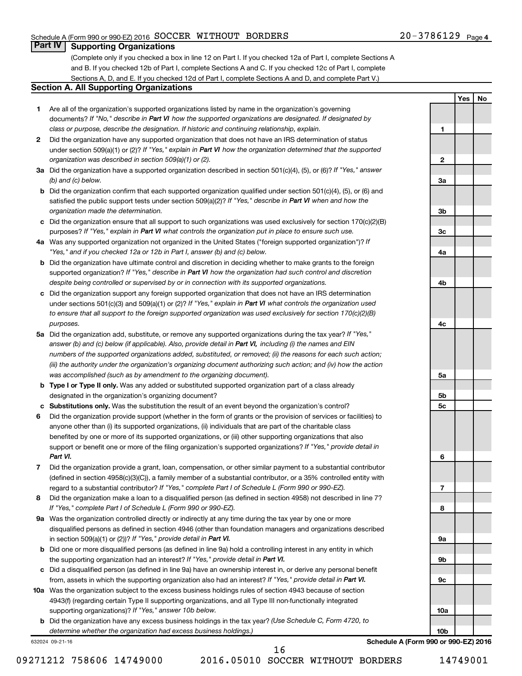# Schedule A (Form 990 or 990-EZ) 2016 SOCCER WITHOUT BORDERS  $20-3786129$  Page

**1**

**2**

**3a**

**3b**

**3c**

**4a**

**4b**

**4c**

**5a**

**5b 5c**

**6**

**7**

**8**

**9a**

**9b**

**9c**

**10a**

**10b**

**Yes No**

# **Part IV Supporting Organizations**

(Complete only if you checked a box in line 12 on Part I. If you checked 12a of Part I, complete Sections A and B. If you checked 12b of Part I, complete Sections A and C. If you checked 12c of Part I, complete Sections A, D, and E. If you checked 12d of Part I, complete Sections A and D, and complete Part V.)

# **Section A. All Supporting Organizations**

- **1** Are all of the organization's supported organizations listed by name in the organization's governing documents? If "No," describe in Part VI how the supported organizations are designated. If designated by *class or purpose, describe the designation. If historic and continuing relationship, explain.*
- **2** Did the organization have any supported organization that does not have an IRS determination of status under section 509(a)(1) or (2)? If "Yes," explain in Part VI how the organization determined that the supported *organization was described in section 509(a)(1) or (2).*
- **3a** Did the organization have a supported organization described in section 501(c)(4), (5), or (6)? If "Yes," answer *(b) and (c) below.*
- **b** Did the organization confirm that each supported organization qualified under section 501(c)(4), (5), or (6) and satisfied the public support tests under section 509(a)(2)? If "Yes," describe in Part VI when and how the *organization made the determination.*
- **c** Did the organization ensure that all support to such organizations was used exclusively for section 170(c)(2)(B) purposes? If "Yes," explain in Part VI what controls the organization put in place to ensure such use.
- **4 a** *If* Was any supported organization not organized in the United States ("foreign supported organization")? *"Yes," and if you checked 12a or 12b in Part I, answer (b) and (c) below.*
- **b** Did the organization have ultimate control and discretion in deciding whether to make grants to the foreign supported organization? If "Yes," describe in Part VI how the organization had such control and discretion *despite being controlled or supervised by or in connection with its supported organizations.*
- **c** Did the organization support any foreign supported organization that does not have an IRS determination under sections 501(c)(3) and 509(a)(1) or (2)? If "Yes," explain in Part VI what controls the organization used *to ensure that all support to the foreign supported organization was used exclusively for section 170(c)(2)(B) purposes.*
- **5a** Did the organization add, substitute, or remove any supported organizations during the tax year? If "Yes," answer (b) and (c) below (if applicable). Also, provide detail in Part VI, including (i) the names and EIN *numbers of the supported organizations added, substituted, or removed; (ii) the reasons for each such action; (iii) the authority under the organization's organizing document authorizing such action; and (iv) how the action was accomplished (such as by amendment to the organizing document).*
- **b Type I or Type II only.** Was any added or substituted supported organization part of a class already designated in the organization's organizing document?
- **c Substitutions only.**  Was the substitution the result of an event beyond the organization's control?
- **6** Did the organization provide support (whether in the form of grants or the provision of services or facilities) to support or benefit one or more of the filing organization's supported organizations? If "Yes," provide detail in anyone other than (i) its supported organizations, (ii) individuals that are part of the charitable class benefited by one or more of its supported organizations, or (iii) other supporting organizations that also *Part VI.*
- **7** Did the organization provide a grant, loan, compensation, or other similar payment to a substantial contributor regard to a substantial contributor? If "Yes," complete Part I of Schedule L (Form 990 or 990-EZ). (defined in section 4958(c)(3)(C)), a family member of a substantial contributor, or a 35% controlled entity with
- **8** Did the organization make a loan to a disqualified person (as defined in section 4958) not described in line 7? *If "Yes," complete Part I of Schedule L (Form 990 or 990-EZ).*
- **9 a** Was the organization controlled directly or indirectly at any time during the tax year by one or more in section 509(a)(1) or (2))? If "Yes," provide detail in Part VI. disqualified persons as defined in section 4946 (other than foundation managers and organizations described
- **b** Did one or more disqualified persons (as defined in line 9a) hold a controlling interest in any entity in which the supporting organization had an interest? If "Yes," provide detail in Part VI.
- **c** Did a disqualified person (as defined in line 9a) have an ownership interest in, or derive any personal benefit from, assets in which the supporting organization also had an interest? If "Yes," provide detail in Part VI.
- **10 a** Was the organization subject to the excess business holdings rules of section 4943 because of section supporting organizations)? If "Yes," answer 10b below. 4943(f) (regarding certain Type II supporting organizations, and all Type III non-functionally integrated
	- **b** Did the organization have any excess business holdings in the tax year? (Use Schedule C, Form 4720, to *determine whether the organization had excess business holdings.)*

632024 09-21-16

**Schedule A (Form 990 or 990-EZ) 2016**

09271212 758606 14749000 2016.05010 SOCCER WITHOUT BORDERS 14749001 16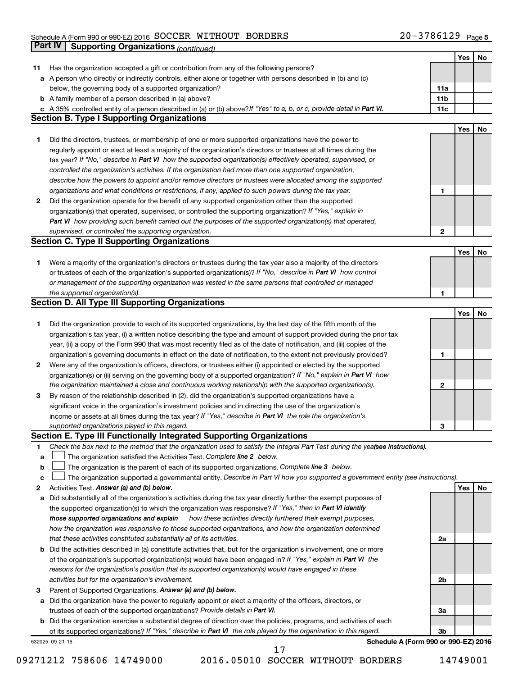#### Schedule A (Form 990 or 990-EZ) 2016 Page SOCCER WITHOUT BORDERS 20-3786129

|    | Part IV<br><b>Supporting Organizations (continued)</b>                                                                          |                 |     |    |
|----|---------------------------------------------------------------------------------------------------------------------------------|-----------------|-----|----|
|    |                                                                                                                                 |                 | Yes | No |
| 11 | Has the organization accepted a gift or contribution from any of the following persons?                                         |                 |     |    |
|    | a A person who directly or indirectly controls, either alone or together with persons described in (b) and (c)                  |                 |     |    |
|    | below, the governing body of a supported organization?                                                                          | 11a             |     |    |
|    | <b>b</b> A family member of a person described in (a) above?                                                                    | 11 <sub>b</sub> |     |    |
|    | c A 35% controlled entity of a person described in (a) or (b) above? If "Yes" to a, b, or c, provide detail in Part VI.         | 11c             |     |    |
|    | <b>Section B. Type I Supporting Organizations</b>                                                                               |                 |     |    |
|    |                                                                                                                                 |                 | Yes | No |
| 1  | Did the directors, trustees, or membership of one or more supported organizations have the power to                             |                 |     |    |
|    | regularly appoint or elect at least a majority of the organization's directors or trustees at all times during the              |                 |     |    |
|    |                                                                                                                                 |                 |     |    |
|    | tax year? If "No," describe in Part VI how the supported organization(s) effectively operated, supervised, or                   |                 |     |    |
|    | controlled the organization's activities. If the organization had more than one supported organization,                         |                 |     |    |
|    | describe how the powers to appoint and/or remove directors or trustees were allocated among the supported                       |                 |     |    |
|    | organizations and what conditions or restrictions, if any, applied to such powers during the tax year.                          | 1               |     |    |
| 2  | Did the organization operate for the benefit of any supported organization other than the supported                             |                 |     |    |
|    | organization(s) that operated, supervised, or controlled the supporting organization? If "Yes," explain in                      |                 |     |    |
|    | Part VI how providing such benefit carried out the purposes of the supported organization(s) that operated,                     |                 |     |    |
|    | supervised, or controlled the supporting organization.                                                                          | 2               |     |    |
|    | <b>Section C. Type II Supporting Organizations</b>                                                                              |                 |     |    |
|    |                                                                                                                                 |                 | Yes | No |
| 1. | Were a majority of the organization's directors or trustees during the tax year also a majority of the directors                |                 |     |    |
|    | or trustees of each of the organization's supported organization(s)? If "No," describe in Part VI how control                   |                 |     |    |
|    | or management of the supporting organization was vested in the same persons that controlled or managed                          |                 |     |    |
|    | the supported organization(s).                                                                                                  | 1               |     |    |
|    | <b>Section D. All Type III Supporting Organizations</b>                                                                         |                 |     |    |
|    |                                                                                                                                 |                 | Yes | No |
| 1  | Did the organization provide to each of its supported organizations, by the last day of the fifth month of the                  |                 |     |    |
|    | organization's tax year, (i) a written notice describing the type and amount of support provided during the prior tax           |                 |     |    |
|    | year, (ii) a copy of the Form 990 that was most recently filed as of the date of notification, and (iii) copies of the          |                 |     |    |
|    | organization's governing documents in effect on the date of notification, to the extent not previously provided?                | 1               |     |    |
| 2  | Were any of the organization's officers, directors, or trustees either (i) appointed or elected by the supported                |                 |     |    |
|    | organization(s) or (ii) serving on the governing body of a supported organization? If "No," explain in Part VI how              |                 |     |    |
|    | the organization maintained a close and continuous working relationship with the supported organization(s).                     | 2               |     |    |
| 3  | By reason of the relationship described in (2), did the organization's supported organizations have a                           |                 |     |    |
|    | significant voice in the organization's investment policies and in directing the use of the organization's                      |                 |     |    |
|    | income or assets at all times during the tax year? If "Yes," describe in Part VI the role the organization's                    |                 |     |    |
|    | supported organizations played in this regard.                                                                                  | з               |     |    |
|    | Section E. Type III Functionally Integrated Supporting Organizations                                                            |                 |     |    |
| 1  | Check the box next to the method that the organization used to satisfy the Integral Part Test during the yeafsee instructions). |                 |     |    |
| a  | The organization satisfied the Activities Test. Complete line 2 below.                                                          |                 |     |    |
| b  | The organization is the parent of each of its supported organizations. Complete line 3 below.                                   |                 |     |    |
| с  | The organization supported a governmental entity. Describe in Part VI how you supported a government entity (see instructions). |                 |     |    |
| 2  | Activities Test. Answer (a) and (b) below.                                                                                      |                 | Yes | No |
| а  | Did substantially all of the organization's activities during the tax year directly further the exempt purposes of              |                 |     |    |
|    | the supported organization(s) to which the organization was responsive? If "Yes," then in Part VI identify                      |                 |     |    |
|    | those supported organizations and explain<br>how these activities directly furthered their exempt purposes,                     |                 |     |    |
|    | how the organization was responsive to those supported organizations, and how the organization determined                       |                 |     |    |
|    |                                                                                                                                 |                 |     |    |
|    | that these activities constituted substantially all of its activities.                                                          | 2a              |     |    |
|    | b Did the activities described in (a) constitute activities that, but for the organization's involvement, one or more           |                 |     |    |
|    | of the organization's supported organization(s) would have been engaged in? If "Yes," explain in Part VI the                    |                 |     |    |
|    | reasons for the organization's position that its supported organization(s) would have engaged in these                          |                 |     |    |
|    | activities but for the organization's involvement.                                                                              | 2b              |     |    |
| з  | Parent of Supported Organizations. Answer (a) and (b) below.                                                                    |                 |     |    |
| а  | Did the organization have the power to regularly appoint or elect a majority of the officers, directors, or                     |                 |     |    |
|    | trustees of each of the supported organizations? Provide details in Part VI.                                                    | За              |     |    |
|    | <b>b</b> Did the organization exercise a substantial degree of direction over the policies, programs, and activities of each    |                 |     |    |
|    | of its supported organizations? If "Yes," describe in Part VI the role played by the organization in this regard.               | 3b              |     |    |
|    | Schedule A (Form 990 or 990-EZ) 2016<br>632025 09-21-16                                                                         |                 |     |    |
|    | 17                                                                                                                              |                 |     |    |

09271212 758606 14749000 2016.05010 SOCCER WITHOUT BORDERS 14749001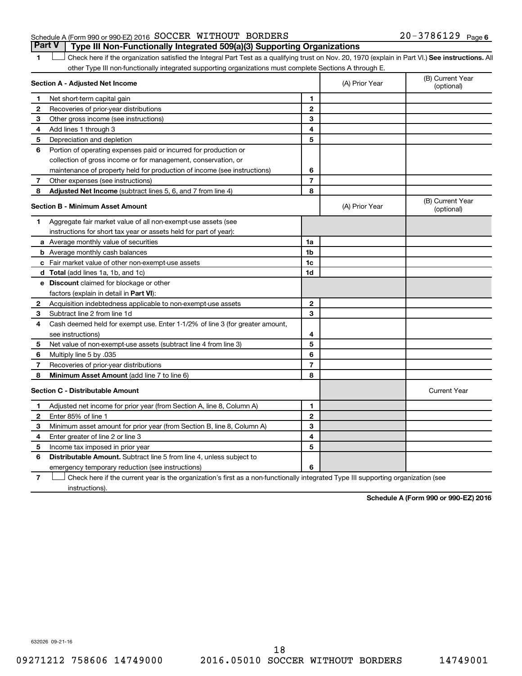# Schedule A (Form 990 or 990-EZ) 2016 SOCCER WITHOUT BORDERS  $20-3786129$  Page **Part V Type III Non-Functionally Integrated 509(a)(3) Supporting Organizations**

1 **Letter See instructions.** All Check here if the organization satisfied the Integral Part Test as a qualifying trust on Nov. 20, 1970 (explain in Part VI.) See instructions. All other Type III non-functionally integrated supporting organizations must complete Sections A through E.

|              | Section A - Adjusted Net Income                                              | (A) Prior Year | (B) Current Year<br>(optional) |                                |
|--------------|------------------------------------------------------------------------------|----------------|--------------------------------|--------------------------------|
| 1            | Net short-term capital gain                                                  | 1              |                                |                                |
| $\mathbf{2}$ | Recoveries of prior-year distributions                                       | $\overline{2}$ |                                |                                |
| 3            | Other gross income (see instructions)                                        | 3              |                                |                                |
| 4            | Add lines 1 through 3                                                        | 4              |                                |                                |
| 5            | Depreciation and depletion                                                   | 5              |                                |                                |
| 6            | Portion of operating expenses paid or incurred for production or             |                |                                |                                |
|              | collection of gross income or for management, conservation, or               |                |                                |                                |
|              | maintenance of property held for production of income (see instructions)     | 6              |                                |                                |
| 7            | Other expenses (see instructions)                                            | $\overline{7}$ |                                |                                |
| 8            | Adjusted Net Income (subtract lines 5, 6, and 7 from line 4)                 | 8              |                                |                                |
|              | <b>Section B - Minimum Asset Amount</b>                                      |                | (A) Prior Year                 | (B) Current Year<br>(optional) |
| 1            | Aggregate fair market value of all non-exempt-use assets (see                |                |                                |                                |
|              | instructions for short tax year or assets held for part of year):            |                |                                |                                |
|              | a Average monthly value of securities                                        | 1a             |                                |                                |
|              | <b>b</b> Average monthly cash balances                                       | 1 <sub>b</sub> |                                |                                |
|              | c Fair market value of other non-exempt-use assets                           | 1c             |                                |                                |
|              | d Total (add lines 1a, 1b, and 1c)                                           | 1d             |                                |                                |
|              | <b>e</b> Discount claimed for blockage or other                              |                |                                |                                |
|              | factors (explain in detail in Part VI):                                      |                |                                |                                |
| 2            | Acquisition indebtedness applicable to non-exempt-use assets                 | $\mathbf{2}$   |                                |                                |
| 3            | Subtract line 2 from line 1d                                                 | 3              |                                |                                |
| 4            | Cash deemed held for exempt use. Enter 1-1/2% of line 3 (for greater amount, |                |                                |                                |
|              | see instructions)                                                            | 4              |                                |                                |
| 5            | Net value of non-exempt-use assets (subtract line 4 from line 3)             | 5              |                                |                                |
| 6            | Multiply line 5 by .035                                                      | 6              |                                |                                |
| 7            | Recoveries of prior-year distributions                                       | $\overline{7}$ |                                |                                |
| 8            | Minimum Asset Amount (add line 7 to line 6)                                  | 8              |                                |                                |
|              | <b>Section C - Distributable Amount</b>                                      |                |                                | <b>Current Year</b>            |
| 1            | Adjusted net income for prior year (from Section A, line 8, Column A)        | 1              |                                |                                |
| 2            | Enter 85% of line 1                                                          | $\mathbf{2}$   |                                |                                |
| З            | Minimum asset amount for prior year (from Section B, line 8, Column A)       | 3              |                                |                                |
| 4            | Enter greater of line 2 or line 3                                            | 4              |                                |                                |
| 5            | Income tax imposed in prior year                                             | 5              |                                |                                |
| 6            | Distributable Amount. Subtract line 5 from line 4, unless subject to         |                |                                |                                |
|              | emergency temporary reduction (see instructions)                             | 6              |                                |                                |
|              |                                                                              |                |                                |                                |

**7** Check here if the current year is the organization's first as a non-functionally integrated Type III supporting organization (see † instructions).

**Schedule A (Form 990 or 990-EZ) 2016**

632026 09-21-16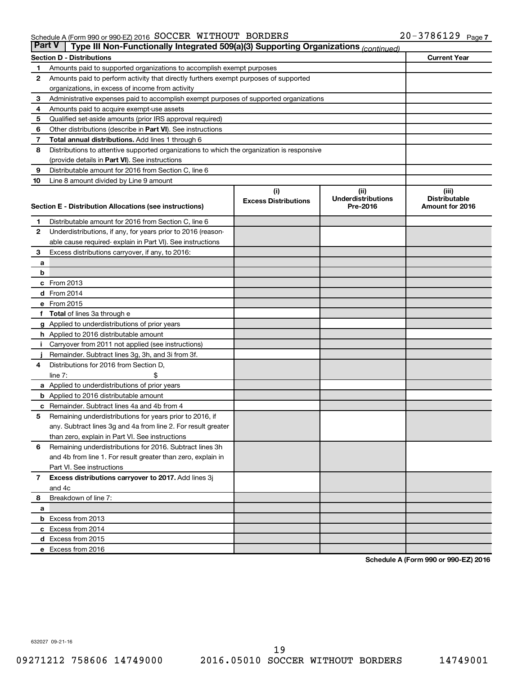#### Schedule A (Form 990 or 990-EZ) 2016 Page SOCCER WITHOUT BORDERS 20-3786129

| <b>Part V</b>  | Type III Non-Functionally Integrated 509(a)(3) Supporting Organizations (continued)             |                             |                                       |                                         |  |  |  |  |  |
|----------------|-------------------------------------------------------------------------------------------------|-----------------------------|---------------------------------------|-----------------------------------------|--|--|--|--|--|
|                | <b>Section D - Distributions</b>                                                                |                             |                                       | <b>Current Year</b>                     |  |  |  |  |  |
| 1              | Amounts paid to supported organizations to accomplish exempt purposes                           |                             |                                       |                                         |  |  |  |  |  |
| 2              | Amounts paid to perform activity that directly furthers exempt purposes of supported            |                             |                                       |                                         |  |  |  |  |  |
|                | organizations, in excess of income from activity                                                |                             |                                       |                                         |  |  |  |  |  |
| 3              | Administrative expenses paid to accomplish exempt purposes of supported organizations           |                             |                                       |                                         |  |  |  |  |  |
| 4              | Amounts paid to acquire exempt-use assets                                                       |                             |                                       |                                         |  |  |  |  |  |
| 5              | Qualified set-aside amounts (prior IRS approval required)                                       |                             |                                       |                                         |  |  |  |  |  |
| 6              | Other distributions (describe in Part VI). See instructions                                     |                             |                                       |                                         |  |  |  |  |  |
| 7              | Total annual distributions. Add lines 1 through 6                                               |                             |                                       |                                         |  |  |  |  |  |
| 8              | Distributions to attentive supported organizations to which the organization is responsive      |                             |                                       |                                         |  |  |  |  |  |
|                | (provide details in Part VI). See instructions                                                  |                             |                                       |                                         |  |  |  |  |  |
| 9              | Distributable amount for 2016 from Section C, line 6                                            |                             |                                       |                                         |  |  |  |  |  |
| 10             | Line 8 amount divided by Line 9 amount                                                          |                             |                                       |                                         |  |  |  |  |  |
|                |                                                                                                 | (i)                         | (ii)                                  | (iii)                                   |  |  |  |  |  |
|                | Section E - Distribution Allocations (see instructions)                                         | <b>Excess Distributions</b> | <b>Underdistributions</b><br>Pre-2016 | <b>Distributable</b><br>Amount for 2016 |  |  |  |  |  |
|                |                                                                                                 |                             |                                       |                                         |  |  |  |  |  |
| 1              | Distributable amount for 2016 from Section C, line 6                                            |                             |                                       |                                         |  |  |  |  |  |
| $\mathbf{2}$   | Underdistributions, if any, for years prior to 2016 (reason-                                    |                             |                                       |                                         |  |  |  |  |  |
|                | able cause required- explain in Part VI). See instructions                                      |                             |                                       |                                         |  |  |  |  |  |
| 3              | Excess distributions carryover, if any, to 2016:                                                |                             |                                       |                                         |  |  |  |  |  |
| а              |                                                                                                 |                             |                                       |                                         |  |  |  |  |  |
| b              |                                                                                                 |                             |                                       |                                         |  |  |  |  |  |
|                | $c$ From 2013                                                                                   |                             |                                       |                                         |  |  |  |  |  |
|                | <b>d</b> From 2014                                                                              |                             |                                       |                                         |  |  |  |  |  |
|                | e From 2015                                                                                     |                             |                                       |                                         |  |  |  |  |  |
|                | f Total of lines 3a through e                                                                   |                             |                                       |                                         |  |  |  |  |  |
|                | <b>g</b> Applied to underdistributions of prior years                                           |                             |                                       |                                         |  |  |  |  |  |
|                | <b>h</b> Applied to 2016 distributable amount                                                   |                             |                                       |                                         |  |  |  |  |  |
|                | Carryover from 2011 not applied (see instructions)                                              |                             |                                       |                                         |  |  |  |  |  |
|                | Remainder. Subtract lines 3g, 3h, and 3i from 3f.                                               |                             |                                       |                                         |  |  |  |  |  |
| 4              | Distributions for 2016 from Section D,                                                          |                             |                                       |                                         |  |  |  |  |  |
|                | $line 7$ :                                                                                      |                             |                                       |                                         |  |  |  |  |  |
|                | a Applied to underdistributions of prior years<br><b>b</b> Applied to 2016 distributable amount |                             |                                       |                                         |  |  |  |  |  |
| с              | Remainder. Subtract lines 4a and 4b from 4                                                      |                             |                                       |                                         |  |  |  |  |  |
| 5              | Remaining underdistributions for years prior to 2016, if                                        |                             |                                       |                                         |  |  |  |  |  |
|                | any. Subtract lines 3g and 4a from line 2. For result greater                                   |                             |                                       |                                         |  |  |  |  |  |
|                | than zero, explain in Part VI. See instructions                                                 |                             |                                       |                                         |  |  |  |  |  |
| 6              | Remaining underdistributions for 2016. Subtract lines 3h                                        |                             |                                       |                                         |  |  |  |  |  |
|                | and 4b from line 1. For result greater than zero, explain in                                    |                             |                                       |                                         |  |  |  |  |  |
|                | Part VI. See instructions                                                                       |                             |                                       |                                         |  |  |  |  |  |
| $\overline{7}$ | Excess distributions carryover to 2017. Add lines 3j                                            |                             |                                       |                                         |  |  |  |  |  |
|                | and 4c                                                                                          |                             |                                       |                                         |  |  |  |  |  |
| 8              | Breakdown of line 7:                                                                            |                             |                                       |                                         |  |  |  |  |  |
| a              |                                                                                                 |                             |                                       |                                         |  |  |  |  |  |
|                | <b>b</b> Excess from 2013                                                                       |                             |                                       |                                         |  |  |  |  |  |
|                | c Excess from 2014                                                                              |                             |                                       |                                         |  |  |  |  |  |
|                | d Excess from 2015                                                                              |                             |                                       |                                         |  |  |  |  |  |
|                | e Excess from 2016                                                                              |                             |                                       |                                         |  |  |  |  |  |

**Schedule A (Form 990 or 990-EZ) 2016**

632027 09-21-16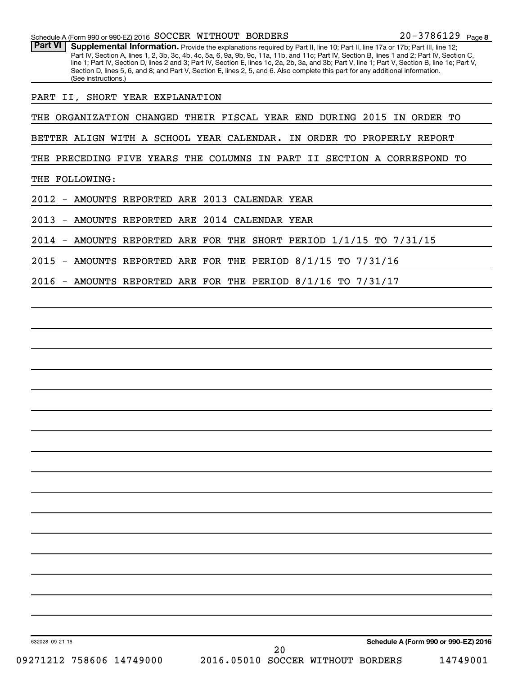Part VI | Supplemental Information. Provide the explanations required by Part II, line 10; Part II, line 17a or 17b; Part III, line 12; Part IV, Section A, lines 1, 2, 3b, 3c, 4b, 4c, 5a, 6, 9a, 9b, 9c, 11a, 11b, and 11c; Part IV, Section B, lines 1 and 2; Part IV, Section C, line 1; Part IV, Section D, lines 2 and 3; Part IV, Section E, lines 1c, 2a, 2b, 3a, and 3b; Part V, line 1; Part V, Section B, line 1e; Part V, Section D, lines 5, 6, and 8; and Part V, Section E, lines 2, 5, and 6. Also complete this part for any additional information. (See instructions.)

PART II, SHORT YEAR EXPLANATION

THE ORGANIZATION CHANGED THEIR FISCAL YEAR END DURING 2015 IN ORDER TO

BETTER ALIGN WITH A SCHOOL YEAR CALENDAR. IN ORDER TO PROPERLY REPORT

THE PRECEDING FIVE YEARS THE COLUMNS IN PART II SECTION A CORRESPOND TO

THE FOLLOWING:

2012 - AMOUNTS REPORTED ARE 2013 CALENDAR YEAR

2013 - AMOUNTS REPORTED ARE 2014 CALENDAR YEAR

2014 - AMOUNTS REPORTED ARE FOR THE SHORT PERIOD 1/1/15 TO 7/31/15

2015 - AMOUNTS REPORTED ARE FOR THE PERIOD 8/1/15 TO 7/31/16

2016 - AMOUNTS REPORTED ARE FOR THE PERIOD 8/1/16 TO 7/31/17

632028 09-21-16

20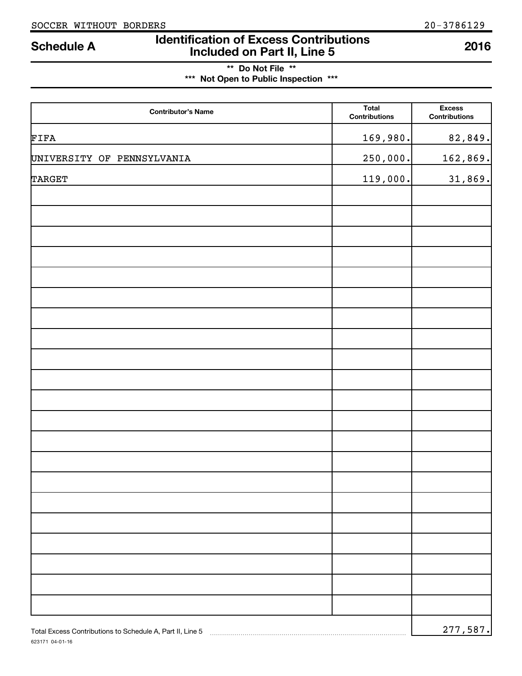623171 04-01-16

# **Identification of Excess Contributions IDENTIFY Schedule A IDENTIFY Schedule A IDENTIFY A Included on Part II, Line 5 2016**

**\*\* Do Not File \*\* \*\*\* Not Open to Public Inspection \*\*\***

| <b>Contributor's Name</b>                                                                                      | Total<br><b>Contributions</b> | <b>Excess</b><br><b>Contributions</b> |
|----------------------------------------------------------------------------------------------------------------|-------------------------------|---------------------------------------|
| FIFA                                                                                                           | 169,980.                      | 82,849.                               |
| UNIVERSITY OF PENNSYLVANIA                                                                                     | 250,000.                      | 162,869.                              |
| TARGET                                                                                                         | 119,000.                      | 31,869.                               |
|                                                                                                                |                               |                                       |
|                                                                                                                |                               |                                       |
|                                                                                                                |                               |                                       |
|                                                                                                                |                               |                                       |
|                                                                                                                |                               |                                       |
|                                                                                                                |                               |                                       |
|                                                                                                                |                               |                                       |
|                                                                                                                |                               |                                       |
|                                                                                                                |                               |                                       |
|                                                                                                                |                               |                                       |
|                                                                                                                |                               |                                       |
|                                                                                                                |                               |                                       |
|                                                                                                                |                               |                                       |
|                                                                                                                |                               |                                       |
|                                                                                                                |                               |                                       |
|                                                                                                                |                               |                                       |
|                                                                                                                |                               |                                       |
|                                                                                                                |                               |                                       |
|                                                                                                                |                               |                                       |
|                                                                                                                |                               |                                       |
|                                                                                                                |                               |                                       |
| Total Excess Contributions to Schedule A, Part II, Line 5 [100] [100] [100] [100] [100] [100] [100] [100] [100 |                               | 277,587.                              |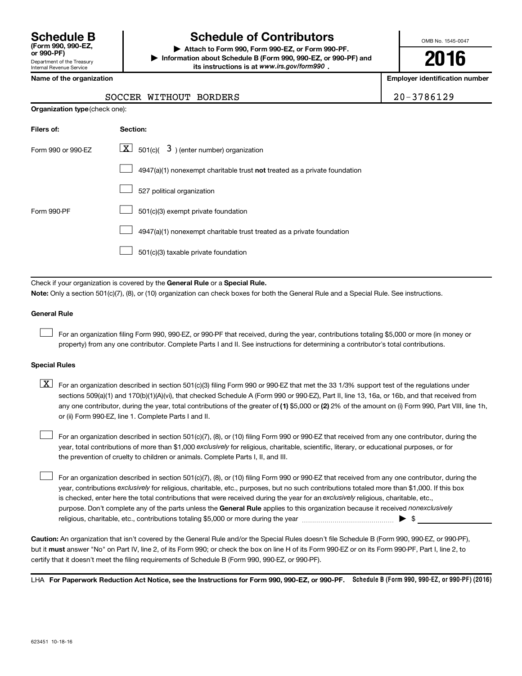Department of the Treasury Internal Revenue Service **(Form 990, 990-EZ,**

# **Schedule B Schedule of Contributors**

**or 990-PF) | Attach to Form 990, Form 990-EZ, or Form 990-PF. | Information about Schedule B (Form 990, 990-EZ, or 990-PF) and** its instructions is at www.irs.gov/form990.

OMB No. 1545-0047

**2016**

**Employer identification number** 

|  | Name of the organization |
|--|--------------------------|
|--|--------------------------|

**Organization type** (check one):

# SOCCER WITHOUT BORDERS 20-3786129

| Filers of:         | Section:                                                                           |
|--------------------|------------------------------------------------------------------------------------|
| Form 990 or 990-EZ | $\lfloor x \rfloor$ 501(c)( 3) (enter number) organization                         |
|                    | $4947(a)(1)$ nonexempt charitable trust <b>not</b> treated as a private foundation |
|                    | 527 political organization                                                         |
| Form 990-PF        | 501(c)(3) exempt private foundation                                                |
|                    | 4947(a)(1) nonexempt charitable trust treated as a private foundation              |
|                    | 501(c)(3) taxable private foundation                                               |

Check if your organization is covered by the General Rule or a Special Rule.

**Note:**  Only a section 501(c)(7), (8), or (10) organization can check boxes for both the General Rule and a Special Rule. See instructions.

### **General Rule**

 $\Box$ 

For an organization filing Form 990, 990-EZ, or 990-PF that received, during the year, contributions totaling \$5,000 or more (in money or property) from any one contributor. Complete Parts I and II. See instructions for determining a contributor's total contributions.

#### **Special Rules**

any one contributor, during the year, total contributions of the greater of **(1)** \$5,000 or **(2)** 2% of the amount on (i) Form 990, Part VIII, line 1h,  $\boxed{\text{X}}$  For an organization described in section 501(c)(3) filing Form 990 or 990-EZ that met the 33 1/3% support test of the regulations under sections 509(a)(1) and 170(b)(1)(A)(vi), that checked Schedule A (Form 990 or 990-EZ), Part II, line 13, 16a, or 16b, and that received from or (ii) Form 990-EZ, line 1. Complete Parts I and II.

year, total contributions of more than \$1,000 *exclusively* for religious, charitable, scientific, literary, or educational purposes, or for For an organization described in section 501(c)(7), (8), or (10) filing Form 990 or 990-EZ that received from any one contributor, during the the prevention of cruelty to children or animals. Complete Parts I, II, and III.  $\Box$ 

purpose. Don't complete any of the parts unless the General Rule applies to this organization because it received nonexclusively year, contributions exclusively for religious, charitable, etc., purposes, but no such contributions totaled more than \$1,000. If this box is checked, enter here the total contributions that were received during the year for an exclusively religious, charitable, etc., For an organization described in section 501(c)(7), (8), or (10) filing Form 990 or 990-EZ that received from any one contributor, during the religious, charitable, etc., contributions totaling \$5,000 or more during the year  $\ldots$  $\ldots$  $\ldots$  $\ldots$  $\ldots$  $\ldots$  $\Box$ 

**Caution:**  An organization that isn't covered by the General Rule and/or the Special Rules doesn't file Schedule B (Form 990, 990-EZ, or 990-PF),  **must** but it answer "No" on Part IV, line 2, of its Form 990; or check the box on line H of its Form 990-EZ or on its Form 990-PF, Part I, line 2, to certify that it doesn't meet the filing requirements of Schedule B (Form 990, 990-EZ, or 990-PF).

LHA For Paperwork Reduction Act Notice, see the Instructions for Form 990, 990-EZ, or 990-PF. Schedule B (Form 990, 990-EZ, or 990-PF) (2016)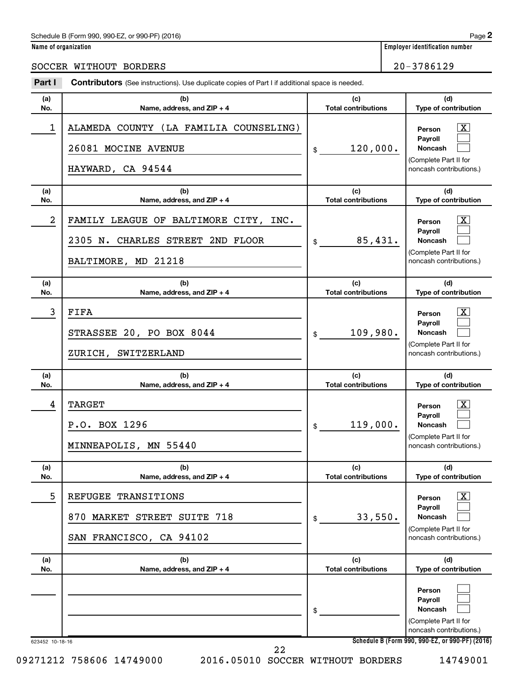# Schedule B (Form 990, 990-EZ, or 990-PF) (2016)

**Part I** Contributors (See instructions). Use duplicate copies of Part I if additional space is needed.

# SOCCER WITHOUT BORDERS 20-3786129

| (a) | (b)                                                                                                               | (c)                        | (d)                                                                                                                |
|-----|-------------------------------------------------------------------------------------------------------------------|----------------------------|--------------------------------------------------------------------------------------------------------------------|
| No. | Name, address, and ZIP + 4                                                                                        | <b>Total contributions</b> | Type of contribution                                                                                               |
| 1   | ALAMEDA COUNTY (LA FAMILIA COUNSELING)<br>26081 MOCINE AVENUE<br>HAYWARD, CA 94544                                | 120,000.<br>\$             | $\mathbf{X}$<br>Person<br>Payroll<br>Noncash<br>(Complete Part II for<br>noncash contributions.)                   |
| (a) | (b)                                                                                                               | (c)                        | (d)                                                                                                                |
| No. | Name, address, and ZIP + 4                                                                                        | <b>Total contributions</b> | Type of contribution                                                                                               |
| 2   | FAMILY LEAGUE OF BALTIMORE CITY, INC.<br>2305 N. CHARLES STREET 2ND FLOOR<br>BALTIMORE, MD 21218                  | 85,431.<br>\$              | $\overline{\mathbf{X}}$<br>Person<br>Payroll<br><b>Noncash</b><br>(Complete Part II for<br>noncash contributions.) |
| (a) | (b)                                                                                                               | (c)                        | (d)                                                                                                                |
| No. | Name, address, and ZIP + 4                                                                                        | <b>Total contributions</b> | Type of contribution                                                                                               |
| 3   | FIFA<br>STRASSEE 20, PO BOX 8044<br>ZURICH, SWITZERLAND                                                           | 109,980.<br>\$             | $\overline{\mathbf{X}}$<br>Person<br>Payroll<br><b>Noncash</b><br>(Complete Part II for<br>noncash contributions.) |
| (a) | (b)                                                                                                               | (c)                        | (d)                                                                                                                |
| No. | Name, address, and ZIP + 4                                                                                        | <b>Total contributions</b> | Type of contribution                                                                                               |
| 4   | <b>TARGET</b><br>P.O. BOX 1296<br>MINNEAPOLIS, MN 55440                                                           | 119,000.<br>\$             | $\mathbf{X}$<br>Person<br>Payroll<br><b>Noncash</b><br>(Complete Part II for<br>noncash contributions.)            |
| (a) | (b)                                                                                                               | (c)                        | (d)                                                                                                                |
| No. | Name, address, and ZIP + 4                                                                                        | <b>Total contributions</b> | Type of contribution                                                                                               |
| 5   | <b>REFUGEE</b><br>TRANSITIONS<br><b>MARKET</b><br>SUITE<br>718<br>870<br><b>STREET</b><br>SAN FRANCISCO, CA 94102 | 33,550.<br>\$              | $\overline{\mathbf{X}}$<br>Person<br>Payroll<br>Noncash<br>(Complete Part II for<br>noncash contributions.)        |
| (a) | (b)                                                                                                               | (c)                        | (d)                                                                                                                |
| No. | Name, address, and ZIP + 4                                                                                        | <b>Total contributions</b> | Type of contribution                                                                                               |
|     |                                                                                                                   | \$                         | Person<br>Payroll<br>Noncash<br>(Complete Part II for<br>noncash contributions.)                                   |

**Name of organization Employer identification number**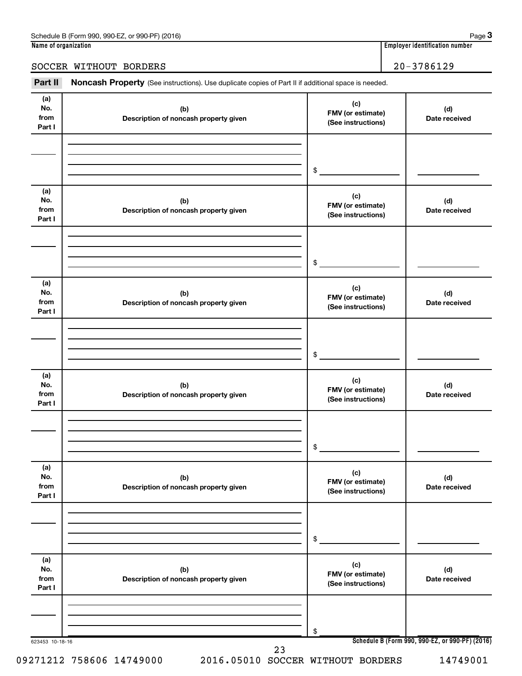# SOCCER WITHOUT BORDERS 20-3786129

Part II Noncash Property (See instructions). Use duplicate copies of Part II if additional space is needed.

| from<br>Part I               | (b)<br>Description of noncash property given | FMV (or estimate)<br>(See instructions)        | (d)<br>Date received |
|------------------------------|----------------------------------------------|------------------------------------------------|----------------------|
|                              |                                              | \$                                             |                      |
| (a)<br>No.<br>from<br>Part I | (b)<br>Description of noncash property given | (c)<br>FMV (or estimate)<br>(See instructions) | (d)<br>Date received |
|                              |                                              | \$                                             |                      |
| (a)<br>No.<br>from<br>Part I | (b)<br>Description of noncash property given | (c)<br>FMV (or estimate)<br>(See instructions) | (d)<br>Date received |
|                              |                                              | \$                                             |                      |
| (a)<br>No.<br>from<br>Part I | (b)<br>Description of noncash property given | (c)<br>FMV (or estimate)<br>(See instructions) | (d)<br>Date received |
|                              |                                              | \$                                             |                      |
| (a)<br>No.<br>from<br>Part I | (b)<br>Description of noncash property given | (c)<br>FMV (or estimate)<br>(See instructions) | (d)<br>Date received |
|                              |                                              | \$                                             |                      |
| (a)<br>No.<br>from<br>Part I | (b)<br>Description of noncash property given | (c)<br>FMV (or estimate)<br>(See instructions) | (d)<br>Date received |
|                              |                                              | \$                                             |                      |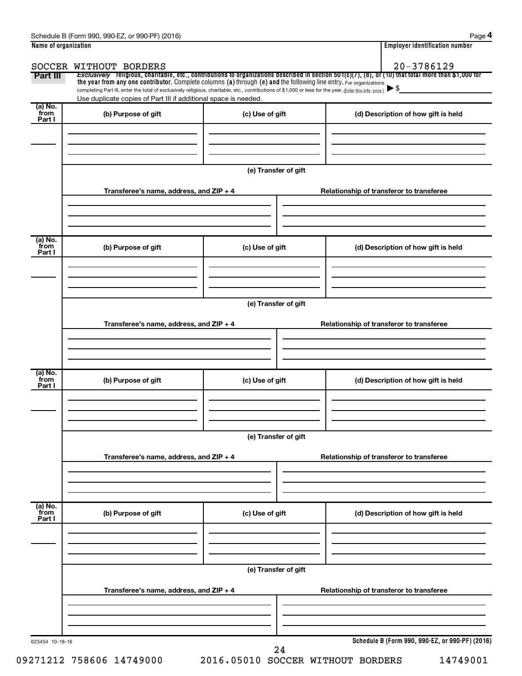| SOCCER WITHOUT BORDERS                  |                                            | $20 - 3786129$                                                                                                                                                                                                                                                                                                                                                                                                                                                                                                                                                                                                                                                                                                                                             |  |  |  |  |
|-----------------------------------------|--------------------------------------------|------------------------------------------------------------------------------------------------------------------------------------------------------------------------------------------------------------------------------------------------------------------------------------------------------------------------------------------------------------------------------------------------------------------------------------------------------------------------------------------------------------------------------------------------------------------------------------------------------------------------------------------------------------------------------------------------------------------------------------------------------------|--|--|--|--|
|                                         |                                            |                                                                                                                                                                                                                                                                                                                                                                                                                                                                                                                                                                                                                                                                                                                                                            |  |  |  |  |
|                                         |                                            |                                                                                                                                                                                                                                                                                                                                                                                                                                                                                                                                                                                                                                                                                                                                                            |  |  |  |  |
|                                         |                                            |                                                                                                                                                                                                                                                                                                                                                                                                                                                                                                                                                                                                                                                                                                                                                            |  |  |  |  |
|                                         |                                            | (d) Description of how gift is held                                                                                                                                                                                                                                                                                                                                                                                                                                                                                                                                                                                                                                                                                                                        |  |  |  |  |
|                                         |                                            |                                                                                                                                                                                                                                                                                                                                                                                                                                                                                                                                                                                                                                                                                                                                                            |  |  |  |  |
|                                         |                                            |                                                                                                                                                                                                                                                                                                                                                                                                                                                                                                                                                                                                                                                                                                                                                            |  |  |  |  |
|                                         |                                            |                                                                                                                                                                                                                                                                                                                                                                                                                                                                                                                                                                                                                                                                                                                                                            |  |  |  |  |
|                                         |                                            |                                                                                                                                                                                                                                                                                                                                                                                                                                                                                                                                                                                                                                                                                                                                                            |  |  |  |  |
|                                         |                                            | Relationship of transferor to transferee                                                                                                                                                                                                                                                                                                                                                                                                                                                                                                                                                                                                                                                                                                                   |  |  |  |  |
|                                         |                                            |                                                                                                                                                                                                                                                                                                                                                                                                                                                                                                                                                                                                                                                                                                                                                            |  |  |  |  |
|                                         |                                            |                                                                                                                                                                                                                                                                                                                                                                                                                                                                                                                                                                                                                                                                                                                                                            |  |  |  |  |
|                                         |                                            |                                                                                                                                                                                                                                                                                                                                                                                                                                                                                                                                                                                                                                                                                                                                                            |  |  |  |  |
|                                         |                                            | (d) Description of how gift is held                                                                                                                                                                                                                                                                                                                                                                                                                                                                                                                                                                                                                                                                                                                        |  |  |  |  |
|                                         |                                            |                                                                                                                                                                                                                                                                                                                                                                                                                                                                                                                                                                                                                                                                                                                                                            |  |  |  |  |
|                                         |                                            |                                                                                                                                                                                                                                                                                                                                                                                                                                                                                                                                                                                                                                                                                                                                                            |  |  |  |  |
|                                         |                                            |                                                                                                                                                                                                                                                                                                                                                                                                                                                                                                                                                                                                                                                                                                                                                            |  |  |  |  |
|                                         |                                            |                                                                                                                                                                                                                                                                                                                                                                                                                                                                                                                                                                                                                                                                                                                                                            |  |  |  |  |
|                                         |                                            |                                                                                                                                                                                                                                                                                                                                                                                                                                                                                                                                                                                                                                                                                                                                                            |  |  |  |  |
|                                         |                                            | Relationship of transferor to transferee                                                                                                                                                                                                                                                                                                                                                                                                                                                                                                                                                                                                                                                                                                                   |  |  |  |  |
|                                         |                                            |                                                                                                                                                                                                                                                                                                                                                                                                                                                                                                                                                                                                                                                                                                                                                            |  |  |  |  |
|                                         |                                            |                                                                                                                                                                                                                                                                                                                                                                                                                                                                                                                                                                                                                                                                                                                                                            |  |  |  |  |
|                                         |                                            |                                                                                                                                                                                                                                                                                                                                                                                                                                                                                                                                                                                                                                                                                                                                                            |  |  |  |  |
| (b) Purpose of gift                     | (c) Use of gift                            | (d) Description of how gift is held                                                                                                                                                                                                                                                                                                                                                                                                                                                                                                                                                                                                                                                                                                                        |  |  |  |  |
|                                         |                                            |                                                                                                                                                                                                                                                                                                                                                                                                                                                                                                                                                                                                                                                                                                                                                            |  |  |  |  |
|                                         |                                            |                                                                                                                                                                                                                                                                                                                                                                                                                                                                                                                                                                                                                                                                                                                                                            |  |  |  |  |
|                                         |                                            |                                                                                                                                                                                                                                                                                                                                                                                                                                                                                                                                                                                                                                                                                                                                                            |  |  |  |  |
|                                         |                                            |                                                                                                                                                                                                                                                                                                                                                                                                                                                                                                                                                                                                                                                                                                                                                            |  |  |  |  |
|                                         |                                            |                                                                                                                                                                                                                                                                                                                                                                                                                                                                                                                                                                                                                                                                                                                                                            |  |  |  |  |
|                                         |                                            | Relationship of transferor to transferee                                                                                                                                                                                                                                                                                                                                                                                                                                                                                                                                                                                                                                                                                                                   |  |  |  |  |
|                                         |                                            |                                                                                                                                                                                                                                                                                                                                                                                                                                                                                                                                                                                                                                                                                                                                                            |  |  |  |  |
|                                         |                                            |                                                                                                                                                                                                                                                                                                                                                                                                                                                                                                                                                                                                                                                                                                                                                            |  |  |  |  |
|                                         |                                            |                                                                                                                                                                                                                                                                                                                                                                                                                                                                                                                                                                                                                                                                                                                                                            |  |  |  |  |
| (b) Purpose of gift                     | (c) Use of gift                            | (d) Description of how gift is held                                                                                                                                                                                                                                                                                                                                                                                                                                                                                                                                                                                                                                                                                                                        |  |  |  |  |
|                                         |                                            |                                                                                                                                                                                                                                                                                                                                                                                                                                                                                                                                                                                                                                                                                                                                                            |  |  |  |  |
|                                         |                                            |                                                                                                                                                                                                                                                                                                                                                                                                                                                                                                                                                                                                                                                                                                                                                            |  |  |  |  |
|                                         |                                            |                                                                                                                                                                                                                                                                                                                                                                                                                                                                                                                                                                                                                                                                                                                                                            |  |  |  |  |
|                                         | (e) Transfer of gift                       |                                                                                                                                                                                                                                                                                                                                                                                                                                                                                                                                                                                                                                                                                                                                                            |  |  |  |  |
|                                         |                                            |                                                                                                                                                                                                                                                                                                                                                                                                                                                                                                                                                                                                                                                                                                                                                            |  |  |  |  |
|                                         |                                            |                                                                                                                                                                                                                                                                                                                                                                                                                                                                                                                                                                                                                                                                                                                                                            |  |  |  |  |
| Transferee's name, address, and ZIP + 4 |                                            | Relationship of transferor to transferee                                                                                                                                                                                                                                                                                                                                                                                                                                                                                                                                                                                                                                                                                                                   |  |  |  |  |
|                                         |                                            |                                                                                                                                                                                                                                                                                                                                                                                                                                                                                                                                                                                                                                                                                                                                                            |  |  |  |  |
|                                         |                                            |                                                                                                                                                                                                                                                                                                                                                                                                                                                                                                                                                                                                                                                                                                                                                            |  |  |  |  |
|                                         | (b) Purpose of gift<br>(b) Purpose of gift | Exclusively religious, charitable, etc., contributions to organizations described in section 501(c)(7), (8), or (10) that total more than \$1,000 for<br>the year from any one contributor. Complete columns (a) through (e) and the following line entry. For organizations<br>completing Part III, enter the total of exclusively religious, charitable, etc., contributions of \$1,000 or less for the year. (Enter this info. once.)<br>Use duplicate copies of Part III if additional space is needed.<br>(c) Use of gift<br>(e) Transfer of gift<br>Transferee's name, address, and ZIP + 4<br>(c) Use of gift<br>(e) Transfer of gift<br>Transferee's name, address, and ZIP + 4<br>(e) Transfer of gift<br>Transferee's name, address, and ZIP + 4 |  |  |  |  |

09271212 758606 14749000 2016.05010 SOCCER WITHOUT BORDERS 14749001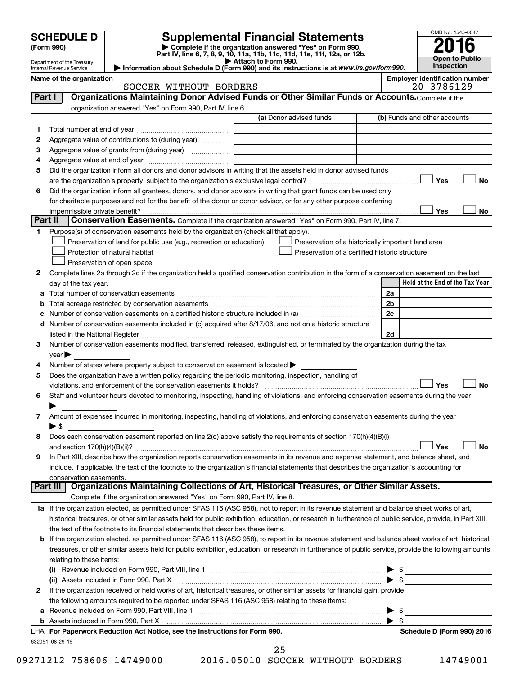|         | <b>SCHEDULE D</b>                   |                                                                                                                                                                               | <b>Supplemental Financial Statements</b>                                                                                                                  |                | OMB No. 1545-0047                                       |
|---------|-------------------------------------|-------------------------------------------------------------------------------------------------------------------------------------------------------------------------------|-----------------------------------------------------------------------------------------------------------------------------------------------------------|----------------|---------------------------------------------------------|
|         | (Form 990)                          |                                                                                                                                                                               | Complete if the organization answered "Yes" on Form 990,                                                                                                  |                |                                                         |
|         | Department of the Treasury          |                                                                                                                                                                               | Part IV, line 6, 7, 8, 9, 10, 11a, 11b, 11c, 11d, 11e, 11f, 12a, or 12b.<br>Attach to Form 990.                                                           |                | <b>Open to Public</b>                                   |
|         | Internal Revenue Service            |                                                                                                                                                                               | Information about Schedule D (Form 990) and its instructions is at www.irs.gov/form990.                                                                   |                | Inspection                                              |
|         | Name of the organization            | SOCCER WITHOUT BORDERS                                                                                                                                                        |                                                                                                                                                           |                | <b>Employer identification number</b><br>$20 - 3786129$ |
| Part I  |                                     |                                                                                                                                                                               | Organizations Maintaining Donor Advised Funds or Other Similar Funds or Accounts. Complete if the                                                         |                |                                                         |
|         |                                     | organization answered "Yes" on Form 990, Part IV, line 6.                                                                                                                     |                                                                                                                                                           |                |                                                         |
|         |                                     |                                                                                                                                                                               | (a) Donor advised funds                                                                                                                                   |                | (b) Funds and other accounts                            |
| 1       |                                     |                                                                                                                                                                               |                                                                                                                                                           |                |                                                         |
| 2       |                                     | Aggregate value of contributions to (during year)                                                                                                                             |                                                                                                                                                           |                |                                                         |
| з<br>4  |                                     |                                                                                                                                                                               |                                                                                                                                                           |                |                                                         |
| 5       |                                     |                                                                                                                                                                               | Did the organization inform all donors and donor advisors in writing that the assets held in donor advised funds                                          |                |                                                         |
|         |                                     |                                                                                                                                                                               |                                                                                                                                                           |                | Yes<br><b>No</b>                                        |
| 6       |                                     |                                                                                                                                                                               | Did the organization inform all grantees, donors, and donor advisors in writing that grant funds can be used only                                         |                |                                                         |
|         |                                     |                                                                                                                                                                               | for charitable purposes and not for the benefit of the donor or donor advisor, or for any other purpose conferring                                        |                |                                                         |
|         | impermissible private benefit?      |                                                                                                                                                                               |                                                                                                                                                           |                | Yes<br>No                                               |
| Part II |                                     |                                                                                                                                                                               | Conservation Easements. Complete if the organization answered "Yes" on Form 990, Part IV, line 7.                                                         |                |                                                         |
| 1.      |                                     | Purpose(s) of conservation easements held by the organization (check all that apply).                                                                                         |                                                                                                                                                           |                |                                                         |
|         |                                     | Preservation of land for public use (e.g., recreation or education)                                                                                                           | Preservation of a historically important land area                                                                                                        |                |                                                         |
|         |                                     | Protection of natural habitat                                                                                                                                                 | Preservation of a certified historic structure                                                                                                            |                |                                                         |
| 2       |                                     | Preservation of open space                                                                                                                                                    | Complete lines 2a through 2d if the organization held a qualified conservation contribution in the form of a conservation easement on the last            |                |                                                         |
|         | day of the tax year.                |                                                                                                                                                                               |                                                                                                                                                           |                | Held at the End of the Tax Year                         |
| а       |                                     |                                                                                                                                                                               |                                                                                                                                                           | 2a             |                                                         |
|         |                                     | Total acreage restricted by conservation easements                                                                                                                            |                                                                                                                                                           | 2 <sub>b</sub> |                                                         |
| с       |                                     |                                                                                                                                                                               | Number of conservation easements on a certified historic structure included in (a) manufacture included in (a)                                            | 2c             |                                                         |
|         |                                     |                                                                                                                                                                               | d Number of conservation easements included in (c) acquired after 8/17/06, and not on a historic structure                                                |                |                                                         |
|         |                                     |                                                                                                                                                                               |                                                                                                                                                           | 2d             |                                                         |
| 3       |                                     |                                                                                                                                                                               | Number of conservation easements modified, transferred, released, extinguished, or terminated by the organization during the tax                          |                |                                                         |
|         | $\mathsf{year}$                     |                                                                                                                                                                               |                                                                                                                                                           |                |                                                         |
| 4       |                                     | Number of states where property subject to conservation easement is located >                                                                                                 |                                                                                                                                                           |                |                                                         |
| 5       |                                     | Does the organization have a written policy regarding the periodic monitoring, inspection, handling of<br>violations, and enforcement of the conservation easements it holds? |                                                                                                                                                           |                | <b>No</b><br>Yes                                        |
| 6       |                                     |                                                                                                                                                                               | Staff and volunteer hours devoted to monitoring, inspecting, handling of violations, and enforcing conservation easements during the year                 |                |                                                         |
|         |                                     |                                                                                                                                                                               |                                                                                                                                                           |                |                                                         |
| 7       |                                     |                                                                                                                                                                               | Amount of expenses incurred in monitoring, inspecting, handling of violations, and enforcing conservation easements during the year                       |                |                                                         |
|         | $\blacktriangleright$ \$            |                                                                                                                                                                               |                                                                                                                                                           |                |                                                         |
| 8       |                                     |                                                                                                                                                                               | Does each conservation easement reported on line 2(d) above satisfy the requirements of section 170(h)(4)(B)(i)                                           |                |                                                         |
|         |                                     |                                                                                                                                                                               |                                                                                                                                                           |                | Yes<br><b>No</b>                                        |
| 9       |                                     |                                                                                                                                                                               | In Part XIII, describe how the organization reports conservation easements in its revenue and expense statement, and balance sheet, and                   |                |                                                         |
|         |                                     |                                                                                                                                                                               | include, if applicable, the text of the footnote to the organization's financial statements that describes the organization's accounting for              |                |                                                         |
|         | conservation easements.<br>Part III |                                                                                                                                                                               | Organizations Maintaining Collections of Art, Historical Treasures, or Other Similar Assets.                                                              |                |                                                         |
|         |                                     | Complete if the organization answered "Yes" on Form 990, Part IV, line 8.                                                                                                     |                                                                                                                                                           |                |                                                         |
|         |                                     |                                                                                                                                                                               | 1a If the organization elected, as permitted under SFAS 116 (ASC 958), not to report in its revenue statement and balance sheet works of art,             |                |                                                         |
|         |                                     |                                                                                                                                                                               | historical treasures, or other similar assets held for public exhibition, education, or research in furtherance of public service, provide, in Part XIII, |                |                                                         |
|         |                                     | the text of the footnote to its financial statements that describes these items.                                                                                              |                                                                                                                                                           |                |                                                         |
|         |                                     |                                                                                                                                                                               | b If the organization elected, as permitted under SFAS 116 (ASC 958), to report in its revenue statement and balance sheet works of art, historical       |                |                                                         |
|         |                                     |                                                                                                                                                                               | treasures, or other similar assets held for public exhibition, education, or research in furtherance of public service, provide the following amounts     |                |                                                         |
|         | relating to these items:            |                                                                                                                                                                               |                                                                                                                                                           |                |                                                         |
|         |                                     |                                                                                                                                                                               |                                                                                                                                                           |                |                                                         |
|         |                                     |                                                                                                                                                                               |                                                                                                                                                           |                | $\blacktriangleright$ \$                                |
| 2       |                                     |                                                                                                                                                                               | If the organization received or held works of art, historical treasures, or other similar assets for financial gain, provide                              |                |                                                         |
| а       |                                     | the following amounts required to be reported under SFAS 116 (ASC 958) relating to these items:                                                                               |                                                                                                                                                           |                | - \$                                                    |
|         |                                     |                                                                                                                                                                               |                                                                                                                                                           | ▶              | - \$                                                    |
|         |                                     | LHA For Paperwork Reduction Act Notice, see the Instructions for Form 990.                                                                                                    |                                                                                                                                                           |                | Schedule D (Form 990) 2016                              |
|         |                                     |                                                                                                                                                                               |                                                                                                                                                           |                |                                                         |

632051 08-29-16

09271212 758606 14749000 2016.05010 SOCCER WITHOUT BORDERS 14749001

25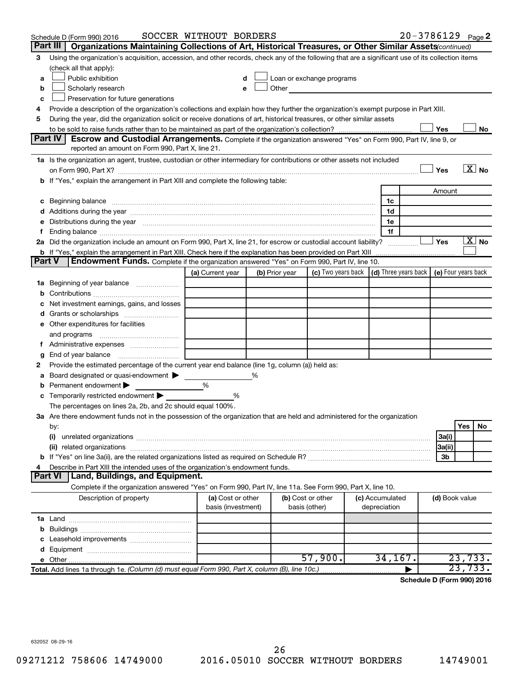|        | Schedule D (Form 990) 2016                                                                                                                                                                   | SOCCER WITHOUT BORDERS                  |   |                |                                                                             |  |                                 |                | $20 - 3786129$ Page 2      |
|--------|----------------------------------------------------------------------------------------------------------------------------------------------------------------------------------------------|-----------------------------------------|---|----------------|-----------------------------------------------------------------------------|--|---------------------------------|----------------|----------------------------|
|        | Part III<br>Organizations Maintaining Collections of Art, Historical Treasures, or Other Similar Assets(continued)                                                                           |                                         |   |                |                                                                             |  |                                 |                |                            |
| з      | Using the organization's acquisition, accession, and other records, check any of the following that are a significant use of its collection items                                            |                                         |   |                |                                                                             |  |                                 |                |                            |
|        | (check all that apply):                                                                                                                                                                      |                                         |   |                |                                                                             |  |                                 |                |                            |
| a      | Public exhibition                                                                                                                                                                            |                                         |   |                | Loan or exchange programs                                                   |  |                                 |                |                            |
| b      | Scholarly research                                                                                                                                                                           | е                                       |   |                | Other <b>Communication</b>                                                  |  |                                 |                |                            |
| c      | Preservation for future generations                                                                                                                                                          |                                         |   |                |                                                                             |  |                                 |                |                            |
| 4      | Provide a description of the organization's collections and explain how they further the organization's exempt purpose in Part XIII.                                                         |                                         |   |                |                                                                             |  |                                 |                |                            |
| 5      | During the year, did the organization solicit or receive donations of art, historical treasures, or other similar assets                                                                     |                                         |   |                |                                                                             |  |                                 |                |                            |
|        |                                                                                                                                                                                              |                                         |   |                |                                                                             |  |                                 | Yes            | No                         |
|        | <b>Part IV</b><br><b>Escrow and Custodial Arrangements.</b> Complete if the organization answered "Yes" on Form 990, Part IV, line 9, or<br>reported an amount on Form 990, Part X, line 21. |                                         |   |                |                                                                             |  |                                 |                |                            |
|        | 1a Is the organization an agent, trustee, custodian or other intermediary for contributions or other assets not included                                                                     |                                         |   |                |                                                                             |  |                                 |                |                            |
|        |                                                                                                                                                                                              |                                         |   |                |                                                                             |  |                                 | Yes            | $\overline{X}$ No          |
|        | b If "Yes," explain the arrangement in Part XIII and complete the following table:                                                                                                           |                                         |   |                |                                                                             |  |                                 |                |                            |
|        |                                                                                                                                                                                              |                                         |   |                |                                                                             |  |                                 | Amount         |                            |
| c      | Beginning balance measurements and contain a series of the series of the series of the series of the series of                                                                               |                                         |   |                |                                                                             |  | 1c                              |                |                            |
|        | Additions during the year manufactured and an account of the year and year and year and year and year and year                                                                               |                                         |   |                |                                                                             |  | 1d                              |                |                            |
|        | Distributions during the year measurement contains and all the year measurement of the year measurement of the                                                                               |                                         |   |                |                                                                             |  | 1е                              |                |                            |
| Ť.     |                                                                                                                                                                                              |                                         |   |                |                                                                             |  | 1f                              |                |                            |
|        | 2a Did the organization include an amount on Form 990, Part X, line 21, for escrow or custodial account liability?                                                                           |                                         |   |                |                                                                             |  | .                               | Yes            | $\mathbf{X}$ No            |
|        | <b>b</b> If "Yes," explain the arrangement in Part XIII. Check here if the explanation has been provided on Part XIII                                                                        |                                         |   |                |                                                                             |  |                                 |                |                            |
| Part V | Endowment Funds. Complete if the organization answered "Yes" on Form 990, Part IV, line 10.                                                                                                  |                                         |   |                |                                                                             |  |                                 |                |                            |
|        |                                                                                                                                                                                              | (a) Current year                        |   | (b) Prior year | (c) Two years back $\vert$ (d) Three years back $\vert$ (e) Four years back |  |                                 |                |                            |
| ٦а     | Beginning of year balance                                                                                                                                                                    |                                         |   |                |                                                                             |  |                                 |                |                            |
|        |                                                                                                                                                                                              |                                         |   |                |                                                                             |  |                                 |                |                            |
|        | Net investment earnings, gains, and losses                                                                                                                                                   |                                         |   |                |                                                                             |  |                                 |                |                            |
| d      | Grants or scholarships                                                                                                                                                                       |                                         |   |                |                                                                             |  |                                 |                |                            |
|        | e Other expenditures for facilities                                                                                                                                                          |                                         |   |                |                                                                             |  |                                 |                |                            |
|        | and programs                                                                                                                                                                                 |                                         |   |                |                                                                             |  |                                 |                |                            |
|        |                                                                                                                                                                                              |                                         |   |                |                                                                             |  |                                 |                |                            |
| g      | End of year balance                                                                                                                                                                          |                                         |   |                |                                                                             |  |                                 |                |                            |
|        | Provide the estimated percentage of the current year end balance (line 1g, column (a)) held as:                                                                                              |                                         |   |                |                                                                             |  |                                 |                |                            |
| а      | Board designated or quasi-endowment                                                                                                                                                          |                                         | % |                |                                                                             |  |                                 |                |                            |
|        | Permanent endowment                                                                                                                                                                          | %                                       |   |                |                                                                             |  |                                 |                |                            |
|        | Temporarily restricted endowment                                                                                                                                                             | %                                       |   |                |                                                                             |  |                                 |                |                            |
|        | The percentages on lines 2a, 2b, and 2c should equal 100%.                                                                                                                                   |                                         |   |                |                                                                             |  |                                 |                |                            |
|        | 3a Are there endowment funds not in the possession of the organization that are held and administered for the organization                                                                   |                                         |   |                |                                                                             |  |                                 |                |                            |
|        | by:                                                                                                                                                                                          |                                         |   |                |                                                                             |  |                                 |                | Yes<br>No.                 |
|        | (i)                                                                                                                                                                                          |                                         |   |                |                                                                             |  |                                 | 3a(i)          |                            |
|        |                                                                                                                                                                                              |                                         |   |                |                                                                             |  | 3a(ii)                          |                |                            |
|        |                                                                                                                                                                                              |                                         |   |                |                                                                             |  |                                 | 3b             |                            |
|        | Describe in Part XIII the intended uses of the organization's endowment funds.                                                                                                               |                                         |   |                |                                                                             |  |                                 |                |                            |
|        | Land, Buildings, and Equipment.<br><b>Part VI</b>                                                                                                                                            |                                         |   |                |                                                                             |  |                                 |                |                            |
|        | Complete if the organization answered "Yes" on Form 990, Part IV, line 11a. See Form 990, Part X, line 10.                                                                                   |                                         |   |                |                                                                             |  |                                 |                |                            |
|        | Description of property                                                                                                                                                                      | (a) Cost or other<br>basis (investment) |   |                | (b) Cost or other<br>basis (other)                                          |  | (c) Accumulated<br>depreciation | (d) Book value |                            |
|        |                                                                                                                                                                                              |                                         |   |                |                                                                             |  |                                 |                |                            |
| b      |                                                                                                                                                                                              |                                         |   |                |                                                                             |  |                                 |                |                            |
|        |                                                                                                                                                                                              |                                         |   |                |                                                                             |  |                                 |                |                            |
|        |                                                                                                                                                                                              |                                         |   |                |                                                                             |  |                                 |                |                            |
|        |                                                                                                                                                                                              |                                         |   |                | 57,900.                                                                     |  | 34,167.                         |                | 23, 733.                   |
|        | Total. Add lines 1a through 1e. (Column (d) must equal Form 990, Part X, column (B), line 10c.)                                                                                              |                                         |   |                |                                                                             |  |                                 |                | 23,733.                    |
|        |                                                                                                                                                                                              |                                         |   |                |                                                                             |  |                                 |                | Schedule D (Form 990) 2016 |
|        |                                                                                                                                                                                              |                                         |   |                |                                                                             |  |                                 |                |                            |

632052 08-29-16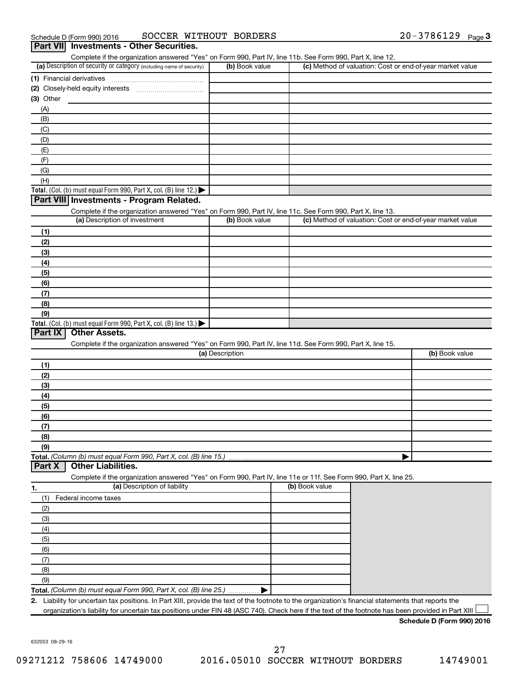| Complete if the organization answered "Yes" on Form 990, Part IV, line 11b. See Form 990, Part X, line 12.                                  |                 |                |                                                           |                |
|---------------------------------------------------------------------------------------------------------------------------------------------|-----------------|----------------|-----------------------------------------------------------|----------------|
| (a) Description of security or category (including name of security)                                                                        | (b) Book value  |                | (c) Method of valuation: Cost or end-of-year market value |                |
|                                                                                                                                             |                 |                |                                                           |                |
|                                                                                                                                             |                 |                |                                                           |                |
| (3) Other                                                                                                                                   |                 |                |                                                           |                |
| (A)                                                                                                                                         |                 |                |                                                           |                |
| (B)                                                                                                                                         |                 |                |                                                           |                |
| (C)                                                                                                                                         |                 |                |                                                           |                |
| (D)                                                                                                                                         |                 |                |                                                           |                |
| (E)                                                                                                                                         |                 |                |                                                           |                |
| (F)                                                                                                                                         |                 |                |                                                           |                |
| (G)                                                                                                                                         |                 |                |                                                           |                |
| (H)                                                                                                                                         |                 |                |                                                           |                |
| Total. (Col. (b) must equal Form 990, Part X, col. (B) line 12.)                                                                            |                 |                |                                                           |                |
| Part VIII Investments - Program Related.                                                                                                    |                 |                |                                                           |                |
|                                                                                                                                             |                 |                |                                                           |                |
| Complete if the organization answered "Yes" on Form 990, Part IV, line 11c. See Form 990, Part X, line 13.<br>(a) Description of investment | (b) Book value  |                | (c) Method of valuation: Cost or end-of-year market value |                |
|                                                                                                                                             |                 |                |                                                           |                |
| (1)                                                                                                                                         |                 |                |                                                           |                |
| (2)                                                                                                                                         |                 |                |                                                           |                |
| (3)                                                                                                                                         |                 |                |                                                           |                |
| (4)                                                                                                                                         |                 |                |                                                           |                |
| (5)                                                                                                                                         |                 |                |                                                           |                |
| (6)                                                                                                                                         |                 |                |                                                           |                |
| (7)                                                                                                                                         |                 |                |                                                           |                |
|                                                                                                                                             |                 |                |                                                           |                |
|                                                                                                                                             |                 |                |                                                           |                |
| (8)<br>(9)<br>Total. (Col. (b) must equal Form 990, Part X, col. (B) line 13.) $\blacktriangleright$<br>Part IX<br><b>Other Assets.</b>     |                 |                |                                                           |                |
| Complete if the organization answered "Yes" on Form 990, Part IV, line 11d. See Form 990, Part X, line 15.                                  | (a) Description |                |                                                           |                |
| (1)                                                                                                                                         |                 |                |                                                           |                |
|                                                                                                                                             |                 |                |                                                           |                |
| (2)                                                                                                                                         |                 |                |                                                           |                |
| (3)                                                                                                                                         |                 |                |                                                           |                |
| (4)                                                                                                                                         |                 |                |                                                           |                |
| (5)                                                                                                                                         |                 |                |                                                           |                |
| (6)                                                                                                                                         |                 |                |                                                           |                |
| (7)                                                                                                                                         |                 |                |                                                           |                |
| (8)                                                                                                                                         |                 |                |                                                           |                |
| (9)                                                                                                                                         |                 |                |                                                           |                |
|                                                                                                                                             |                 |                |                                                           |                |
| <b>Other Liabilities.</b>                                                                                                                   |                 |                |                                                           |                |
| Complete if the organization answered "Yes" on Form 990, Part IV, line 11e or 11f. See Form 990, Part X, line 25.                           |                 |                |                                                           |                |
| (a) Description of liability                                                                                                                |                 | (b) Book value |                                                           |                |
| (1)<br>Federal income taxes                                                                                                                 |                 |                |                                                           |                |
| (2)                                                                                                                                         |                 |                |                                                           |                |
| (3)                                                                                                                                         |                 |                |                                                           |                |
| (4)                                                                                                                                         |                 |                |                                                           |                |
| (5)                                                                                                                                         |                 |                |                                                           |                |
| Total. (Column (b) must equal Form 990, Part X, col. (B) line 15.)<br>Part X<br>1.<br>(6)                                                   |                 |                |                                                           |                |
| (7)                                                                                                                                         |                 |                |                                                           |                |
| (8)                                                                                                                                         |                 |                |                                                           |                |
| (9)                                                                                                                                         |                 |                |                                                           | (b) Book value |

632053 08-29-16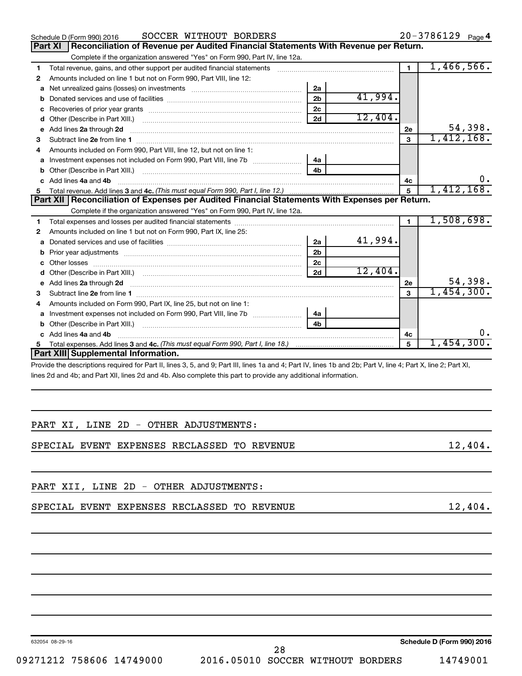|              | SOCCER WITHOUT BORDERS<br>Schedule D (Form 990) 2016                                                                                                                                                                           |                |         |                | $20 - 3786129$ Page 4 |
|--------------|--------------------------------------------------------------------------------------------------------------------------------------------------------------------------------------------------------------------------------|----------------|---------|----------------|-----------------------|
|              | Reconciliation of Revenue per Audited Financial Statements With Revenue per Return.<br>Part XI                                                                                                                                 |                |         |                |                       |
|              | Complete if the organization answered "Yes" on Form 990, Part IV, line 12a.                                                                                                                                                    |                |         |                |                       |
| 1            | Total revenue, gains, and other support per audited financial statements                                                                                                                                                       |                |         | $\blacksquare$ | 1,466,566.            |
| 2            | Amounts included on line 1 but not on Form 990, Part VIII, line 12:                                                                                                                                                            |                |         |                |                       |
| a            |                                                                                                                                                                                                                                | 2a             |         |                |                       |
|              |                                                                                                                                                                                                                                | 2 <sub>b</sub> | 41,994. |                |                       |
|              |                                                                                                                                                                                                                                | 2c             |         |                |                       |
|              |                                                                                                                                                                                                                                | 2d             | 12,404. |                |                       |
|              | e Add lines 2a through 2d                                                                                                                                                                                                      |                |         | 2e             | 54,398.               |
| 3            |                                                                                                                                                                                                                                |                |         | $\mathbf{a}$   | 1,412,168.            |
| 4            | Amounts included on Form 990, Part VIII, line 12, but not on line 1:                                                                                                                                                           |                |         |                |                       |
|              | a Investment expenses not included on Form 990, Part VIII, line 7b [11, 11, 11, 11]                                                                                                                                            | 4a             |         |                |                       |
|              |                                                                                                                                                                                                                                | 4h.            |         |                |                       |
|              | c Add lines 4a and 4b                                                                                                                                                                                                          |                |         | 4c             | 0.                    |
| 5            |                                                                                                                                                                                                                                |                |         | 5              | 1,412,168.            |
|              | Part XII   Reconciliation of Expenses per Audited Financial Statements With Expenses per Return.                                                                                                                               |                |         |                |                       |
|              | Complete if the organization answered "Yes" on Form 990, Part IV, line 12a.                                                                                                                                                    |                |         |                |                       |
| 1.           |                                                                                                                                                                                                                                |                |         | $\blacksquare$ | 1,508,698.            |
| 2            | Amounts included on line 1 but not on Form 990, Part IX, line 25:                                                                                                                                                              |                |         |                |                       |
| $\mathbf{a}$ | Donated services and use of facilities [111] matter controller and use of facilities [11] matter controller matter controller and use of facilities [11] matter controller matter controller and the controller matter control | 2a             | 41,994. |                |                       |
|              | b Prior year adjustments [111] manufactured and prior year adjustments [11] manufactured and prior year adjustments                                                                                                            | 2 <sub>b</sub> |         |                |                       |
|              |                                                                                                                                                                                                                                | 2 <sub>c</sub> |         |                |                       |
|              |                                                                                                                                                                                                                                | 2d             | 12,404. |                |                       |
| е            |                                                                                                                                                                                                                                |                |         | 2e             | 54,398.               |
| 3            |                                                                                                                                                                                                                                |                |         | 3              | 1,454,300.            |
| 4            | Amounts included on Form 990, Part IX, line 25, but not on line 1:                                                                                                                                                             |                |         |                |                       |
|              | Investment expenses not included on Form 990, Part VIII, line 7b [ <i>[[[[[[[[[[[[]]]]</i>                                                                                                                                     | 4a             |         |                |                       |
|              |                                                                                                                                                                                                                                | 4 <sub>b</sub> |         |                |                       |
|              | c Add lines 4a and 4b                                                                                                                                                                                                          |                |         | 4c             | 0.                    |
| 5            |                                                                                                                                                                                                                                |                |         | 5              | 1,454,300.            |
|              | Part XIII Supplemental Information.                                                                                                                                                                                            |                |         |                |                       |
|              | Provide the descriptions required for Part II, lines 3, 5, and 9: Part III, lines 1a and 4: Part IV, lines 1b and 2b: Part V, line 4: Part X, line 2: Part XI.                                                                 |                |         |                |                       |

3, 5, and 9; Part III, lines 1a and 4; Part IV, lines 1b and 2 lines 2d and 4b; and Part XII, lines 2d and 4b. Also complete this part to provide any additional information.

|  |  |  | PART XI, LINE 2D - OTHER ADJUSTMENTS: |
|--|--|--|---------------------------------------|
|  |  |  |                                       |

SPECIAL EVENT EXPENSES RECLASSED TO REVENUE 12,404.

PART XII, LINE 2D - OTHER ADJUSTMENTS:

SPECIAL EVENT EXPENSES RECLASSED TO REVENUE 12,404.

632054 08-29-16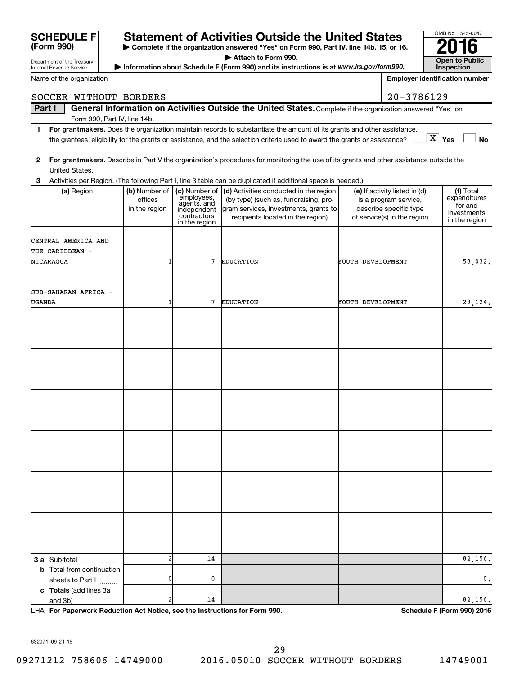| (Form 990)                                                    |  |                              |                            | ▶ Complete if the organization answered "Yes" on Form 990, Part IV, line 14b, 15, or 16.                                                                     |                   |                                                       | ZU 10                                 |
|---------------------------------------------------------------|--|------------------------------|----------------------------|--------------------------------------------------------------------------------------------------------------------------------------------------------------|-------------------|-------------------------------------------------------|---------------------------------------|
| Department of the Treasury<br><b>Internal Revenue Service</b> |  |                              |                            | Attach to Form 990.                                                                                                                                          |                   |                                                       | <b>Open to Public</b><br>Inspection   |
| Name of the organization                                      |  |                              |                            | Information about Schedule F (Form 990) and its instructions is at www.irs.gov/form990.                                                                      |                   |                                                       | <b>Employer identification number</b> |
|                                                               |  |                              |                            |                                                                                                                                                              |                   |                                                       |                                       |
| SOCCER WITHOUT BORDERS                                        |  |                              |                            |                                                                                                                                                              |                   | 20-3786129                                            |                                       |
| Part I                                                        |  |                              |                            | General Information on Activities Outside the United States. Complete if the organization answered "Yes" on                                                  |                   |                                                       |                                       |
| 1                                                             |  | Form 990, Part IV, line 14b. |                            | For grantmakers. Does the organization maintain records to substantiate the amount of its grants and other assistance,                                       |                   |                                                       |                                       |
|                                                               |  |                              |                            | the grantees' eligibility for the grants or assistance, and the selection criteria used to award the grants or assistance? $\ldots$ $\boxed{\textbf{X}}$ Yes |                   |                                                       | <b>No</b>                             |
|                                                               |  |                              |                            |                                                                                                                                                              |                   |                                                       |                                       |
| $\mathbf{2}$                                                  |  |                              |                            | For grantmakers. Describe in Part V the organization's procedures for monitoring the use of its grants and other assistance outside the                      |                   |                                                       |                                       |
| United States.<br>З                                           |  |                              |                            | Activities per Region. (The following Part I, line 3 table can be duplicated if additional space is needed.)                                                 |                   |                                                       |                                       |
| (a) Region                                                    |  | (b) Number of                | (c) Number of              | (d) Activities conducted in the region                                                                                                                       |                   | (e) If activity listed in (d)                         | (f) Total                             |
|                                                               |  | offices                      | employees,<br>agents, and  | (by type) (such as, fundraising, pro-                                                                                                                        |                   | is a program service,                                 | expenditures<br>for and               |
|                                                               |  | in the region                | independent<br>contractors | gram services, investments, grants to<br>recipients located in the region)                                                                                   |                   | describe specific type<br>of service(s) in the region | investments                           |
|                                                               |  |                              | in the region              |                                                                                                                                                              |                   |                                                       | in the region                         |
| CENTRAL AMERICA AND                                           |  |                              |                            |                                                                                                                                                              |                   |                                                       |                                       |
| THE CARIBBEAN -                                               |  |                              |                            |                                                                                                                                                              |                   |                                                       |                                       |
| NICARAGUA                                                     |  |                              | 7                          | <b>EDUCATION</b>                                                                                                                                             | YOUTH DEVELOPMENT |                                                       | 53,032.                               |
|                                                               |  |                              |                            |                                                                                                                                                              |                   |                                                       |                                       |
| SUB-SAHARAN AFRICA -                                          |  |                              |                            |                                                                                                                                                              |                   |                                                       |                                       |
| UGANDA                                                        |  | 1                            | 7                          | <b>EDUCATION</b>                                                                                                                                             | YOUTH DEVELOPMENT |                                                       | 29,124.                               |
|                                                               |  |                              |                            |                                                                                                                                                              |                   |                                                       |                                       |
|                                                               |  |                              |                            |                                                                                                                                                              |                   |                                                       |                                       |
|                                                               |  |                              |                            |                                                                                                                                                              |                   |                                                       |                                       |
|                                                               |  |                              |                            |                                                                                                                                                              |                   |                                                       |                                       |
|                                                               |  |                              |                            |                                                                                                                                                              |                   |                                                       |                                       |
|                                                               |  |                              |                            |                                                                                                                                                              |                   |                                                       |                                       |
|                                                               |  |                              |                            |                                                                                                                                                              |                   |                                                       |                                       |
|                                                               |  |                              |                            |                                                                                                                                                              |                   |                                                       |                                       |
|                                                               |  |                              |                            |                                                                                                                                                              |                   |                                                       |                                       |
|                                                               |  |                              |                            |                                                                                                                                                              |                   |                                                       |                                       |
|                                                               |  |                              |                            |                                                                                                                                                              |                   |                                                       |                                       |
|                                                               |  |                              |                            |                                                                                                                                                              |                   |                                                       |                                       |
|                                                               |  |                              |                            |                                                                                                                                                              |                   |                                                       |                                       |
|                                                               |  |                              |                            |                                                                                                                                                              |                   |                                                       |                                       |
|                                                               |  |                              |                            |                                                                                                                                                              |                   |                                                       |                                       |
|                                                               |  |                              |                            |                                                                                                                                                              |                   |                                                       |                                       |
|                                                               |  |                              |                            |                                                                                                                                                              |                   |                                                       |                                       |
|                                                               |  |                              |                            |                                                                                                                                                              |                   |                                                       |                                       |
|                                                               |  |                              |                            |                                                                                                                                                              |                   |                                                       |                                       |
|                                                               |  |                              |                            |                                                                                                                                                              |                   |                                                       |                                       |
| 3 a Sub-total                                                 |  | $\overline{2}$               | 14                         |                                                                                                                                                              |                   |                                                       | 82,156.                               |
| <b>b</b> Total from continuation                              |  |                              |                            |                                                                                                                                                              |                   |                                                       |                                       |
| sheets to Part I                                              |  | 0                            | 0                          |                                                                                                                                                              |                   |                                                       | 0.                                    |
| c Totals (add lines 3a<br>and 3b)                             |  |                              | 14                         |                                                                                                                                                              |                   |                                                       | 82,156.                               |

**Statement of Activities Outside the United States**  $\begin{array}{c} \circ\text{MIB NO. 1545-004} \\ \circ\text{MIB NO. 1645-004} \end{array}$ 

**For Paperwork Reduction Act Notice, see the Instructions for Form 990. Schedule F (Form 990) 2016** LHA

OMB No. 1545-0047

632071 09-21-16

**SCHEDULE F**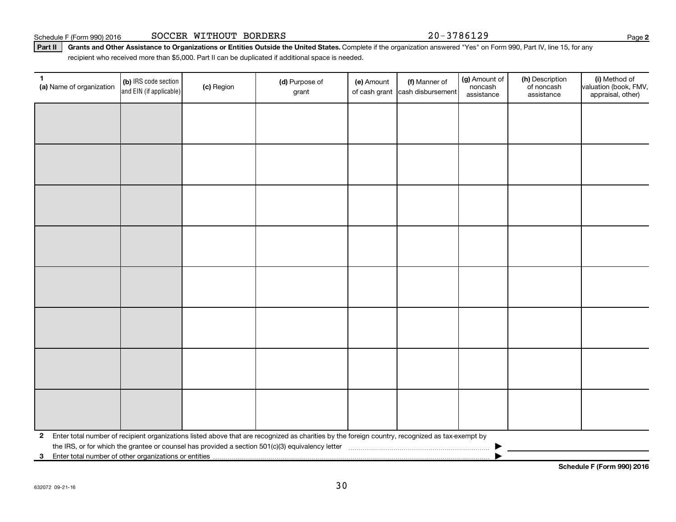Schedule F (Form 990) 2016 SOCCER WITHOUT BORDERS 20-3786129

Part II | Grants and Other Assistance to Organizations or Entities Outside the United States. Complete if the organization answered "Yes" on Form 990, Part IV, line 15, for any recipient who received more than \$5,000. Part II can be duplicated if additional space is needed.

| 1<br>(a) Name of organization                              | (b) IRS code section<br>and EIN (if applicable)                                                                                                 | (c) Region | (d) Purpose of<br>grant | (e) Amount | (f) Manner of<br>of cash grant cash disbursement | (g) Amount of<br>noncash<br>assistance | (h) Description<br>of noncash<br>assistance | (i) Method of<br>valuation (book, FMV,<br>appraisal, other) |
|------------------------------------------------------------|-------------------------------------------------------------------------------------------------------------------------------------------------|------------|-------------------------|------------|--------------------------------------------------|----------------------------------------|---------------------------------------------|-------------------------------------------------------------|
|                                                            |                                                                                                                                                 |            |                         |            |                                                  |                                        |                                             |                                                             |
|                                                            |                                                                                                                                                 |            |                         |            |                                                  |                                        |                                             |                                                             |
|                                                            |                                                                                                                                                 |            |                         |            |                                                  |                                        |                                             |                                                             |
|                                                            |                                                                                                                                                 |            |                         |            |                                                  |                                        |                                             |                                                             |
|                                                            |                                                                                                                                                 |            |                         |            |                                                  |                                        |                                             |                                                             |
|                                                            |                                                                                                                                                 |            |                         |            |                                                  |                                        |                                             |                                                             |
|                                                            |                                                                                                                                                 |            |                         |            |                                                  |                                        |                                             |                                                             |
|                                                            |                                                                                                                                                 |            |                         |            |                                                  |                                        |                                             |                                                             |
|                                                            |                                                                                                                                                 |            |                         |            |                                                  |                                        |                                             |                                                             |
|                                                            |                                                                                                                                                 |            |                         |            |                                                  |                                        |                                             |                                                             |
|                                                            |                                                                                                                                                 |            |                         |            |                                                  |                                        |                                             |                                                             |
|                                                            |                                                                                                                                                 |            |                         |            |                                                  |                                        |                                             |                                                             |
|                                                            |                                                                                                                                                 |            |                         |            |                                                  |                                        |                                             |                                                             |
|                                                            |                                                                                                                                                 |            |                         |            |                                                  |                                        |                                             |                                                             |
|                                                            |                                                                                                                                                 |            |                         |            |                                                  |                                        |                                             |                                                             |
|                                                            |                                                                                                                                                 |            |                         |            |                                                  |                                        |                                             |                                                             |
| $\mathbf{2}$                                               | Enter total number of recipient organizations listed above that are recognized as charities by the foreign country, recognized as tax-exempt by |            |                         |            |                                                  |                                        |                                             |                                                             |
| Enter total number of other organizations or entities<br>3 |                                                                                                                                                 |            |                         |            |                                                  |                                        |                                             |                                                             |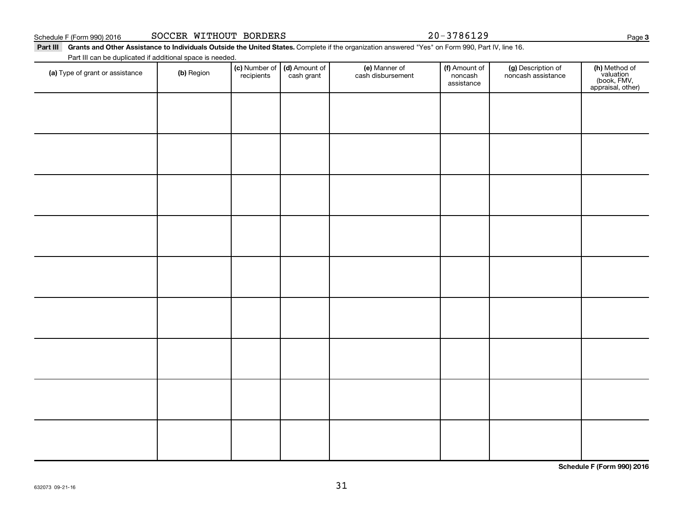| (a) Type of grant or assistance | (b) Region | <b>(c)</b> Number of <b>(d)</b> Amount of <b>recipients</b> cash grant | (e) Manner of<br>cash disbursement | (f) Amount of<br>noncash<br>assistance | (g) Description of<br>noncash assistance | (h) Method of<br>valuation<br>(book, FMV,<br>appraisal, other) |
|---------------------------------|------------|------------------------------------------------------------------------|------------------------------------|----------------------------------------|------------------------------------------|----------------------------------------------------------------|
|                                 |            |                                                                        |                                    |                                        |                                          |                                                                |
|                                 |            |                                                                        |                                    |                                        |                                          |                                                                |
|                                 |            |                                                                        |                                    |                                        |                                          |                                                                |
|                                 |            |                                                                        |                                    |                                        |                                          |                                                                |
|                                 |            |                                                                        |                                    |                                        |                                          |                                                                |
|                                 |            |                                                                        |                                    |                                        |                                          |                                                                |
|                                 |            |                                                                        |                                    |                                        |                                          |                                                                |
|                                 |            |                                                                        |                                    |                                        |                                          |                                                                |
|                                 |            |                                                                        |                                    |                                        |                                          |                                                                |
|                                 |            |                                                                        |                                    |                                        |                                          |                                                                |
|                                 |            |                                                                        |                                    |                                        |                                          |                                                                |
|                                 |            |                                                                        |                                    |                                        |                                          | Schedule F (Form 990) 2016                                     |

# Part III Grants and Other Assistance to Individuals Outside the United States. Complete if the organization answered "Yes" on Form 990, Part IV, line 16.

(e) Manner of cash disbursement

Part III can be duplicated if additional space is needed.

632073 09-21-16

Schedule F (Form 990) 2016 SOCCER WITHOUT BORDERS 20-3786129

Amount of noncash

(g) Description of noncash assistance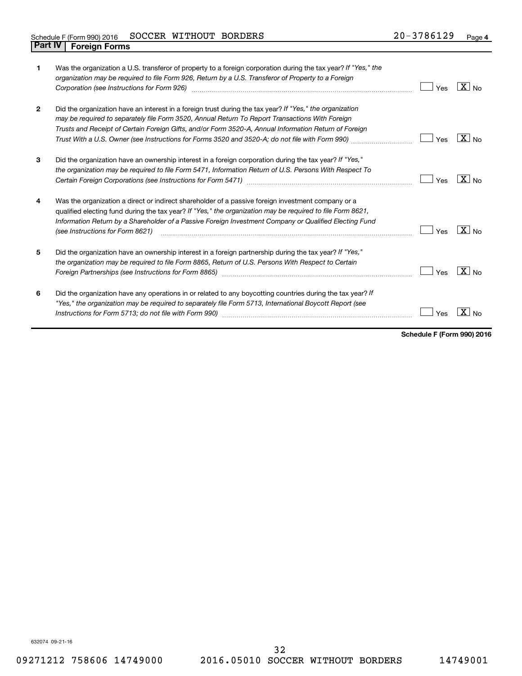# Schedule F (Form 990) 2016 SOCCER WITHOUT BORDERS 20-3786129 Page **Part IV F** (Form 990) 2016 **Part IV Foreign Forms**

| 1            | Was the organization a U.S. transferor of property to a foreign corporation during the tax year? If "Yes," the<br>organization may be required to file Form 926, Return by a U.S. Transferor of Property to a Foreign                                                                                                                                                                                                   | Yes | $\overline{X}$ No |
|--------------|-------------------------------------------------------------------------------------------------------------------------------------------------------------------------------------------------------------------------------------------------------------------------------------------------------------------------------------------------------------------------------------------------------------------------|-----|-------------------|
| $\mathbf{2}$ | Did the organization have an interest in a foreign trust during the tax year? If "Yes," the organization<br>may be required to separately file Form 3520, Annual Return To Report Transactions With Foreign<br>Trusts and Receipt of Certain Foreign Gifts, and/or Form 3520-A, Annual Information Return of Foreign<br>Trust With a U.S. Owner (see Instructions for Forms 3520 and 3520-A; do not file with Form 990) | Yes | $X _{\text{No}}$  |
| 3            | Did the organization have an ownership interest in a foreign corporation during the tax year? If "Yes,"<br>the organization may be required to file Form 5471, Information Return of U.S. Persons With Respect To                                                                                                                                                                                                       | Yes | $X _{N0}$         |
| 4            | Was the organization a direct or indirect shareholder of a passive foreign investment company or a<br>qualified electing fund during the tax year? If "Yes," the organization may be required to file Form 8621,<br>Information Return by a Shareholder of a Passive Foreign Investment Company or Qualified Electing Fund<br>(see Instructions for Form 8621)                                                          | Yes | $\overline{X}$ No |
| 5            | Did the organization have an ownership interest in a foreign partnership during the tax year? If "Yes,"<br>the organization may be required to file Form 8865, Return of U.S. Persons With Respect to Certain                                                                                                                                                                                                           | Yes | $X _{No}$         |
| 6            | Did the organization have any operations in or related to any boycotting countries during the tax year? If<br>"Yes," the organization may be required to separately file Form 5713, International Boycott Report (see                                                                                                                                                                                                   | Yes | x<br>No           |

**Schedule F (Form 990) 2016**

632074 09-21-16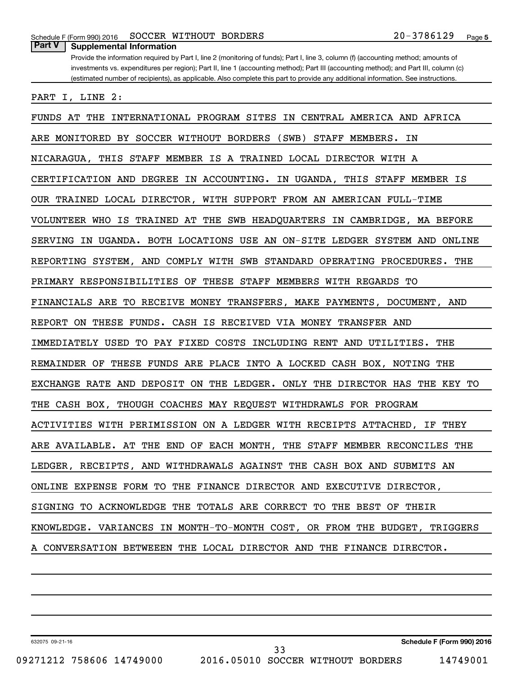# **Part V Supplemental Information**

Provide the information required by Part I, line 2 (monitoring of funds); Part I, line 3, column (f) (accounting method; amounts of investments vs. expenditures per region); Part II, line 1 (accounting method); Part III (accounting method); and Part III, column (c) (estimated number of recipients), as applicable. Also complete this part to provide any additional information. See instructions.

PART I, LINE 2:

FUNDS AT THE INTERNATIONAL PROGRAM SITES IN CENTRAL AMERICA AND AFRICA ARE MONITORED BY SOCCER WITHOUT BORDERS (SWB) STAFF MEMBERS. IN NICARAGUA, THIS STAFF MEMBER IS A TRAINED LOCAL DIRECTOR WITH A CERTIFICATION AND DEGREE IN ACCOUNTING. IN UGANDA, THIS STAFF MEMBER IS OUR TRAINED LOCAL DIRECTOR, WITH SUPPORT FROM AN AMERICAN FULL-TIME VOLUNTEER WHO IS TRAINED AT THE SWB HEADQUARTERS IN CAMBRIDGE, MA BEFORE SERVING IN UGANDA. BOTH LOCATIONS USE AN ON-SITE LEDGER SYSTEM AND ONLINE REPORTING SYSTEM, AND COMPLY WITH SWB STANDARD OPERATING PROCEDURES. THE PRIMARY RESPONSIBILITIES OF THESE STAFF MEMBERS WITH REGARDS TO FINANCIALS ARE TO RECEIVE MONEY TRANSFERS, MAKE PAYMENTS, DOCUMENT, AND REPORT ON THESE FUNDS. CASH IS RECEIVED VIA MONEY TRANSFER AND IMMEDIATELY USED TO PAY FIXED COSTS INCLUDING RENT AND UTILITIES. THE REMAINDER OF THESE FUNDS ARE PLACE INTO A LOCKED CASH BOX, NOTING THE EXCHANGE RATE AND DEPOSIT ON THE LEDGER. ONLY THE DIRECTOR HAS THE KEY TO THE CASH BOX, THOUGH COACHES MAY REQUEST WITHDRAWLS FOR PROGRAM ACTIVITIES WITH PERIMISSION ON A LEDGER WITH RECEIPTS ATTACHED, IF THEY ARE AVAILABLE. AT THE END OF EACH MONTH, THE STAFF MEMBER RECONCILES THE LEDGER, RECEIPTS, AND WITHDRAWALS AGAINST THE CASH BOX AND SUBMITS AN ONLINE EXPENSE FORM TO THE FINANCE DIRECTOR AND EXECUTIVE DIRECTOR, SIGNING TO ACKNOWLEDGE THE TOTALS ARE CORRECT TO THE BEST OF THEIR KNOWLEDGE. VARIANCES IN MONTH-TO-MONTH COST, OR FROM THE BUDGET, TRIGGERS A CONVERSATION BETWEEEN THE LOCAL DIRECTOR AND THE FINANCE DIRECTOR.

632075 09-21-16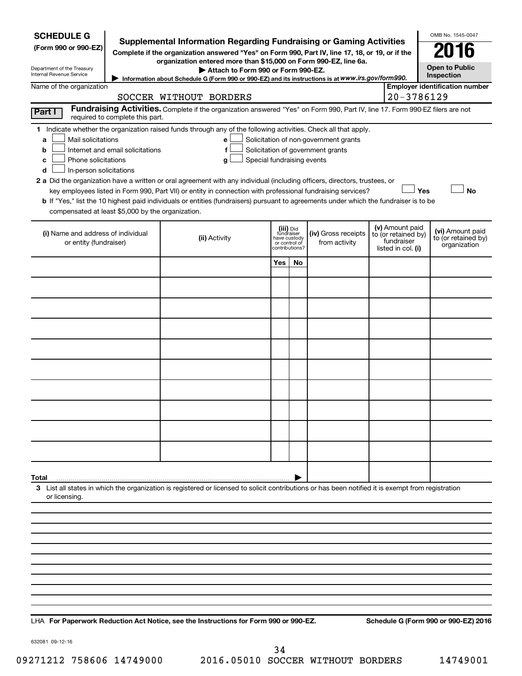| <b>SCHEDULE G</b><br>(Form 990 or 990-EZ)<br>Department of the Treasury<br><b>Internal Revenue Service</b>                                    |                                                                     | <b>Supplemental Information Regarding Fundraising or Gaming Activities</b><br>Complete if the organization answered "Yes" on Form 990, Part IV, line 17, 18, or 19, or if the<br>organization entered more than \$15,000 on Form 990-EZ, line 6a.<br>Attach to Form 990 or Form 990-EZ.<br>Information about Schedule G (Form 990 or 990-EZ) and its instructions is at WWW.irs.gov/form990.                                                                                                                                                       |                               |                                           |                                                                            |                                                                            | OMB No. 1545-0047<br><b>Open to Public</b><br>Inspection |
|-----------------------------------------------------------------------------------------------------------------------------------------------|---------------------------------------------------------------------|----------------------------------------------------------------------------------------------------------------------------------------------------------------------------------------------------------------------------------------------------------------------------------------------------------------------------------------------------------------------------------------------------------------------------------------------------------------------------------------------------------------------------------------------------|-------------------------------|-------------------------------------------|----------------------------------------------------------------------------|----------------------------------------------------------------------------|----------------------------------------------------------|
| Name of the organization                                                                                                                      |                                                                     | SOCCER WITHOUT BORDERS                                                                                                                                                                                                                                                                                                                                                                                                                                                                                                                             |                               |                                           |                                                                            | 20-3786129                                                                 | <b>Employer identification number</b>                    |
| Part I                                                                                                                                        |                                                                     | Fundraising Activities. Complete if the organization answered "Yes" on Form 990, Part IV, line 17. Form 990-EZ filers are not                                                                                                                                                                                                                                                                                                                                                                                                                      |                               |                                           |                                                                            |                                                                            |                                                          |
| Mail solicitations<br>a<br>b<br>Phone solicitations<br>с<br>In-person solicitations<br>d<br>compensated at least \$5,000 by the organization. | required to complete this part.<br>Internet and email solicitations | 1 Indicate whether the organization raised funds through any of the following activities. Check all that apply.<br>е<br>f<br>Special fundraising events<br>g<br>2 a Did the organization have a written or oral agreement with any individual (including officers, directors, trustees, or<br>key employees listed in Form 990, Part VII) or entity in connection with professional fundraising services?<br>b If "Yes," list the 10 highest paid individuals or entities (fundraisers) pursuant to agreements under which the fundraiser is to be |                               |                                           | Solicitation of non-government grants<br>Solicitation of government grants |                                                                            | Yes<br>No                                                |
| (i) Name and address of individual<br>or entity (fundraiser)                                                                                  |                                                                     | (ii) Activity                                                                                                                                                                                                                                                                                                                                                                                                                                                                                                                                      | have custody<br>or control of | (iii) Did<br>fundraiser<br>contributions? | (iv) Gross receipts<br>from activity                                       | (v) Amount paid<br>to (or retained by)<br>fundraiser<br>listed in col. (i) | (vi) Amount paid<br>to (or retained by)<br>organization  |
|                                                                                                                                               |                                                                     |                                                                                                                                                                                                                                                                                                                                                                                                                                                                                                                                                    | Yes                           | No                                        |                                                                            |                                                                            |                                                          |
|                                                                                                                                               |                                                                     |                                                                                                                                                                                                                                                                                                                                                                                                                                                                                                                                                    |                               |                                           |                                                                            |                                                                            |                                                          |
|                                                                                                                                               |                                                                     |                                                                                                                                                                                                                                                                                                                                                                                                                                                                                                                                                    |                               |                                           |                                                                            |                                                                            |                                                          |
|                                                                                                                                               |                                                                     |                                                                                                                                                                                                                                                                                                                                                                                                                                                                                                                                                    |                               |                                           |                                                                            |                                                                            |                                                          |
|                                                                                                                                               |                                                                     |                                                                                                                                                                                                                                                                                                                                                                                                                                                                                                                                                    |                               |                                           |                                                                            |                                                                            |                                                          |
|                                                                                                                                               |                                                                     |                                                                                                                                                                                                                                                                                                                                                                                                                                                                                                                                                    |                               |                                           |                                                                            |                                                                            |                                                          |
|                                                                                                                                               |                                                                     |                                                                                                                                                                                                                                                                                                                                                                                                                                                                                                                                                    |                               |                                           |                                                                            |                                                                            |                                                          |
|                                                                                                                                               |                                                                     |                                                                                                                                                                                                                                                                                                                                                                                                                                                                                                                                                    |                               |                                           |                                                                            |                                                                            |                                                          |
|                                                                                                                                               |                                                                     |                                                                                                                                                                                                                                                                                                                                                                                                                                                                                                                                                    |                               |                                           |                                                                            |                                                                            |                                                          |
|                                                                                                                                               |                                                                     |                                                                                                                                                                                                                                                                                                                                                                                                                                                                                                                                                    |                               |                                           |                                                                            |                                                                            |                                                          |
| Total                                                                                                                                         |                                                                     | 3 List all states in which the organization is registered or licensed to solicit contributions or has been notified it is exempt from registration                                                                                                                                                                                                                                                                                                                                                                                                 |                               |                                           |                                                                            |                                                                            |                                                          |
| or licensing.                                                                                                                                 |                                                                     |                                                                                                                                                                                                                                                                                                                                                                                                                                                                                                                                                    |                               |                                           |                                                                            |                                                                            |                                                          |
|                                                                                                                                               |                                                                     |                                                                                                                                                                                                                                                                                                                                                                                                                                                                                                                                                    |                               |                                           |                                                                            |                                                                            |                                                          |
|                                                                                                                                               |                                                                     |                                                                                                                                                                                                                                                                                                                                                                                                                                                                                                                                                    |                               |                                           |                                                                            |                                                                            |                                                          |
|                                                                                                                                               |                                                                     |                                                                                                                                                                                                                                                                                                                                                                                                                                                                                                                                                    |                               |                                           |                                                                            |                                                                            |                                                          |
|                                                                                                                                               |                                                                     |                                                                                                                                                                                                                                                                                                                                                                                                                                                                                                                                                    |                               |                                           |                                                                            |                                                                            |                                                          |
|                                                                                                                                               |                                                                     |                                                                                                                                                                                                                                                                                                                                                                                                                                                                                                                                                    |                               |                                           |                                                                            |                                                                            |                                                          |

**For Paperwork Reduction Act Notice, see the Instructions for Form 990 or 990-EZ. Schedule G (Form 990 or 990-EZ) 2016** LHA

632081 09-12-16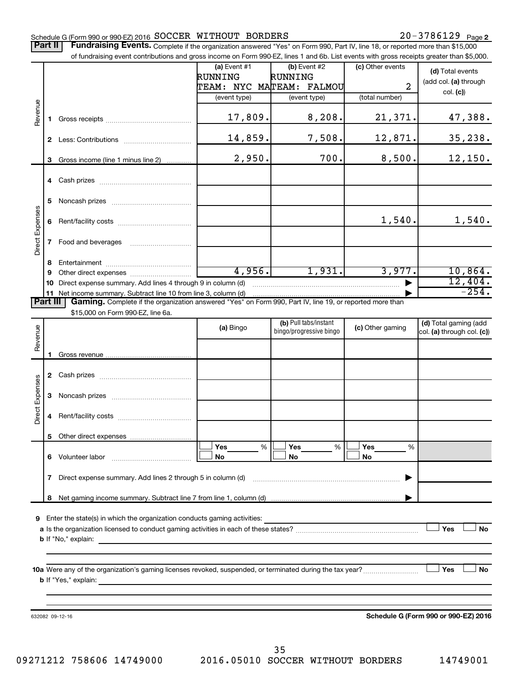#### Schedule G (Form 990 or 990-EZ) 2016 SOCCER WITHOUT BORDERS Noted that the state of the state of Page SOCCER WITHOUT BORDERS 20-3786129

Part II | Fundraising Events. Complete if the organization answered "Yes" on Form 990, Part IV, line 18, or reported more than \$15,000

|                 |              | of fundraising event contributions and gross income on Form 990-EZ, lines 1 and 6b. List events with gross receipts greater than \$5,000. |                |                                                  |                  |                                                     |
|-----------------|--------------|-------------------------------------------------------------------------------------------------------------------------------------------|----------------|--------------------------------------------------|------------------|-----------------------------------------------------|
|                 |              |                                                                                                                                           | $(a)$ Event #1 | (b) Event #2                                     | (c) Other events | (d) Total events                                    |
|                 |              |                                                                                                                                           | RUNNING        | RUNNING                                          |                  | (add col. (a) through                               |
|                 |              |                                                                                                                                           |                | TEAM: NYC MATEAM: FALMOU                         | $\overline{2}$   | col. (c)                                            |
|                 |              |                                                                                                                                           | (event type)   | (event type)                                     | (total number)   |                                                     |
| Revenue         | 1.           |                                                                                                                                           | 17,809.        | 8,208.                                           | 21,371.          | 47,388.                                             |
|                 |              |                                                                                                                                           | 14,859.        | 7,508.                                           | 12,871.          | 35, 238.                                            |
|                 | 3            | Gross income (line 1 minus line 2)                                                                                                        | 2,950.         | 700.                                             | 8,500.           | 12,150.                                             |
|                 |              |                                                                                                                                           |                |                                                  |                  |                                                     |
|                 | 5            |                                                                                                                                           |                |                                                  |                  |                                                     |
|                 | 6            |                                                                                                                                           |                |                                                  | 1,540.           | 1,540.                                              |
| Direct Expenses | $\mathbf{7}$ | Food and beverages                                                                                                                        |                |                                                  |                  |                                                     |
|                 | 8            |                                                                                                                                           |                |                                                  |                  |                                                     |
|                 | 9            |                                                                                                                                           | 4,956.         | 1,931.                                           | 3,977.           | 10,864.                                             |
|                 | 10           | Direct expense summary. Add lines 4 through 9 in column (d)                                                                               |                |                                                  |                  | 12,404.                                             |
|                 |              | 11 Net income summary. Subtract line 10 from line 3, column (d)                                                                           |                |                                                  |                  | $-254.$                                             |
| <b>Part III</b> |              | Gaming. Complete if the organization answered "Yes" on Form 990, Part IV, line 19, or reported more than                                  |                |                                                  |                  |                                                     |
|                 |              | \$15,000 on Form 990-EZ, line 6a.                                                                                                         |                |                                                  |                  |                                                     |
| Revenue         |              |                                                                                                                                           | (a) Bingo      | (b) Pull tabs/instant<br>bingo/progressive bingo | (c) Other gaming | (d) Total gaming (add<br>col. (a) through col. (c)) |
|                 |              |                                                                                                                                           |                |                                                  |                  |                                                     |
|                 | 1.           |                                                                                                                                           |                |                                                  |                  |                                                     |
|                 |              |                                                                                                                                           |                |                                                  |                  |                                                     |
|                 |              |                                                                                                                                           |                |                                                  |                  |                                                     |
| Direct Expenses | 3            |                                                                                                                                           |                |                                                  |                  |                                                     |
|                 | 4            |                                                                                                                                           |                |                                                  |                  |                                                     |
|                 |              |                                                                                                                                           |                |                                                  |                  |                                                     |
|                 |              |                                                                                                                                           | %<br>Yes       | %<br>Yes                                         | Yes<br>%         |                                                     |
|                 |              | 6 Volunteer labor                                                                                                                         | No             | No                                               | No               |                                                     |
|                 | 7            | Direct expense summary. Add lines 2 through 5 in column (d)                                                                               |                |                                                  |                  |                                                     |
|                 |              |                                                                                                                                           |                |                                                  |                  |                                                     |
| 9               |              | Enter the state(s) in which the organization conducts gaming activities:                                                                  |                |                                                  |                  |                                                     |
|                 |              |                                                                                                                                           |                |                                                  |                  | Yes<br><b>No</b>                                    |
|                 |              |                                                                                                                                           |                |                                                  |                  |                                                     |
|                 |              |                                                                                                                                           |                |                                                  |                  |                                                     |
|                 |              |                                                                                                                                           |                |                                                  |                  |                                                     |
|                 |              |                                                                                                                                           |                |                                                  |                  | Yes<br>No                                           |
|                 |              |                                                                                                                                           |                |                                                  |                  |                                                     |
|                 |              |                                                                                                                                           |                |                                                  |                  |                                                     |
|                 |              |                                                                                                                                           |                |                                                  |                  |                                                     |
|                 |              | 632082 09-12-16                                                                                                                           |                |                                                  |                  | Schedule G (Form 990 or 990-EZ) 2016                |
|                 |              |                                                                                                                                           |                |                                                  |                  |                                                     |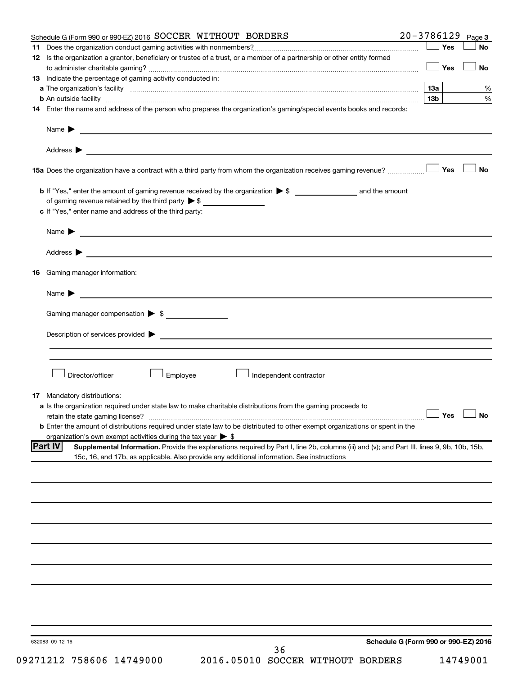| Schedule G (Form 990 or 990-EZ) 2016 SOCCER WITHOUT BORDERS                                                                                                                                                                          | $20 - 3786129$ |                     | Page 3                               |
|--------------------------------------------------------------------------------------------------------------------------------------------------------------------------------------------------------------------------------------|----------------|---------------------|--------------------------------------|
|                                                                                                                                                                                                                                      |                | Yes                 | No                                   |
| 12 Is the organization a grantor, beneficiary or trustee of a trust, or a member of a partnership or other entity formed                                                                                                             |                |                     |                                      |
|                                                                                                                                                                                                                                      |                | Yes                 | <b>No</b>                            |
| 13 Indicate the percentage of gaming activity conducted in:                                                                                                                                                                          |                |                     |                                      |
|                                                                                                                                                                                                                                      |                | 13а                 | %                                    |
|                                                                                                                                                                                                                                      |                | 13 <sub>b</sub>     | $\%$                                 |
| 14 Enter the name and address of the person who prepares the organization's gaming/special events books and records:                                                                                                                 |                |                     |                                      |
|                                                                                                                                                                                                                                      |                |                     |                                      |
|                                                                                                                                                                                                                                      |                |                     |                                      |
| Name $\blacktriangleright$<br><u> 1980 - Johann Barbara, martin amerikan basal dan berasal dan berasal dalam basal dan berasal dan berasal dan</u>                                                                                   |                |                     |                                      |
|                                                                                                                                                                                                                                      |                |                     |                                      |
|                                                                                                                                                                                                                                      |                |                     |                                      |
|                                                                                                                                                                                                                                      |                |                     |                                      |
| 15a Does the organization have a contract with a third party from whom the organization receives gaming revenue?                                                                                                                     |                | Yes                 | <b>No</b>                            |
|                                                                                                                                                                                                                                      |                |                     |                                      |
|                                                                                                                                                                                                                                      |                |                     |                                      |
| of gaming revenue retained by the third party $\triangleright$ \$                                                                                                                                                                    |                |                     |                                      |
| c If "Yes," enter name and address of the third party:                                                                                                                                                                               |                |                     |                                      |
|                                                                                                                                                                                                                                      |                |                     |                                      |
| <u> 1989 - Johann Barbara, martin amerikan basal dan berasal dan berasal dalam basal dan berasal dan berasal dan</u><br>Name $\blacktriangleright$                                                                                   |                |                     |                                      |
|                                                                                                                                                                                                                                      |                |                     |                                      |
|                                                                                                                                                                                                                                      |                |                     |                                      |
|                                                                                                                                                                                                                                      |                |                     |                                      |
| <b>16</b> Gaming manager information:                                                                                                                                                                                                |                |                     |                                      |
|                                                                                                                                                                                                                                      |                |                     |                                      |
| <u> 1989 - Johann Harry Harry Harry Harry Harry Harry Harry Harry Harry Harry Harry Harry Harry Harry Harry Harry</u><br>Name $\blacktriangleright$                                                                                  |                |                     |                                      |
|                                                                                                                                                                                                                                      |                |                     |                                      |
| Gaming manager compensation > \$                                                                                                                                                                                                     |                |                     |                                      |
|                                                                                                                                                                                                                                      |                |                     |                                      |
| Description of services provided <b>Denotes and Constantine Constantine Constantine Constantine Constantine Constantine Constantine Constantine Constantine Constantine Constantine Constantine Constantine Constantine Constant</b> |                |                     |                                      |
|                                                                                                                                                                                                                                      |                |                     |                                      |
|                                                                                                                                                                                                                                      |                |                     |                                      |
|                                                                                                                                                                                                                                      |                |                     |                                      |
| Director/officer<br>Employee<br>Independent contractor                                                                                                                                                                               |                |                     |                                      |
|                                                                                                                                                                                                                                      |                |                     |                                      |
| <b>17</b> Mandatory distributions:                                                                                                                                                                                                   |                |                     |                                      |
| a Is the organization required under state law to make charitable distributions from the gaming proceeds to                                                                                                                          |                |                     |                                      |
| retain the state gaming license?                                                                                                                                                                                                     |                | $\Box$ Yes $\ \bot$ |                                      |
| <b>b</b> Enter the amount of distributions required under state law to be distributed to other exempt organizations or spent in the                                                                                                  |                |                     |                                      |
| organization's own exempt activities during the tax year $\triangleright$ \$                                                                                                                                                         |                |                     |                                      |
| <b>Part IV</b><br>Supplemental Information. Provide the explanations required by Part I, line 2b, columns (iii) and (v); and Part III, lines 9, 9b, 10b, 15b,                                                                        |                |                     |                                      |
| 15c, 16, and 17b, as applicable. Also provide any additional information. See instructions                                                                                                                                           |                |                     |                                      |
|                                                                                                                                                                                                                                      |                |                     |                                      |
|                                                                                                                                                                                                                                      |                |                     |                                      |
|                                                                                                                                                                                                                                      |                |                     |                                      |
|                                                                                                                                                                                                                                      |                |                     |                                      |
|                                                                                                                                                                                                                                      |                |                     |                                      |
|                                                                                                                                                                                                                                      |                |                     |                                      |
|                                                                                                                                                                                                                                      |                |                     |                                      |
|                                                                                                                                                                                                                                      |                |                     |                                      |
|                                                                                                                                                                                                                                      |                |                     |                                      |
|                                                                                                                                                                                                                                      |                |                     |                                      |
|                                                                                                                                                                                                                                      |                |                     |                                      |
|                                                                                                                                                                                                                                      |                |                     |                                      |
|                                                                                                                                                                                                                                      |                |                     |                                      |
|                                                                                                                                                                                                                                      |                |                     |                                      |
|                                                                                                                                                                                                                                      |                |                     |                                      |
|                                                                                                                                                                                                                                      |                |                     |                                      |
|                                                                                                                                                                                                                                      |                |                     |                                      |
|                                                                                                                                                                                                                                      |                |                     |                                      |
| 632083 09-12-16                                                                                                                                                                                                                      |                |                     | Schedule G (Form 990 or 990-EZ) 2016 |
| 36                                                                                                                                                                                                                                   |                |                     |                                      |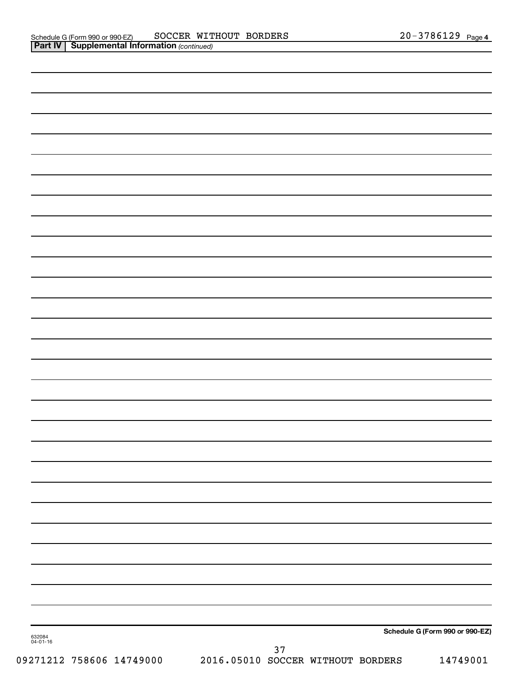| 632084<br>04-01-16 | 37 | Schedule G (Form 990 or 990-EZ) |
|--------------------|----|---------------------------------|
|                    |    |                                 |
|                    |    |                                 |
|                    |    |                                 |
|                    |    |                                 |
|                    |    |                                 |
|                    |    |                                 |
|                    |    |                                 |
|                    |    |                                 |
|                    |    |                                 |
|                    |    |                                 |
|                    |    |                                 |
|                    |    |                                 |
|                    |    |                                 |
|                    |    |                                 |
|                    |    |                                 |
|                    |    |                                 |
|                    |    |                                 |
|                    |    |                                 |
|                    |    |                                 |
|                    |    |                                 |
|                    |    |                                 |
|                    |    |                                 |
|                    |    |                                 |
|                    |    |                                 |
|                    |    |                                 |
|                    |    |                                 |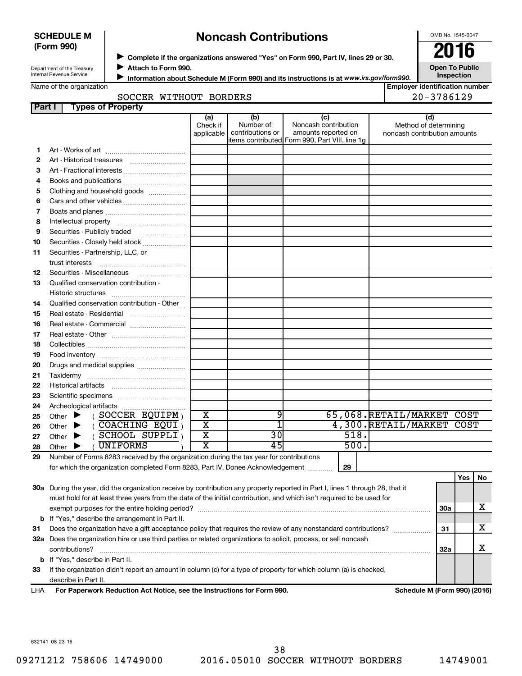## **SCHEDULE M (Form 990)**

# **Noncash Contributions**

OMB No. 1545-0047

Department of the Treasury Internal Revenue Service

◆ Complete if the organizations answered "Yes" on Form 990, Part IV, lines 29 or 30.<br>● Complete if the organizations answered "Yes" on Form 990, Part IV, lines 29 or 30. **Attach to Form 990.** J

**Open To Public Inspection**

| Name of the organization |  |
|--------------------------|--|

**Information about Schedule M (Form 990) and its instructions is at www.irs.gov/form990. Employer identification number**

| CCER WITHOUT BORI |  |
|-------------------|--|

|              | 20-3786129<br>SOCCER WITHOUT BORDERS                                                                                                                                      |                               |                                      |                                                                                                      |  |                                                              |                  |  |
|--------------|---------------------------------------------------------------------------------------------------------------------------------------------------------------------------|-------------------------------|--------------------------------------|------------------------------------------------------------------------------------------------------|--|--------------------------------------------------------------|------------------|--|
| Part I       | <b>Types of Property</b>                                                                                                                                                  |                               |                                      |                                                                                                      |  |                                                              |                  |  |
|              |                                                                                                                                                                           | (a)<br>Check if<br>applicable | (b)<br>Number of<br>contributions or | (c)<br>Noncash contribution<br>amounts reported on<br>items contributed Form 990, Part VIII, line 1g |  | (d)<br>Method of determining<br>noncash contribution amounts |                  |  |
| 1.           |                                                                                                                                                                           |                               |                                      |                                                                                                      |  |                                                              |                  |  |
| $\mathbf{2}$ |                                                                                                                                                                           |                               |                                      |                                                                                                      |  |                                                              |                  |  |
| 3            | Art - Fractional interests                                                                                                                                                |                               |                                      |                                                                                                      |  |                                                              |                  |  |
| 4            | Books and publications                                                                                                                                                    |                               |                                      |                                                                                                      |  |                                                              |                  |  |
| 5            | Clothing and household goods                                                                                                                                              |                               |                                      |                                                                                                      |  |                                                              |                  |  |
| 6            | Cars and other vehicles                                                                                                                                                   |                               |                                      |                                                                                                      |  |                                                              |                  |  |
| 7            |                                                                                                                                                                           |                               |                                      |                                                                                                      |  |                                                              |                  |  |
| 8            |                                                                                                                                                                           |                               |                                      |                                                                                                      |  |                                                              |                  |  |
| 9            | Securities - Publicly traded                                                                                                                                              |                               |                                      |                                                                                                      |  |                                                              |                  |  |
| 10           | Securities - Closely held stock                                                                                                                                           |                               |                                      |                                                                                                      |  |                                                              |                  |  |
| 11           | Securities - Partnership, LLC, or                                                                                                                                         |                               |                                      |                                                                                                      |  |                                                              |                  |  |
|              | trust interests                                                                                                                                                           |                               |                                      |                                                                                                      |  |                                                              |                  |  |
| 12           | Securities - Miscellaneous                                                                                                                                                |                               |                                      |                                                                                                      |  |                                                              |                  |  |
| 13           | Qualified conservation contribution -                                                                                                                                     |                               |                                      |                                                                                                      |  |                                                              |                  |  |
|              | Historic structures                                                                                                                                                       |                               |                                      |                                                                                                      |  |                                                              |                  |  |
| 14           | Qualified conservation contribution - Other                                                                                                                               |                               |                                      |                                                                                                      |  |                                                              |                  |  |
| 15           | Real estate - Residential                                                                                                                                                 |                               |                                      |                                                                                                      |  |                                                              |                  |  |
| 16           | Real estate - Commercial                                                                                                                                                  |                               |                                      |                                                                                                      |  |                                                              |                  |  |
| 17           |                                                                                                                                                                           |                               |                                      |                                                                                                      |  |                                                              |                  |  |
| 18           |                                                                                                                                                                           |                               |                                      |                                                                                                      |  |                                                              |                  |  |
| 19           |                                                                                                                                                                           |                               |                                      |                                                                                                      |  |                                                              |                  |  |
| 20           | Drugs and medical supplies                                                                                                                                                |                               |                                      |                                                                                                      |  |                                                              |                  |  |
| 21           |                                                                                                                                                                           |                               |                                      |                                                                                                      |  |                                                              |                  |  |
| 22           |                                                                                                                                                                           |                               |                                      |                                                                                                      |  |                                                              |                  |  |
| 23           |                                                                                                                                                                           |                               |                                      |                                                                                                      |  |                                                              |                  |  |
| 24           |                                                                                                                                                                           |                               |                                      |                                                                                                      |  |                                                              |                  |  |
| 25           | $($ SOCCER EQUIPM $)$<br>Other $\blacktriangleright$                                                                                                                      | $\overline{\text{x}}$         | 9                                    |                                                                                                      |  | 65,068.RETAIL/MARKET COST                                    |                  |  |
| 26           | (COACHING EQUI)<br>▶<br>Other                                                                                                                                             | $\overline{\text{x}}$         | $\overline{1}$                       |                                                                                                      |  | 4,300.RETAIL/MARKET COST                                     |                  |  |
| 27           | (SCHOOL SUPPLI)<br>Other<br>▶                                                                                                                                             | $\overline{\mathtt{x}}$       | 30                                   | 518.                                                                                                 |  |                                                              |                  |  |
| 28           | <b>UNIFORMS</b><br>Other                                                                                                                                                  | $\overline{\text{x}}$         | 45                                   | 500.                                                                                                 |  |                                                              |                  |  |
| 29           | Number of Forms 8283 received by the organization during the tax year for contributions<br>for which the organization completed Form 8283, Part IV, Donee Acknowledgement |                               |                                      | 29                                                                                                   |  |                                                              |                  |  |
|              | 20g Durian the year, did the examination reacive by contribution any proporty reported in Dert Llines 1 through 20 that it                                                |                               |                                      |                                                                                                      |  |                                                              | <b>Yes</b><br>No |  |

**30 a** During the year, did the organization receive by contribution any property reported in Part I, lines 1 through 28, that it **31 32 a** Does the organization hire or use third parties or related organizations to solicit, process, or sell noncash **33** If the organization didn't report an amount in column (c) for a type of property for which column (a) is checked, **b** If "Yes," describe the arrangement in Part II. **30a 31 32a b** If "Yes," describe in Part II. **For Paperwork Reduction Act Notice, see the Instructions for Form 990. Schedule M (Form 990) (2016)** must hold for at least three years from the date of the initial contribution, and which isn't required to be used for exempt purposes for the entire holding period? ~~~~~~~~~~~~~~~~~~~~~~~~~~~~~~~~~~~~~~ Does the organization have a gift acceptance policy that requires the review of any nonstandard contributions?  $\ldots$ contributions? ~~~~~~~~~~~~~~~~~~~~~~~~~~~~~~~~~~~~~~~~~~~~~~~~~~~~~~ describe in Part II. X X X

LHA

632141 08-23-16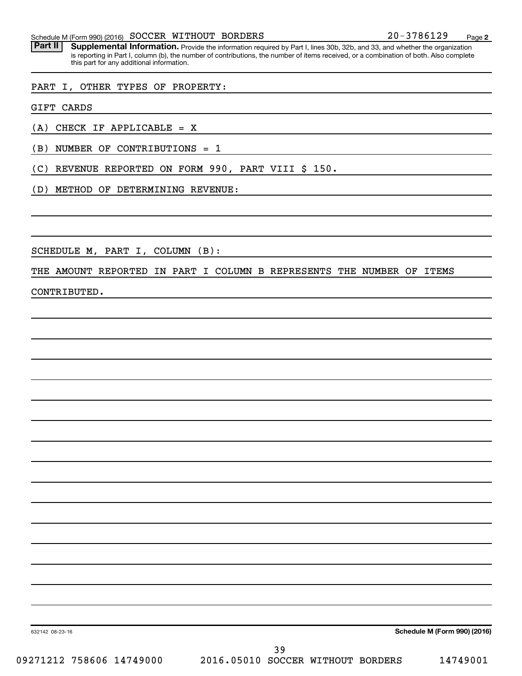# Schedule M (Form 990) (2016) SOCCER WITHOUT BORDERS  $20-3786129$  Page

Part II | Supplemental Information. Provide the information required by Part I, lines 30b, 32b, and 33, and whether the organization is reporting in Part I, column (b), the number of contributions, the number of items received, or a combination of both. Also complete this part for any additional information.

## PART I, OTHER TYPES OF PROPERTY:

GIFT CARDS

(A) CHECK IF APPLICABLE = X

(B) NUMBER OF CONTRIBUTIONS = 1

(C) REVENUE REPORTED ON FORM 990, PART VIII \$ 150.

(D) METHOD OF DETERMINING REVENUE:

SCHEDULE M, PART I, COLUMN (B):

## THE AMOUNT REPORTED IN PART I COLUMN B REPRESENTS THE NUMBER OF ITEMS

CONTRIBUTED.

**Schedule M (Form 990) (2016)**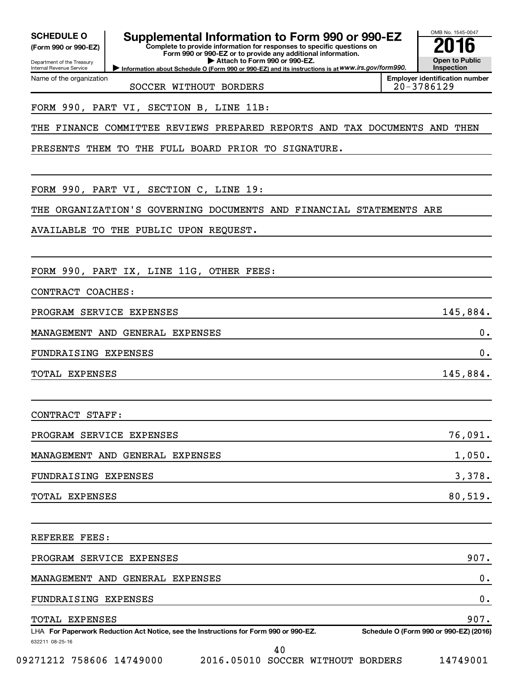Department of the Treasury **(Form 990 or 990-EZ)**

Name of the organization

Internal Revenue Service

# **SCHEDULE O Supplemental Information to Form 990 or 990-EZ 2016**

**Complete to provide information for responses to specific questions on Form 990 or 990-EZ or to provide any additional information. | Attach to Form 990 or 990-EZ.**

**Information about Schedule O (Form 990 or 990-EZ) and its instructions is at WWW.irs.gov/form990.** 

OMB No. 1545-0047 **Open to Public Inspection**

**Employer identification number** SOCCER WITHOUT BORDERS 20-3786129

# FORM 990, PART VI, SECTION B, LINE 11B:

# THE FINANCE COMMITTEE REVIEWS PREPARED REPORTS AND TAX DOCUMENTS AND THEN

PRESENTS THEM TO THE FULL BOARD PRIOR TO SIGNATURE.

FORM 990, PART VI, SECTION C, LINE 19:

THE ORGANIZATION'S GOVERNING DOCUMENTS AND FINANCIAL STATEMENTS ARE

AVAILABLE TO THE PUBLIC UPON REQUEST.

FORM 990, PART IX, LINE 11G, OTHER FEES:

CONTRACT COACHES:

PROGRAM SERVICE EXPENSES 145,884.

MANAGEMENT AND GENERAL EXPENSES 0.

FUNDRAISING EXPENSES 0.

TOTAL EXPENSES 145,884.

CONTRACT STAFF:

| PROGRAM SERVICE EXPENSES        | 76,091. |
|---------------------------------|---------|
| MANAGEMENT AND GENERAL EXPENSES | 1,050.  |
| FUNDRAISING EXPENSES            | 3,378.  |
| TOTAL EXPENSES                  | 80,519. |

| REFEREE FEES:                                                                        |                                        |
|--------------------------------------------------------------------------------------|----------------------------------------|
| PROGRAM SERVICE EXPENSES                                                             | 907.                                   |
| MANAGEMENT AND GENERAL EXPENSES                                                      | 0.                                     |
| FUNDRAISING EXPENSES                                                                 | 0.                                     |
| <b>TOTAL EXPENSES</b>                                                                | 907.                                   |
| LHA For Paperwork Reduction Act Notice, see the Instructions for Form 990 or 990-EZ. | Schedule O (Form 990 or 990-EZ) (2016) |
| 632211 08-25-16                                                                      |                                        |

40

09271212 758606 14749000 2016.05010 SOCCER WITHOUT BORDERS 14749001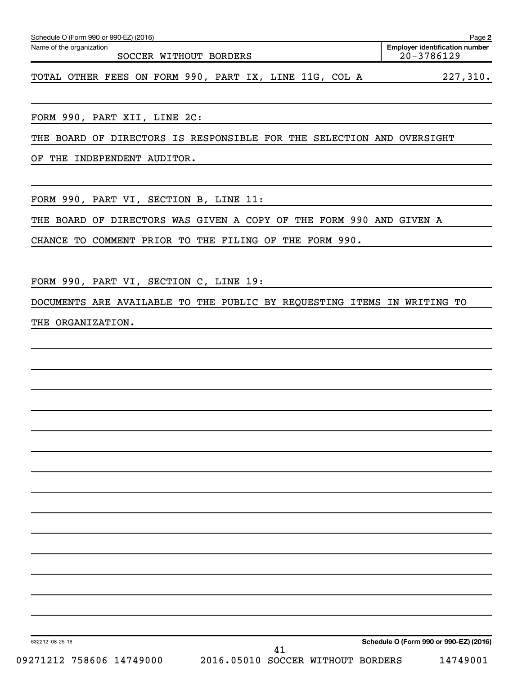| Schedule O (Form 990 or 990-EZ) (2016)                                | Page 2                                                  |  |  |  |  |
|-----------------------------------------------------------------------|---------------------------------------------------------|--|--|--|--|
| Name of the organization<br>SOCCER WITHOUT BORDERS                    | <b>Employer identification number</b><br>$20 - 3786129$ |  |  |  |  |
| TOTAL OTHER FEES ON FORM 990, PART IX, LINE 11G, COL A                | 227,310.                                                |  |  |  |  |
| FORM 990, PART XII, LINE 2C:                                          |                                                         |  |  |  |  |
|                                                                       |                                                         |  |  |  |  |
| THE BOARD OF DIRECTORS IS RESPONSIBLE FOR THE SELECTION AND OVERSIGHT |                                                         |  |  |  |  |
| INDEPENDENT AUDITOR.<br>THE<br>ΟF                                     |                                                         |  |  |  |  |

FORM 990, PART VI, SECTION B, LINE 11:

THE BOARD OF DIRECTORS WAS GIVEN A COPY OF THE FORM 990 AND GIVEN A

CHANCE TO COMMENT PRIOR TO THE FILING OF THE FORM 990.

FORM 990, PART VI, SECTION C, LINE 19:

DOCUMENTS ARE AVAILABLE TO THE PUBLIC BY REQUESTING ITEMS IN WRITING TO

THE ORGANIZATION.

**Schedule O (Form 990 or 990-EZ) (2016)**

632212 08-25-16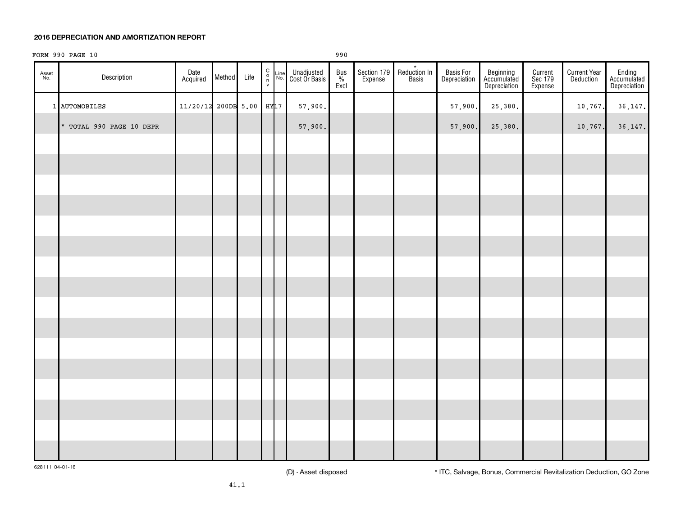#### **2016 DEPRECIATION AND AMORTIZATION REPORT**

# FORM 990 PAGE 10 990

| Asset<br>No. | Description              | Date<br>Acquired    | Method | Life | 0000    | $\frac{\text{Line}}{\text{No.}}$ | Unadjusted<br>Cost Or Basis | $\begin{array}{c}\n\text{Bus} \\ \frac{\%}{\%} \\ \text{Excl}\n\end{array}$ | Section 179 | $\star$<br>Reduction In<br>Basis | Basis For<br>Depreciation | Beginning<br>Accumulated<br>Depreciation | Current<br>Sec 179<br>Expense | <b>Current Year</b><br>Deduction | Ending<br>Accumulated<br>Depreciation |
|--------------|--------------------------|---------------------|--------|------|---------|----------------------------------|-----------------------------|-----------------------------------------------------------------------------|-------------|----------------------------------|---------------------------|------------------------------------------|-------------------------------|----------------------------------|---------------------------------------|
|              | 1 AUTOMOBILES            | 11/20/12 200DB 5.00 |        |      | $HY$ 17 |                                  | 57,900.                     |                                                                             |             |                                  | 57,900.                   | 25,380.                                  |                               | 10, 767.                         | 36,147.                               |
|              | * TOTAL 990 PAGE 10 DEPR |                     |        |      |         |                                  | 57,900.                     |                                                                             |             |                                  | 57,900.                   | 25,380.                                  |                               | 10,767.                          | 36, 147.                              |
|              |                          |                     |        |      |         |                                  |                             |                                                                             |             |                                  |                           |                                          |                               |                                  |                                       |
|              |                          |                     |        |      |         |                                  |                             |                                                                             |             |                                  |                           |                                          |                               |                                  |                                       |
|              |                          |                     |        |      |         |                                  |                             |                                                                             |             |                                  |                           |                                          |                               |                                  |                                       |
|              |                          |                     |        |      |         |                                  |                             |                                                                             |             |                                  |                           |                                          |                               |                                  |                                       |
|              |                          |                     |        |      |         |                                  |                             |                                                                             |             |                                  |                           |                                          |                               |                                  |                                       |
|              |                          |                     |        |      |         |                                  |                             |                                                                             |             |                                  |                           |                                          |                               |                                  |                                       |
|              |                          |                     |        |      |         |                                  |                             |                                                                             |             |                                  |                           |                                          |                               |                                  |                                       |
|              |                          |                     |        |      |         |                                  |                             |                                                                             |             |                                  |                           |                                          |                               |                                  |                                       |
|              |                          |                     |        |      |         |                                  |                             |                                                                             |             |                                  |                           |                                          |                               |                                  |                                       |
|              |                          |                     |        |      |         |                                  |                             |                                                                             |             |                                  |                           |                                          |                               |                                  |                                       |
|              |                          |                     |        |      |         |                                  |                             |                                                                             |             |                                  |                           |                                          |                               |                                  |                                       |
|              |                          |                     |        |      |         |                                  |                             |                                                                             |             |                                  |                           |                                          |                               |                                  |                                       |
|              |                          |                     |        |      |         |                                  |                             |                                                                             |             |                                  |                           |                                          |                               |                                  |                                       |
|              |                          |                     |        |      |         |                                  |                             |                                                                             |             |                                  |                           |                                          |                               |                                  |                                       |
|              |                          |                     |        |      |         |                                  |                             |                                                                             |             |                                  |                           |                                          |                               |                                  |                                       |
|              |                          |                     |        |      |         |                                  |                             |                                                                             |             |                                  |                           |                                          |                               |                                  |                                       |

628111 04-01-16

(D) - Asset disposed \* ITC, Salvage, Bonus, Commercial Revitalization Deduction, GO Zone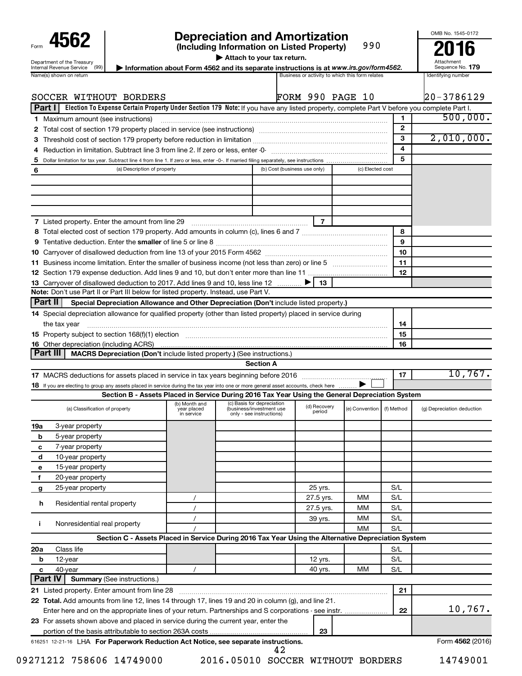| Form                                                          |
|---------------------------------------------------------------|
| Department of the Treasury<br><b>Internal Revenue Service</b> |

# **4562 Depreciation and Amortization**<br>(Including Information on Listed Property) 990 **2016**

**(Including Information on Listed Property)**

990

**| Attach to your tax return.**

Internal Revenue Service (99) **| Information about Form 4562 and its separate instructions is at www.irs.gov/form4562. Information blue and its separate instructions is at www.irs.gov/form4562. Information about Form 4562** 

Attachment Sequence No.

 $\overline{\phantom{0}}$ 

OMB No. 1545-0172

|     | SOCCER WITHOUT BORDERS                                                                                                                                    |                                            |                                                                                                     | <b>FORM 990 PAGE 10</b>      |                  |                         | 20-3786129                 |
|-----|-----------------------------------------------------------------------------------------------------------------------------------------------------------|--------------------------------------------|-----------------------------------------------------------------------------------------------------|------------------------------|------------------|-------------------------|----------------------------|
|     | Election To Expense Certain Property Under Section 179 Note: If you have any listed property, complete Part V before you complete Part I.<br>Part I       |                                            |                                                                                                     |                              |                  |                         |                            |
|     | 1 Maximum amount (see instructions)                                                                                                                       |                                            |                                                                                                     |                              |                  | 1                       | 500,000.                   |
|     | 2 Total cost of section 179 property placed in service (see instructions) manufactured cost of section 179 property placed in service (see instructions)  |                                            |                                                                                                     |                              |                  | $\mathbf{2}$            |                            |
|     |                                                                                                                                                           | 3                                          | 2,010,000.                                                                                          |                              |                  |                         |                            |
|     |                                                                                                                                                           |                                            |                                                                                                     |                              |                  | $\overline{\mathbf{4}}$ |                            |
| 5   |                                                                                                                                                           |                                            |                                                                                                     |                              |                  | 5                       |                            |
| 6   | (a) Description of property                                                                                                                               |                                            |                                                                                                     | (b) Cost (business use only) | (c) Elected cost |                         |                            |
|     |                                                                                                                                                           |                                            |                                                                                                     |                              |                  |                         |                            |
|     |                                                                                                                                                           |                                            |                                                                                                     |                              |                  |                         |                            |
|     |                                                                                                                                                           |                                            |                                                                                                     |                              |                  |                         |                            |
|     | 7 Listed property. Enter the amount from line 29 [11] [12] [12] Listed property. Enter the amount from line 29                                            |                                            |                                                                                                     | $\overline{7}$               |                  |                         |                            |
|     |                                                                                                                                                           |                                            |                                                                                                     |                              |                  | 8                       |                            |
|     |                                                                                                                                                           |                                            |                                                                                                     |                              |                  | 9                       |                            |
|     |                                                                                                                                                           |                                            |                                                                                                     |                              |                  | 10                      |                            |
|     | 11 Business income limitation. Enter the smaller of business income (not less than zero) or line 5                                                        |                                            |                                                                                                     |                              |                  | 11                      |                            |
|     |                                                                                                                                                           |                                            |                                                                                                     |                              |                  | 12                      |                            |
|     | 13 Carryover of disallowed deduction to 2017. Add lines 9 and 10, less line 12                                                                            |                                            |                                                                                                     | - 13                         |                  |                         |                            |
|     | Note: Don't use Part II or Part III below for listed property. Instead, use Part V.                                                                       |                                            |                                                                                                     |                              |                  |                         |                            |
|     | <b>Part II</b><br>Special Depreciation Allowance and Other Depreciation (Don't include listed property.)                                                  |                                            |                                                                                                     |                              |                  |                         |                            |
|     | 14 Special depreciation allowance for qualified property (other than listed property) placed in service during                                            |                                            |                                                                                                     |                              |                  |                         |                            |
|     | the tax year                                                                                                                                              |                                            |                                                                                                     |                              |                  | 14                      |                            |
|     |                                                                                                                                                           |                                            |                                                                                                     |                              |                  | 15                      |                            |
|     | <b>16</b> Other depreciation (including ACRS)                                                                                                             |                                            |                                                                                                     |                              |                  | 16                      |                            |
|     | Part III<br>MACRS Depreciation (Don't include listed property.) (See instructions.)                                                                       |                                            | <b>Section A</b>                                                                                    |                              |                  |                         |                            |
|     |                                                                                                                                                           |                                            |                                                                                                     |                              |                  | 17                      | 10,767.                    |
|     | 18 If you are electing to group any assets placed in service during the tax year into one or more general asset accounts, check here $\ldots\ldots\ldots$ |                                            |                                                                                                     |                              |                  |                         |                            |
|     |                                                                                                                                                           |                                            | Section B - Assets Placed in Service During 2016 Tax Year Using the General Depreciation System     |                              |                  |                         |                            |
|     | (a) Classification of property                                                                                                                            | (b) Month and<br>year placed<br>in service | (c) Basis for depreciation<br>(business/investment use<br>only - see instructions)                  | (d) Recovery<br>period       | (e) Convention   | (f) Method              | (g) Depreciation deduction |
| 19a | 3-year property                                                                                                                                           |                                            |                                                                                                     |                              |                  |                         |                            |
| b   | 5-year property                                                                                                                                           |                                            |                                                                                                     |                              |                  |                         |                            |
| с   | 7-year property                                                                                                                                           |                                            |                                                                                                     |                              |                  |                         |                            |
| d   | 10-year property                                                                                                                                          |                                            |                                                                                                     |                              |                  |                         |                            |
| е   | 15-year property                                                                                                                                          |                                            |                                                                                                     |                              |                  |                         |                            |
| f   | 20-year property                                                                                                                                          |                                            |                                                                                                     |                              |                  |                         |                            |
| g   | 25-year property                                                                                                                                          |                                            |                                                                                                     | 25 yrs.                      |                  | S/L                     |                            |
| h   | Residential rental property                                                                                                                               | $\prime$                                   |                                                                                                     | 27.5 yrs.                    | мм               | S/L                     |                            |
|     |                                                                                                                                                           | $\prime$                                   |                                                                                                     | 27.5 yrs.                    | мм               | S/L                     |                            |
| Ť   | Nonresidential real property                                                                                                                              | $\prime$                                   |                                                                                                     | 39 yrs.                      | МM               | S/L                     |                            |
|     |                                                                                                                                                           |                                            |                                                                                                     |                              | ΜМ               | S/L                     |                            |
|     |                                                                                                                                                           |                                            | Section C - Assets Placed in Service During 2016 Tax Year Using the Alternative Depreciation System |                              |                  |                         |                            |
| 20a | Class life                                                                                                                                                |                                            |                                                                                                     |                              |                  | S/L                     |                            |
| b   | 12-year                                                                                                                                                   |                                            |                                                                                                     | 12 yrs.                      |                  | S/L                     |                            |
| с   | 40-year<br>Part IV<br><b>Summary (See instructions.)</b>                                                                                                  |                                            |                                                                                                     | 40 yrs.                      | мм               | S/L                     |                            |
|     | 21 Listed property. Enter amount from line 28                                                                                                             |                                            |                                                                                                     |                              |                  | 21                      |                            |
|     | 22 Total. Add amounts from line 12, lines 14 through 17, lines 19 and 20 in column (g), and line 21.                                                      |                                            |                                                                                                     |                              |                  |                         |                            |
|     |                                                                                                                                                           |                                            |                                                                                                     |                              |                  | 22                      | 10,767.                    |
|     | 23 For assets shown above and placed in service during the current year, enter the                                                                        |                                            |                                                                                                     |                              |                  |                         |                            |
|     |                                                                                                                                                           |                                            |                                                                                                     | 23                           |                  |                         |                            |
|     | 616251 12-21-16 LHA For Paperwork Reduction Act Notice, see separate instructions.                                                                        |                                            |                                                                                                     |                              |                  |                         | Form 4562 (2016)           |

09271212 758606 14749000 2016.05010 SOCCER WITHOUT BORDERS 14749001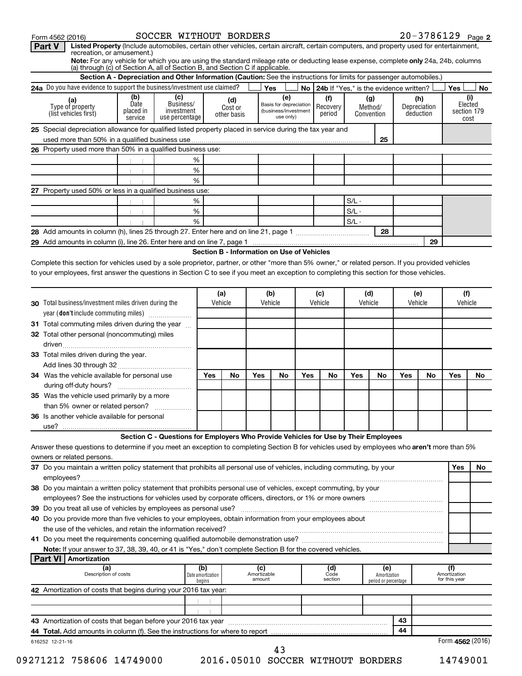| Part V<br>Listed Property (Include automobiles, certain other vehicles, certain aircraft, certain computers, and property used for entertainment,<br>recreation, or amusement.)                                     |                                     |                                                                                                                      |                          |                               |                                            |                                                                    |     |                                             |         |                              |     |                                  |                                      |                                       |
|---------------------------------------------------------------------------------------------------------------------------------------------------------------------------------------------------------------------|-------------------------------------|----------------------------------------------------------------------------------------------------------------------|--------------------------|-------------------------------|--------------------------------------------|--------------------------------------------------------------------|-----|---------------------------------------------|---------|------------------------------|-----|----------------------------------|--------------------------------------|---------------------------------------|
| Note: For any vehicle for which you are using the standard mileage rate or deducting lease expense, complete only 24a, 24b, columns<br>(a) through (c) of Section A, all of Section B, and Section C if applicable. |                                     |                                                                                                                      |                          |                               |                                            |                                                                    |     |                                             |         |                              |     |                                  |                                      |                                       |
|                                                                                                                                                                                                                     |                                     | Section A - Depreciation and Other Information (Caution: See the instructions for limits for passenger automobiles.) |                          |                               |                                            |                                                                    |     |                                             |         |                              |     |                                  |                                      |                                       |
| 24a Do you have evidence to support the business/investment use claimed?                                                                                                                                            |                                     |                                                                                                                      |                          |                               |                                            | Yes                                                                |     | No   24b If "Yes," is the evidence written? |         |                              |     |                                  | Yes                                  | No                                    |
| (a)<br>Type of property<br>(list vehicles first)                                                                                                                                                                    | (b)<br>Date<br>placed in<br>service | (c)<br>Business/<br>investment<br>use percentage                                                                     |                          | (d)<br>Cost or<br>other basis |                                            | (e)<br>Basis for depreciation<br>(business/investment<br>use only) |     | (f)<br>Recovery<br>period                   |         | (g)<br>Method/<br>Convention |     | (h)<br>Depreciation<br>deduction |                                      | (i)<br>Elected<br>section 179<br>cost |
| 25 Special depreciation allowance for qualified listed property placed in service during the tax year and                                                                                                           |                                     |                                                                                                                      |                          |                               |                                            |                                                                    |     |                                             |         |                              |     |                                  |                                      |                                       |
|                                                                                                                                                                                                                     |                                     |                                                                                                                      |                          |                               |                                            |                                                                    |     |                                             |         | 25                           |     |                                  |                                      |                                       |
| 26 Property used more than 50% in a qualified business use:                                                                                                                                                         |                                     |                                                                                                                      |                          |                               |                                            |                                                                    |     |                                             |         |                              |     |                                  |                                      |                                       |
|                                                                                                                                                                                                                     |                                     |                                                                                                                      | %<br>$\%$                |                               |                                            |                                                                    |     |                                             |         |                              |     |                                  |                                      |                                       |
|                                                                                                                                                                                                                     |                                     |                                                                                                                      | %                        |                               |                                            |                                                                    |     |                                             |         |                              |     |                                  |                                      |                                       |
| 27 Property used 50% or less in a qualified business use:                                                                                                                                                           |                                     |                                                                                                                      |                          |                               |                                            |                                                                    |     |                                             |         |                              |     |                                  |                                      |                                       |
|                                                                                                                                                                                                                     |                                     |                                                                                                                      | %                        |                               |                                            |                                                                    |     |                                             | $S/L -$ |                              |     |                                  |                                      |                                       |
|                                                                                                                                                                                                                     |                                     |                                                                                                                      | $\%$                     |                               |                                            |                                                                    |     |                                             | $S/L -$ |                              |     |                                  |                                      |                                       |
|                                                                                                                                                                                                                     |                                     |                                                                                                                      | %                        |                               |                                            |                                                                    |     |                                             | $S/L -$ |                              |     |                                  |                                      |                                       |
|                                                                                                                                                                                                                     |                                     |                                                                                                                      |                          |                               |                                            |                                                                    |     |                                             |         | 28                           |     |                                  |                                      |                                       |
|                                                                                                                                                                                                                     |                                     |                                                                                                                      |                          |                               |                                            |                                                                    |     |                                             |         |                              |     | 29                               |                                      |                                       |
|                                                                                                                                                                                                                     |                                     |                                                                                                                      |                          |                               | Section B - Information on Use of Vehicles |                                                                    |     |                                             |         |                              |     |                                  |                                      |                                       |
| Complete this section for vehicles used by a sole proprietor, partner, or other "more than 5% owner," or related person. If you provided vehicles                                                                   |                                     |                                                                                                                      |                          |                               |                                            |                                                                    |     |                                             |         |                              |     |                                  |                                      |                                       |
| to your employees, first answer the questions in Section C to see if you meet an exception to completing this section for those vehicles.                                                                           |                                     |                                                                                                                      |                          |                               |                                            |                                                                    |     |                                             |         |                              |     |                                  |                                      |                                       |
|                                                                                                                                                                                                                     |                                     |                                                                                                                      |                          | (a)                           |                                            | (b)                                                                |     | (c)                                         | (d)     |                              |     | (e)                              | (f)                                  |                                       |
| 30 Total business/investment miles driven during the                                                                                                                                                                |                                     |                                                                                                                      |                          | Vehicle                       |                                            | Vehicle                                                            |     | Vehicle                                     | Vehicle |                              |     | Vehicle                          | Vehicle                              |                                       |
| year (don't include commuting miles)                                                                                                                                                                                |                                     |                                                                                                                      |                          |                               |                                            |                                                                    |     |                                             |         |                              |     |                                  |                                      |                                       |
| 31 Total commuting miles driven during the year                                                                                                                                                                     |                                     |                                                                                                                      |                          |                               |                                            |                                                                    |     |                                             |         |                              |     |                                  |                                      |                                       |
| 32 Total other personal (noncommuting) miles                                                                                                                                                                        |                                     |                                                                                                                      |                          |                               |                                            |                                                                    |     |                                             |         |                              |     |                                  |                                      |                                       |
|                                                                                                                                                                                                                     |                                     |                                                                                                                      |                          |                               |                                            |                                                                    |     |                                             |         |                              |     |                                  |                                      |                                       |
| 33 Total miles driven during the year.                                                                                                                                                                              |                                     |                                                                                                                      |                          |                               |                                            |                                                                    |     |                                             |         |                              |     |                                  |                                      |                                       |
|                                                                                                                                                                                                                     |                                     |                                                                                                                      |                          |                               |                                            |                                                                    |     |                                             |         |                              |     |                                  |                                      |                                       |
| 34 Was the vehicle available for personal use                                                                                                                                                                       |                                     |                                                                                                                      | Yes                      | No                            | Yes                                        | No                                                                 | Yes | No                                          | Yes     | No                           | Yes | No                               | Yes                                  | No                                    |
|                                                                                                                                                                                                                     |                                     |                                                                                                                      |                          |                               |                                            |                                                                    |     |                                             |         |                              |     |                                  |                                      |                                       |
| 35 Was the vehicle used primarily by a more                                                                                                                                                                         |                                     |                                                                                                                      |                          |                               |                                            |                                                                    |     |                                             |         |                              |     |                                  |                                      |                                       |
| than 5% owner or related person?<br>36 Is another vehicle available for personal                                                                                                                                    |                                     | .                                                                                                                    |                          |                               |                                            |                                                                    |     |                                             |         |                              |     |                                  |                                      |                                       |
| use?                                                                                                                                                                                                                |                                     |                                                                                                                      |                          |                               |                                            |                                                                    |     |                                             |         |                              |     |                                  |                                      |                                       |
|                                                                                                                                                                                                                     |                                     | Section C - Questions for Employers Who Provide Vehicles for Use by Their Employees                                  |                          |                               |                                            |                                                                    |     |                                             |         |                              |     |                                  |                                      |                                       |
| Answer these questions to determine if you meet an exception to completing Section B for vehicles used by employees who aren't more than 5%                                                                         |                                     |                                                                                                                      |                          |                               |                                            |                                                                    |     |                                             |         |                              |     |                                  |                                      |                                       |
| owners or related persons.                                                                                                                                                                                          |                                     |                                                                                                                      |                          |                               |                                            |                                                                    |     |                                             |         |                              |     |                                  |                                      |                                       |
| 37 Do you maintain a written policy statement that prohibits all personal use of vehicles, including commuting, by your                                                                                             |                                     |                                                                                                                      |                          |                               |                                            |                                                                    |     |                                             |         |                              |     |                                  | Yes                                  | No                                    |
|                                                                                                                                                                                                                     |                                     |                                                                                                                      |                          |                               |                                            |                                                                    |     |                                             |         |                              |     |                                  |                                      |                                       |
| 38 Do you maintain a written policy statement that prohibits personal use of vehicles, except commuting, by your                                                                                                    |                                     |                                                                                                                      |                          |                               |                                            |                                                                    |     |                                             |         |                              |     |                                  |                                      |                                       |
|                                                                                                                                                                                                                     |                                     |                                                                                                                      |                          |                               |                                            |                                                                    |     |                                             |         |                              |     |                                  |                                      |                                       |
|                                                                                                                                                                                                                     |                                     |                                                                                                                      |                          |                               |                                            |                                                                    |     |                                             |         |                              |     |                                  |                                      |                                       |
| 40 Do you provide more than five vehicles to your employees, obtain information from your employees about                                                                                                           |                                     |                                                                                                                      |                          |                               |                                            |                                                                    |     |                                             |         |                              |     |                                  |                                      |                                       |
|                                                                                                                                                                                                                     |                                     |                                                                                                                      |                          |                               |                                            |                                                                    |     |                                             |         |                              |     |                                  |                                      |                                       |
| Note: If your answer to 37, 38, 39, 40, or 41 is "Yes," don't complete Section B for the covered vehicles.                                                                                                          |                                     |                                                                                                                      |                          |                               |                                            |                                                                    |     |                                             |         |                              |     |                                  |                                      |                                       |
| <b>Part VI   Amortization</b>                                                                                                                                                                                       |                                     |                                                                                                                      |                          |                               |                                            |                                                                    |     |                                             |         |                              |     |                                  |                                      |                                       |
| (a)<br>Description of costs                                                                                                                                                                                         |                                     |                                                                                                                      | (b)<br>Date amortization |                               | (c)<br>Amortizable<br>amount               |                                                                    |     | (d)<br>Code<br>section                      |         | (e)<br>Amortization          |     |                                  | (f)<br>Amortization<br>for this year |                                       |
| 42 Amortization of costs that begins during your 2016 tax year:                                                                                                                                                     |                                     |                                                                                                                      | begins                   |                               |                                            |                                                                    |     |                                             |         | period or percentage         |     |                                  |                                      |                                       |
|                                                                                                                                                                                                                     |                                     |                                                                                                                      | ÷                        |                               |                                            |                                                                    |     |                                             |         |                              |     |                                  |                                      |                                       |
|                                                                                                                                                                                                                     |                                     |                                                                                                                      |                          |                               |                                            |                                                                    |     |                                             |         |                              |     |                                  |                                      |                                       |
| 43 Amortization of costs that began before your 2016 tax year                                                                                                                                                       |                                     |                                                                                                                      |                          |                               |                                            |                                                                    |     |                                             |         |                              | 43  |                                  |                                      |                                       |
| 44 Total. Add amounts in column (f). See the instructions for where to report                                                                                                                                       |                                     |                                                                                                                      |                          |                               |                                            |                                                                    |     |                                             |         |                              | 44  |                                  |                                      |                                       |
| 616252 12-21-16                                                                                                                                                                                                     |                                     |                                                                                                                      |                          |                               |                                            |                                                                    |     |                                             |         |                              |     |                                  | Form $4562(2016)$                    |                                       |
|                                                                                                                                                                                                                     |                                     |                                                                                                                      |                          |                               |                                            | 43                                                                 |     |                                             |         |                              |     |                                  |                                      |                                       |

Form 4562 (2016) SOCCER WITHOUT BORDERS 2 0 – 3 7 8 6 1 2 9 page

09271212 758606 14749000 2016.05010 SOCCER WITHOUT BORDERS 14749001

20-3786129 Page 2